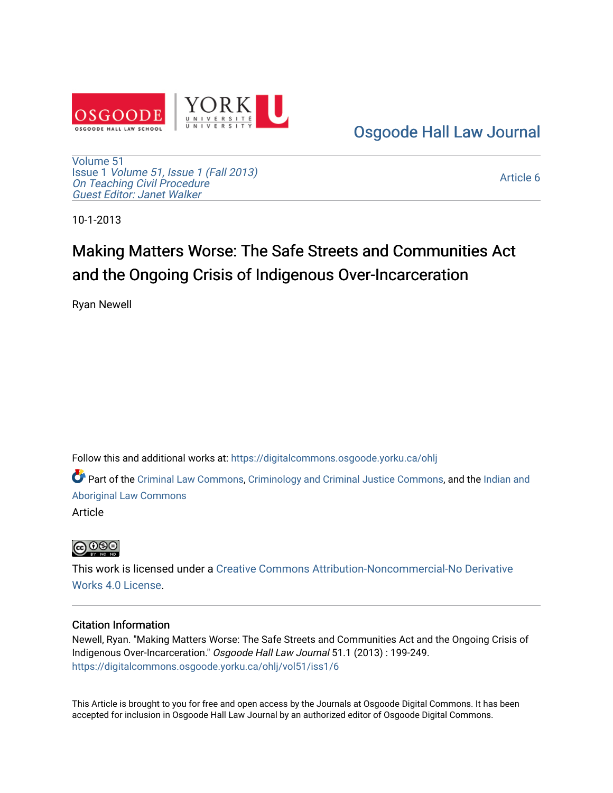

[Osgoode Hall Law Journal](https://digitalcommons.osgoode.yorku.ca/ohlj) 

[Volume 51](https://digitalcommons.osgoode.yorku.ca/ohlj/vol51) Issue 1 [Volume 51, Issue 1 \(Fall 2013\)](https://digitalcommons.osgoode.yorku.ca/ohlj/vol51/iss1) On Teaching Civil Procedure [Guest Editor: Janet Walker](https://digitalcommons.osgoode.yorku.ca/ohlj/vol51/iss1) 

[Article 6](https://digitalcommons.osgoode.yorku.ca/ohlj/vol51/iss1/6) 

10-1-2013

# Making Matters Worse: The Safe Streets and Communities Act and the Ongoing Crisis of Indigenous Over-Incarceration

Ryan Newell

Follow this and additional works at: [https://digitalcommons.osgoode.yorku.ca/ohlj](https://digitalcommons.osgoode.yorku.ca/ohlj?utm_source=digitalcommons.osgoode.yorku.ca%2Fohlj%2Fvol51%2Fiss1%2F6&utm_medium=PDF&utm_campaign=PDFCoverPages)

Part of the [Criminal Law Commons,](http://network.bepress.com/hgg/discipline/912?utm_source=digitalcommons.osgoode.yorku.ca%2Fohlj%2Fvol51%2Fiss1%2F6&utm_medium=PDF&utm_campaign=PDFCoverPages) [Criminology and Criminal Justice Commons](http://network.bepress.com/hgg/discipline/367?utm_source=digitalcommons.osgoode.yorku.ca%2Fohlj%2Fvol51%2Fiss1%2F6&utm_medium=PDF&utm_campaign=PDFCoverPages), and the [Indian and](http://network.bepress.com/hgg/discipline/894?utm_source=digitalcommons.osgoode.yorku.ca%2Fohlj%2Fvol51%2Fiss1%2F6&utm_medium=PDF&utm_campaign=PDFCoverPages) [Aboriginal Law Commons](http://network.bepress.com/hgg/discipline/894?utm_source=digitalcommons.osgoode.yorku.ca%2Fohlj%2Fvol51%2Fiss1%2F6&utm_medium=PDF&utm_campaign=PDFCoverPages)

Article



This work is licensed under a [Creative Commons Attribution-Noncommercial-No Derivative](https://creativecommons.org/licenses/by-nc-nd/4.0/)  [Works 4.0 License](https://creativecommons.org/licenses/by-nc-nd/4.0/).

# Citation Information

Newell, Ryan. "Making Matters Worse: The Safe Streets and Communities Act and the Ongoing Crisis of Indigenous Over-Incarceration." Osgoode Hall Law Journal 51.1 (2013) : 199-249. [https://digitalcommons.osgoode.yorku.ca/ohlj/vol51/iss1/6](https://digitalcommons.osgoode.yorku.ca/ohlj/vol51/iss1/6?utm_source=digitalcommons.osgoode.yorku.ca%2Fohlj%2Fvol51%2Fiss1%2F6&utm_medium=PDF&utm_campaign=PDFCoverPages) 

This Article is brought to you for free and open access by the Journals at Osgoode Digital Commons. It has been accepted for inclusion in Osgoode Hall Law Journal by an authorized editor of Osgoode Digital Commons.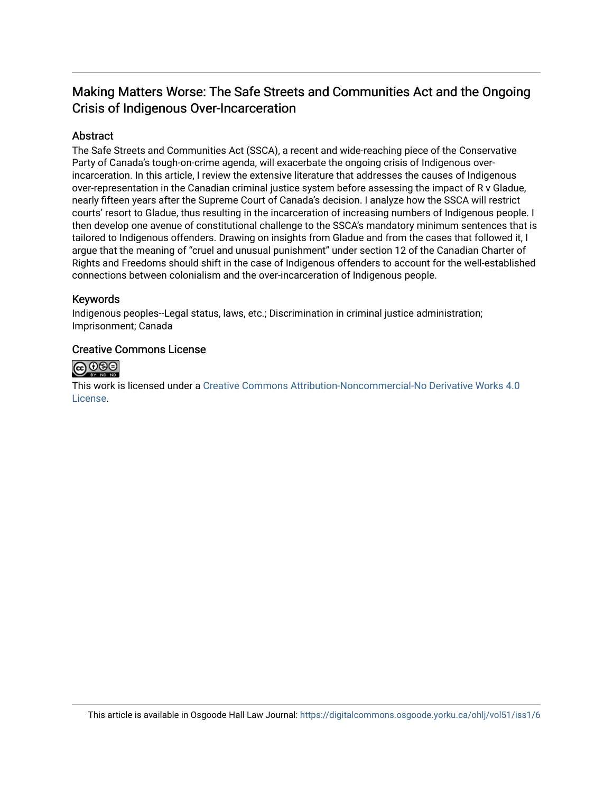# Making Matters Worse: The Safe Streets and Communities Act and the Ongoing Crisis of Indigenous Over-Incarceration

# Abstract

The Safe Streets and Communities Act (SSCA), a recent and wide-reaching piece of the Conservative Party of Canada's tough-on-crime agenda, will exacerbate the ongoing crisis of Indigenous overincarceration. In this article, I review the extensive literature that addresses the causes of Indigenous over-representation in the Canadian criminal justice system before assessing the impact of R v Gladue, nearly fifteen years after the Supreme Court of Canada's decision. I analyze how the SSCA will restrict courts' resort to Gladue, thus resulting in the incarceration of increasing numbers of Indigenous people. I then develop one avenue of constitutional challenge to the SSCA's mandatory minimum sentences that is tailored to Indigenous offenders. Drawing on insights from Gladue and from the cases that followed it, I argue that the meaning of "cruel and unusual punishment" under section 12 of the Canadian Charter of Rights and Freedoms should shift in the case of Indigenous offenders to account for the well-established connections between colonialism and the over-incarceration of Indigenous people.

# Keywords

Indigenous peoples--Legal status, laws, etc.; Discrimination in criminal justice administration; Imprisonment; Canada

# Creative Commons License



This work is licensed under a [Creative Commons Attribution-Noncommercial-No Derivative Works 4.0](https://creativecommons.org/licenses/by-nc-nd/4.0/) [License](https://creativecommons.org/licenses/by-nc-nd/4.0/).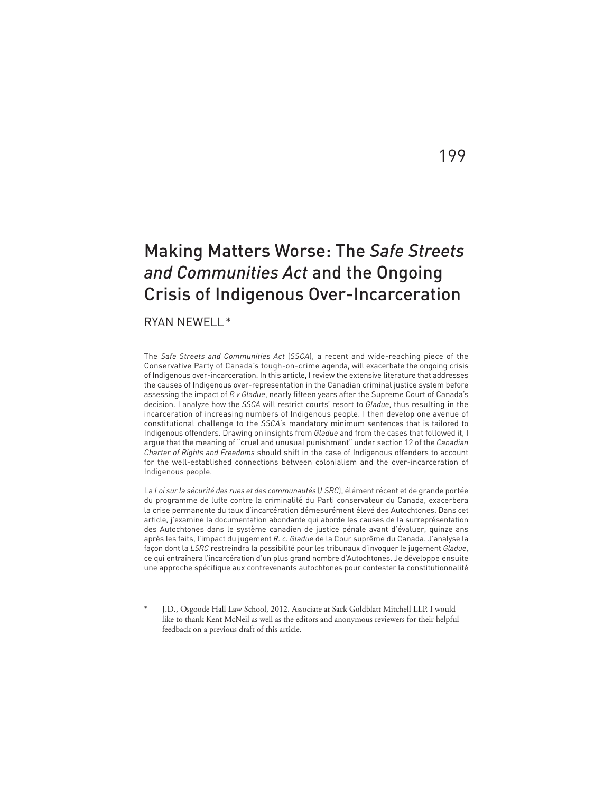# Making Matters Worse: The *Safe Streets and Communities Act* and the Ongoing Crisis of Indigenous Over-Incarceration

RYAN NEWELL\*

The *Safe Streets and Communities Act* (*SSCA*), a recent and wide-reaching piece of the Conservative Party of Canada's tough-on-crime agenda, will exacerbate the ongoing crisis of Indigenous over-incarceration. In this article, I review the extensive literature that addresses the causes of Indigenous over-representation in the Canadian criminal justice system before assessing the impact of  $R$  v Gladue, nearly fifteen years after the Supreme Court of Canada's decision. I analyze how the *SSCA* will restrict courts' resort to *Gladue*, thus resulting in the incarceration of increasing numbers of Indigenous people. I then develop one avenue of constitutional challenge to the *SSCA*'s mandatory minimum sentences that is tailored to Indigenous offenders. Drawing on insights from *Gladue* and from the cases that followed it, I argue that the meaning of "cruel and unusual punishment" under section 12 of the *Canadian Charter of Rights and Freedoms* should shift in the case of Indigenous offenders to account for the well-established connections between colonialism and the over-incarceration of Indigenous people.

La *Loi sur la sécurité des rues et des communautés* (*LSRC*), élément récent et de grande portée du programme de lutte contre la criminalité du Parti conservateur du Canada, exacerbera la crise permanente du taux d'incarcération démesurément élevé des Autochtones. Dans cet article, j'examine la documentation abondante qui aborde les causes de la surreprésentation des Autochtones dans le système canadien de justice pénale avant d'évaluer, quinze ans après les faits, l'impact du jugement *R. c. Gladue* de la Cour suprême du Canada. J'analyse la façon dont la *LSRC* restreindra la possibilité pour les tribunaux d'invoquer le jugement *Gladue*, ce qui entraînera l'incarcération d'un plus grand nombre d'Autochtones. Je développe ensuite une approche spécifique aux contrevenants autochtones pour contester la constitutionnalité

# 199

J.D., Osgoode Hall Law School, 2012. Associate at Sack Goldblatt Mitchell LLP. I would like to thank Kent McNeil as well as the editors and anonymous reviewers for their helpful feedback on a previous draft of this article.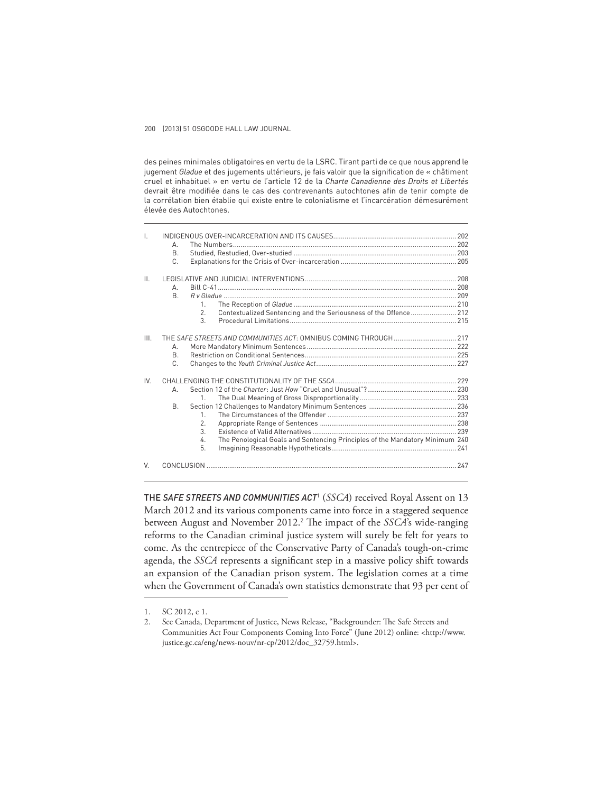des peines minimales obligatoires en vertu de la LSRC. Tirant parti de ce que nous apprend le jugement *Gladue* et des jugements ultérieurs, je fais valoir que la signification de « châtiment cruel et inhabituel » en vertu de l'article 12 de la *Charte Canadienne des Droits et Libertés* devrait être modifiée dans le cas des contrevenants autochtones afin de tenir compte de la corrélation bien établie qui existe entre le colonialisme et l'incarcération démesurément élevée des Autochtones.

| $\mathbf{I}$    |                                                                                    |  |
|-----------------|------------------------------------------------------------------------------------|--|
|                 | А.                                                                                 |  |
|                 | B.                                                                                 |  |
|                 | C.                                                                                 |  |
| $\mathbf{II}$ . |                                                                                    |  |
|                 | А.                                                                                 |  |
|                 | <b>B.</b>                                                                          |  |
|                 | 1.                                                                                 |  |
|                 | Contextualized Sentencing and the Seriousness of the Offence 212<br>2.             |  |
|                 | 3.                                                                                 |  |
|                 |                                                                                    |  |
| III.            |                                                                                    |  |
|                 | А.                                                                                 |  |
|                 | <b>B.</b>                                                                          |  |
|                 | C.                                                                                 |  |
| IV.             |                                                                                    |  |
|                 | А.                                                                                 |  |
|                 | 1.                                                                                 |  |
|                 | <b>B.</b>                                                                          |  |
|                 | $\mathbf{1}$                                                                       |  |
|                 | 2.                                                                                 |  |
|                 | 3.                                                                                 |  |
|                 | The Penological Goals and Sentencing Principles of the Mandatory Minimum 240<br>4. |  |
|                 | 5.                                                                                 |  |
| V.              |                                                                                    |  |
|                 |                                                                                    |  |

THE *SAFE STREETS AND COMMUNITIES ACT*<sup>1</sup> (*SSCA*) received Royal Assent on 13 March 2012 and its various components came into force in a staggered sequence between August and November 2012.<sup>2</sup> The impact of the *SSCA*'s wide-ranging reforms to the Canadian criminal justice system will surely be felt for years to come. As the centrepiece of the Conservative Party of Canada's tough-on-crime agenda, the *SSCA* represents a significant step in a massive policy shift towards an expansion of the Canadian prison system. The legislation comes at a time when the Government of Canada's own statistics demonstrate that 93 per cent of

<sup>1.</sup> SC 2012, c 1.

<sup>2.</sup> See Canada, Department of Justice, News Release, "Backgrounder: The Safe Streets and Communities Act Four Components Coming Into Force" (June 2012) online: <http://www. justice.gc.ca/eng/news-nouv/nr-cp/2012/doc\_32759.html>.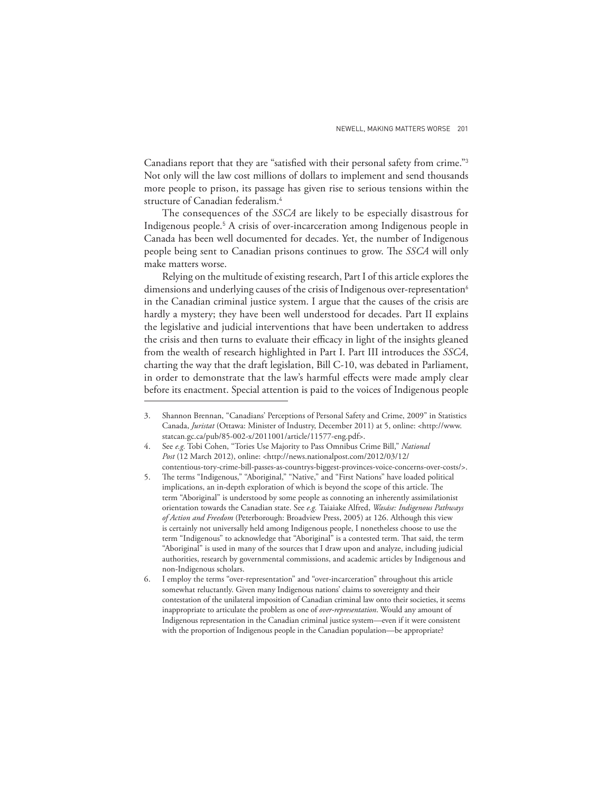Canadians report that they are "satisfied with their personal safety from crime."<sup>3</sup> Not only will the law cost millions of dollars to implement and send thousands more people to prison, its passage has given rise to serious tensions within the structure of Canadian federalism.<sup>4</sup>

The consequences of the *SSCA* are likely to be especially disastrous for Indigenous people.<sup>5</sup> A crisis of over-incarceration among Indigenous people in Canada has been well documented for decades. Yet, the number of Indigenous people being sent to Canadian prisons continues to grow. The *SSCA* will only make matters worse.

Relying on the multitude of existing research, Part I of this article explores the dimensions and underlying causes of the crisis of Indigenous over-representation<sup>6</sup> in the Canadian criminal justice system. I argue that the causes of the crisis are hardly a mystery; they have been well understood for decades. Part II explains the legislative and judicial interventions that have been undertaken to address the crisis and then turns to evaluate their efficacy in light of the insights gleaned from the wealth of research highlighted in Part I. Part III introduces the *SSCA*, charting the way that the draft legislation, Bill C-10, was debated in Parliament, in order to demonstrate that the law's harmful effects were made amply clear before its enactment. Special attention is paid to the voices of Indigenous people

<sup>3.</sup> Shannon Brennan, "Canadians' Perceptions of Personal Safety and Crime, 2009" in Statistics Canada, *Juristat* (Ottawa: Minister of Industry, December 2011) at 5, online: <http://www. statcan.gc.ca/pub/85-002-x/2011001/article/11577-eng.pdf>.

<sup>4.</sup> See *e.g.* Tobi Cohen, "Tories Use Majority to Pass Omnibus Crime Bill," *National Post* (12 March 2012), online: <http://news.nationalpost.com/2012/03/12/ contentious-tory-crime-bill-passes-as-countrys-biggest-provinces-voice-concerns-over-costs/>.

<sup>5.</sup> The terms "Indigenous," "Aboriginal," "Native," and "First Nations" have loaded political implications, an in-depth exploration of which is beyond the scope of this article. The term "Aboriginal" is understood by some people as connoting an inherently assimilationist orientation towards the Canadian state. See *e.g.* Taiaiake Alfred, *Wasáse: Indigenous Pathways of Action and Freedom* (Peterborough: Broadview Press, 2005) at 126. Although this view is certainly not universally held among Indigenous people, I nonetheless choose to use the term "Indigenous" to acknowledge that "Aboriginal" is a contested term. That said, the term "Aboriginal" is used in many of the sources that I draw upon and analyze, including judicial authorities, research by governmental commissions, and academic articles by Indigenous and non-Indigenous scholars.

<sup>6.</sup> I employ the terms "over-representation" and "over-incarceration" throughout this article somewhat reluctantly. Given many Indigenous nations' claims to sovereignty and their contestation of the unilateral imposition of Canadian criminal law onto their societies, it seems inappropriate to articulate the problem as one of *over-representation*. Would any amount of Indigenous representation in the Canadian criminal justice system—even if it were consistent with the proportion of Indigenous people in the Canadian population—be appropriate?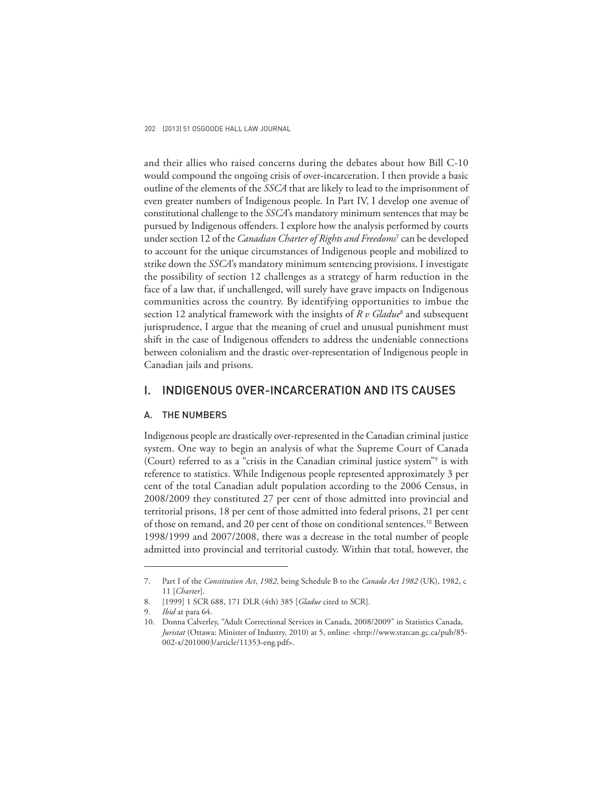and their allies who raised concerns during the debates about how Bill C-10 would compound the ongoing crisis of over-incarceration. I then provide a basic outline of the elements of the *SSCA* that are likely to lead to the imprisonment of even greater numbers of Indigenous people. In Part IV, I develop one avenue of constitutional challenge to the *SSCA*'s mandatory minimum sentences that may be pursued by Indigenous offenders. I explore how the analysis performed by courts under section 12 of the *Canadian Charter of Rights and Freedoms* <sup>7</sup> can be developed to account for the unique circumstances of Indigenous people and mobilized to strike down the *SSCA*'s mandatory minimum sentencing provisions. I investigate the possibility of section 12 challenges as a strategy of harm reduction in the face of a law that, if unchallenged, will surely have grave impacts on Indigenous communities across the country. By identifying opportunities to imbue the section 12 analytical framework with the insights of *R v Gladue*<sup>8</sup> and subsequent jurisprudence, I argue that the meaning of cruel and unusual punishment must shift in the case of Indigenous offenders to address the undeniable connections between colonialism and the drastic over-representation of Indigenous people in Canadian jails and prisons.

# I. INDIGENOUS OVER-INCARCERATION AND ITS CAUSES

### A. THE NUMBERS

Indigenous people are drastically over-represented in the Canadian criminal justice system. One way to begin an analysis of what the Supreme Court of Canada (Court) referred to as a "crisis in the Canadian criminal justice system"<sup>9</sup> is with reference to statistics. While Indigenous people represented approximately 3 per cent of the total Canadian adult population according to the 2006 Census, in 2008/2009 they constituted 27 per cent of those admitted into provincial and territorial prisons, 18 per cent of those admitted into federal prisons, 21 per cent of those on remand, and 20 per cent of those on conditional sentences. 10 Between 1998/1999 and 2007/2008, there was a decrease in the total number of people admitted into provincial and territorial custody. Within that total, however, the

<sup>7.</sup> Part I of the *Constitution Act*, *1982*, being Schedule B to the *Canada Act 1982* (UK), 1982, c 11 [*Charter*].

<sup>8. [1999] 1</sup> SCR 688, 171 DLR (4th) 385 [*Gladue* cited to SCR].

<sup>9.</sup> *Ibid* at para 64.

<sup>10.</sup> Donna Calverley, "Adult Correctional Services in Canada, 2008/2009" in Statistics Canada, *Juristat* (Ottawa: Minister of Industry, 2010) at 5, online: <http://www.statcan.gc.ca/pub/85- 002-x/2010003/article/11353-eng.pdf>.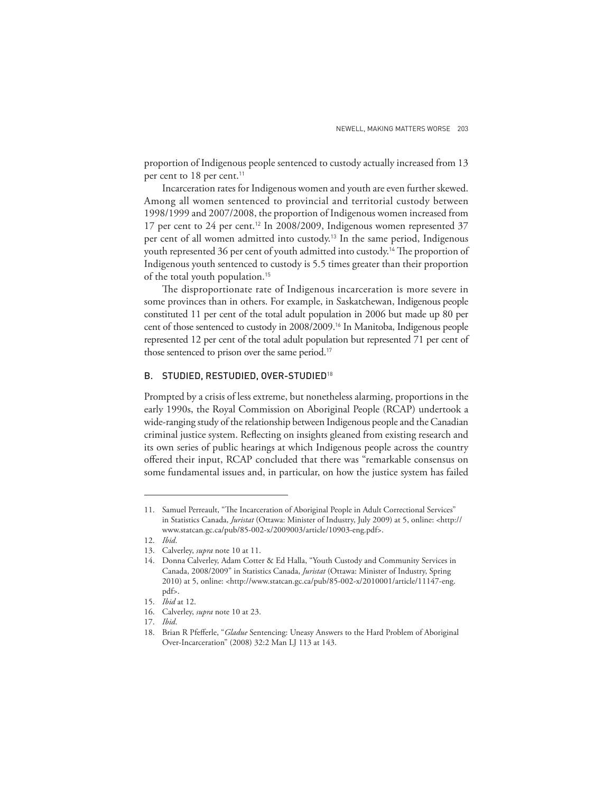proportion of Indigenous people sentenced to custody actually increased from 13 per cent to 18 per cent.<sup>11</sup>

Incarceration rates for Indigenous women and youth are even further skewed. Among all women sentenced to provincial and territorial custody between 1998/1999 and 2007/2008, the proportion of Indigenous women increased from 17 per cent to 24 per cent.<sup>12</sup> In 2008/2009, Indigenous women represented 37 per cent of all women admitted into custody.13 In the same period, Indigenous youth represented 36 per cent of youth admitted into custody.<sup>14</sup> The proportion of Indigenous youth sentenced to custody is 5.5 times greater than their proportion of the total youth population.<sup>15</sup>

The disproportionate rate of Indigenous incarceration is more severe in some provinces than in others. For example, in Saskatchewan, Indigenous people constituted 11 per cent of the total adult population in 2006 but made up 80 per cent of those sentenced to custody in 2008/2009.16 In Manitoba, Indigenous people represented 12 per cent of the total adult population but represented 71 per cent of those sentenced to prison over the same period.<sup>17</sup>

## B. STUDIED, RESTUDIED, OVER-STUDIED<sup>18</sup>

Prompted by a crisis of less extreme, but nonetheless alarming, proportions in the early 1990s, the Royal Commission on Aboriginal People (RCAP) undertook a wide-ranging study of the relationship between Indigenous people and the Canadian criminal justice system. Reflecting on insights gleaned from existing research and its own series of public hearings at which Indigenous people across the country offered their input, RCAP concluded that there was "remarkable consensus on some fundamental issues and, in particular, on how the justice system has failed

<sup>11.</sup> Samuel Perreault, "The Incarceration of Aboriginal People in Adult Correctional Services" in Statistics Canada, *Juristat* (Ottawa: Minister of Industry, July 2009) at 5, online: <http:// www.statcan.gc.ca/pub/85-002-x/2009003/article/10903-eng.pdf>.

<sup>12.</sup> *Ibid*.

<sup>13.</sup> Calverley, *supra* note 10 at 11.

<sup>14.</sup> Donna Calverley, Adam Cotter & Ed Halla, "Youth Custody and Community Services in Canada, 2008/2009" in Statistics Canada, *Juristat* (Ottawa: Minister of Industry, Spring 2010) at 5, online: <http://www.statcan.gc.ca/pub/85-002-x/2010001/article/11147-eng. pdf>.

<sup>15.</sup> *Ibid* at 12.

<sup>16.</sup> Calverley, *supra* note 10 at 23.

<sup>17.</sup> *Ibid*.

<sup>18.</sup> Brian R Pfefferle, "*Gladue* Sentencing: Uneasy Answers to the Hard Problem of Aboriginal Over-Incarceration" (2008) 32:2 Man LJ 113 at 143.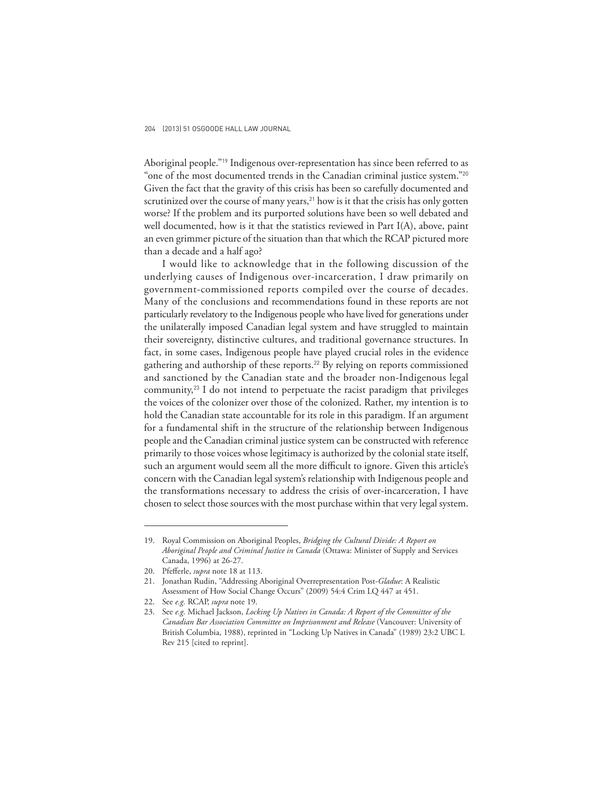Aboriginal people."19 Indigenous over-representation has since been referred to as "one of the most documented trends in the Canadian criminal justice system."<sup>20</sup> Given the fact that the gravity of this crisis has been so carefully documented and scrutinized over the course of many years, $21$  how is it that the crisis has only gotten worse? If the problem and its purported solutions have been so well debated and well documented, how is it that the statistics reviewed in Part I(A), above, paint an even grimmer picture of the situation than that which the RCAP pictured more than a decade and a half ago?

I would like to acknowledge that in the following discussion of the underlying causes of Indigenous over-incarceration, I draw primarily on government-commissioned reports compiled over the course of decades. Many of the conclusions and recommendations found in these reports are not particularly revelatory to the Indigenous people who have lived for generations under the unilaterally imposed Canadian legal system and have struggled to maintain their sovereignty, distinctive cultures, and traditional governance structures. In fact, in some cases, Indigenous people have played crucial roles in the evidence gathering and authorship of these reports.<sup>22</sup> By relying on reports commissioned and sanctioned by the Canadian state and the broader non-Indigenous legal community,23 I do not intend to perpetuate the racist paradigm that privileges the voices of the colonizer over those of the colonized. Rather, my intention is to hold the Canadian state accountable for its role in this paradigm. If an argument for a fundamental shift in the structure of the relationship between Indigenous people and the Canadian criminal justice system can be constructed with reference primarily to those voices whose legitimacy is authorized by the colonial state itself, such an argument would seem all the more difficult to ignore. Given this article's concern with the Canadian legal system's relationship with Indigenous people and the transformations necessary to address the crisis of over-incarceration, I have chosen to select those sources with the most purchase within that very legal system.

22. See *e.g.* RCAP, *supra* note 19.

<sup>19.</sup> Royal Commission on Aboriginal Peoples, *Bridging the Cultural Divide: A Report on Aboriginal People and Criminal Justice in Canada* (Ottawa: Minister of Supply and Services Canada, 1996) at 26-27.

<sup>20.</sup> Pfefferle, *supra* note 18 at 113.

<sup>21.</sup> Jonathan Rudin, "Addressing Aboriginal Overrepresentation Post-*Gladue*: A Realistic Assessment of How Social Change Occurs" (2009) 54:4 Crim LQ 447 at 451.

<sup>23.</sup> See *e.g.* Michael Jackson, *Locking Up Natives in Canada: A Report of the Committee of the Canadian Bar Association Committee on Imprisonment and Release* (Vancouver: University of British Columbia, 1988), reprinted in "Locking Up Natives in Canada" (1989) 23:2 UBC L Rev 215 [cited to reprint].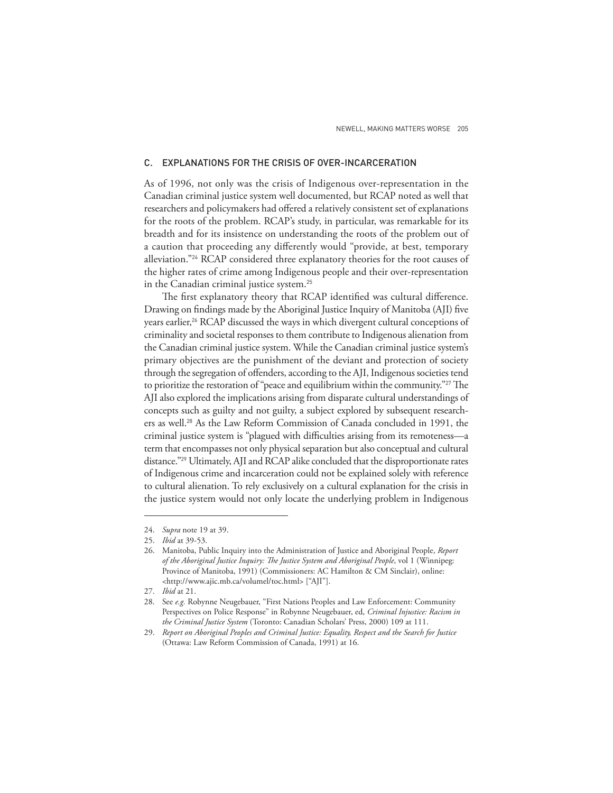# C. EXPLANATIONS FOR THE CRISIS OF OVER-INCARCERATION

As of 1996, not only was the crisis of Indigenous over-representation in the Canadian criminal justice system well documented, but RCAP noted as well that researchers and policymakers had offered a relatively consistent set of explanations for the roots of the problem. RCAP's study, in particular, was remarkable for its breadth and for its insistence on understanding the roots of the problem out of a caution that proceeding any differently would "provide, at best, temporary alleviation."24 RCAP considered three explanatory theories for the root causes of the higher rates of crime among Indigenous people and their over-representation in the Canadian criminal justice system.<sup>25</sup>

The first explanatory theory that RCAP identified was cultural difference. Drawing on findings made by the Aboriginal Justice Inquiry of Manitoba (AJI) five years earlier,<sup>26</sup> RCAP discussed the ways in which divergent cultural conceptions of criminality and societal responses to them contribute to Indigenous alienation from the Canadian criminal justice system. While the Canadian criminal justice system's primary objectives are the punishment of the deviant and protection of society through the segregation of offenders, according to the AJI, Indigenous societies tend to prioritize the restoration of "peace and equilibrium within the community."<sup>27</sup> The AJI also explored the implications arising from disparate cultural understandings of concepts such as guilty and not guilty, a subject explored by subsequent researchers as well.28 As the Law Reform Commission of Canada concluded in 1991, the criminal justice system is "plagued with difficulties arising from its remoteness—a term that encompasses not only physical separation but also conceptual and cultural distance."29 Ultimately, AJI and RCAP alike concluded that the disproportionate rates of Indigenous crime and incarceration could not be explained solely with reference to cultural alienation. To rely exclusively on a cultural explanation for the crisis in the justice system would not only locate the underlying problem in Indigenous

<sup>24.</sup> *Supra* note 19 at 39.

<sup>25.</sup> *Ibid* at 39-53.

<sup>26.</sup> Manitoba, Public Inquiry into the Administration of Justice and Aboriginal People, *Report*  of the Aboriginal Justice Inquiry: The Justice System and Aboriginal People, vol 1 (Winnipeg: Province of Manitoba, 1991) (Commissioners: AC Hamilton & CM Sinclair), online: <http://www.ajic.mb.ca/volumel/toc.html> ["AJI"].

<sup>27.</sup> *Ibid* at 21.

<sup>28.</sup> See *e.g.* Robynne Neugebauer, "First Nations Peoples and Law Enforcement: Community Perspectives on Police Response" in Robynne Neugebauer, ed, *Criminal Injustice: Racism in the Criminal Justice System* (Toronto: Canadian Scholars' Press, 2000) 109 at 111.

<sup>29.</sup> *Report on Aboriginal Peoples and Criminal Justice: Equality, Respect and the Search for Justice* (Ottawa: Law Reform Commission of Canada, 1991) at 16.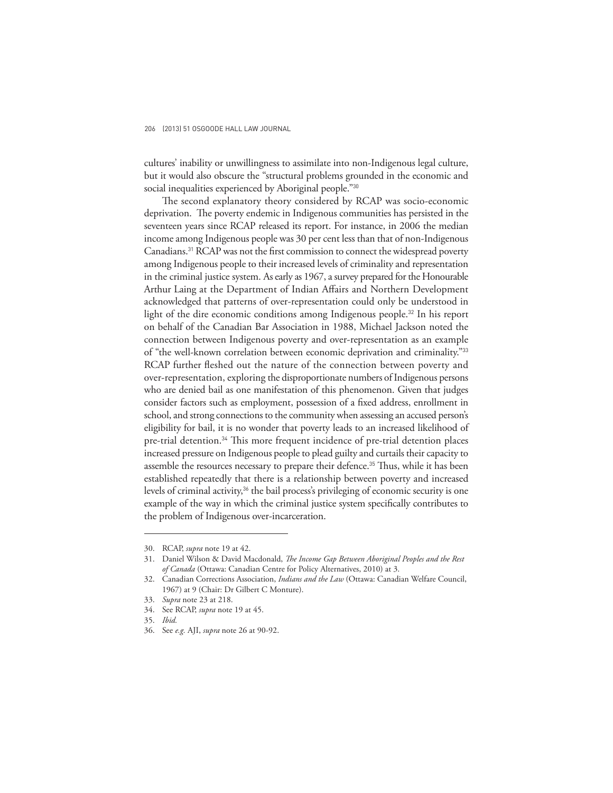cultures' inability or unwillingness to assimilate into non-Indigenous legal culture, but it would also obscure the "structural problems grounded in the economic and social inequalities experienced by Aboriginal people."30

The second explanatory theory considered by RCAP was socio-economic deprivation. The poverty endemic in Indigenous communities has persisted in the seventeen years since RCAP released its report. For instance, in 2006 the median income among Indigenous people was 30 per cent less than that of non-Indigenous Canadians.<sup>31</sup> RCAP was not the first commission to connect the widespread poverty among Indigenous people to their increased levels of criminality and representation in the criminal justice system. As early as 1967, a survey prepared for the Honourable Arthur Laing at the Department of Indian Affairs and Northern Development acknowledged that patterns of over-representation could only be understood in light of the dire economic conditions among Indigenous people.<sup>32</sup> In his report on behalf of the Canadian Bar Association in 1988, Michael Jackson noted the connection between Indigenous poverty and over-representation as an example of "the well-known correlation between economic deprivation and criminality."<sup>33</sup> RCAP further fleshed out the nature of the connection between poverty and over-representation, exploring the disproportionate numbers of Indigenous persons who are denied bail as one manifestation of this phenomenon. Given that judges consider factors such as employment, possession of a fixed address, enrollment in school, and strong connections to the community when assessing an accused person's eligibility for bail, it is no wonder that poverty leads to an increased likelihood of pre-trial detention.<sup>34</sup> This more frequent incidence of pre-trial detention places increased pressure on Indigenous people to plead guilty and curtails their capacity to assemble the resources necessary to prepare their defence.<sup>35</sup> Thus, while it has been established repeatedly that there is a relationship between poverty and increased levels of criminal activity,<sup>36</sup> the bail process's privileging of economic security is one example of the way in which the criminal justice system specifically contributes to the problem of Indigenous over-incarceration.

<sup>30.</sup> RCAP, *supra* note 19 at 42.

<sup>31.</sup> Daniel Wilson & David Macdonald, *The Income Gap Between Aboriginal Peoples and the Rest of Canada* (Ottawa: Canadian Centre for Policy Alternatives, 2010) at 3.

<sup>32.</sup> Canadian Corrections Association, *Indians and the Law* (Ottawa: Canadian Welfare Council, 1967) at 9 (Chair: Dr Gilbert C Monture).

<sup>33.</sup> *Supra* note 23 at 218.

<sup>34.</sup> See RCAP, *supra* note 19 at 45.

<sup>35.</sup> *Ibid.*

<sup>36.</sup> See *e.g.* AJI, *supra* note 26 at 90-92.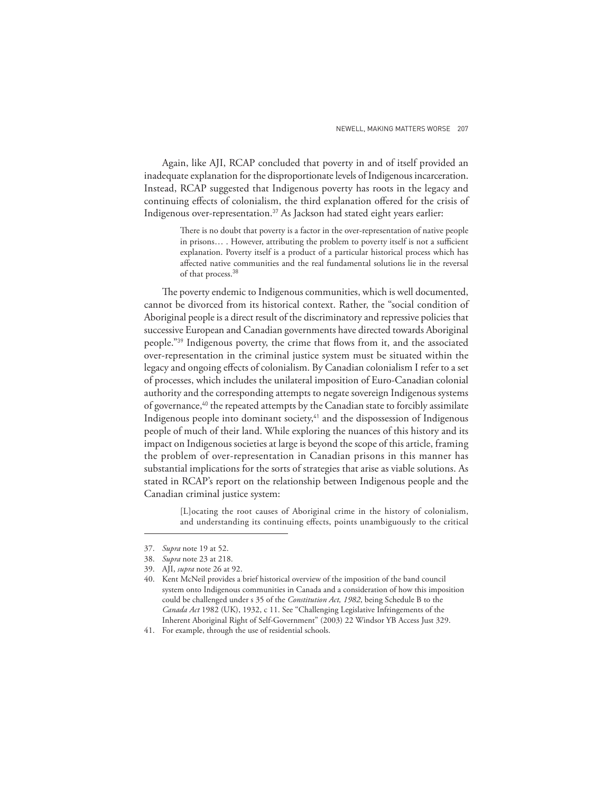Again, like AJI, RCAP concluded that poverty in and of itself provided an inadequate explanation for the disproportionate levels of Indigenous incarceration. Instead, RCAP suggested that Indigenous poverty has roots in the legacy and continuing effects of colonialism, the third explanation offered for the crisis of Indigenous over-representation.37 As Jackson had stated eight years earlier:

> There is no doubt that poverty is a factor in the over-representation of native people in prisons... . However, attributing the problem to poverty itself is not a sufficient explanation. Poverty itself is a product of a particular historical process which has affected native communities and the real fundamental solutions lie in the reversal of that process.<sup>38</sup>

The poverty endemic to Indigenous communities, which is well documented, cannot be divorced from its historical context. Rather, the "social condition of Aboriginal people is a direct result of the discriminatory and repressive policies that successive European and Canadian governments have directed towards Aboriginal people."<sup>39</sup> Indigenous poverty, the crime that flows from it, and the associated over-representation in the criminal justice system must be situated within the legacy and ongoing effects of colonialism. By Canadian colonialism I refer to a set of processes, which includes the unilateral imposition of Euro-Canadian colonial authority and the corresponding attempts to negate sovereign Indigenous systems of governance,<sup>40</sup> the repeated attempts by the Canadian state to forcibly assimilate Indigenous people into dominant society,<sup>41</sup> and the dispossession of Indigenous people of much of their land. While exploring the nuances of this history and its impact on Indigenous societies at large is beyond the scope of this article, framing the problem of over-representation in Canadian prisons in this manner has substantial implications for the sorts of strategies that arise as viable solutions. As stated in RCAP's report on the relationship between Indigenous people and the Canadian criminal justice system:

> [L]ocating the root causes of Aboriginal crime in the history of colonialism, and understanding its continuing effects, points unambiguously to the critical

41. For example, through the use of residential schools.

<sup>37.</sup> *Supra* note 19 at 52.

<sup>38.</sup> *Supra* note 23 at 218.

<sup>39.</sup> AJI, *supra* note 26 at 92.

<sup>40.</sup> Kent McNeil provides a brief historical overview of the imposition of the band council system onto Indigenous communities in Canada and a consideration of how this imposition could be challenged under s 35 of the *Constitution Act, 1982*, being Schedule B to the *Canada Act* 1982 (UK), 1932, c 11. See "Challenging Legislative Infringements of the Inherent Aboriginal Right of Self-Government" (2003) 22 Windsor YB Access Just 329.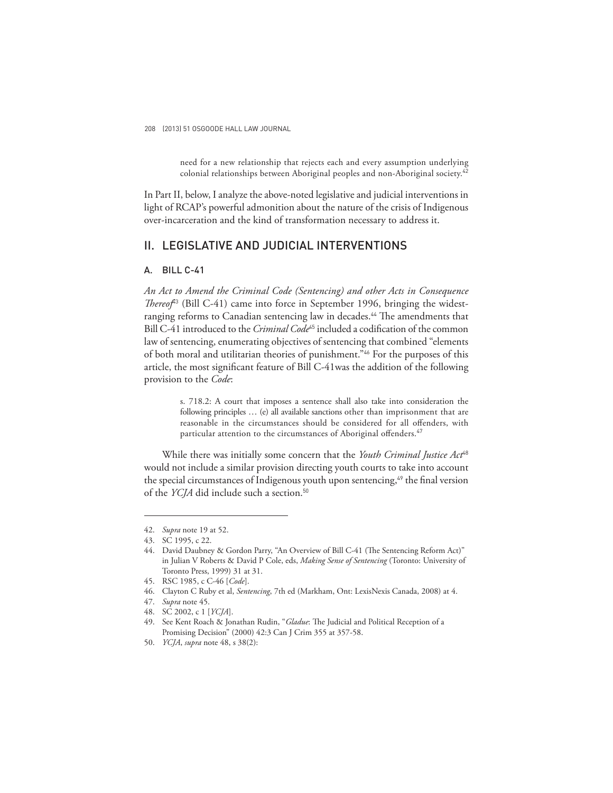need for a new relationship that rejects each and every assumption underlying colonial relationships between Aboriginal peoples and non-Aboriginal society.<sup>42</sup>

In Part II, below, I analyze the above-noted legislative and judicial interventions in light of RCAP's powerful admonition about the nature of the crisis of Indigenous over-incarceration and the kind of transformation necessary to address it.

# II. LEGISLATIVE AND JUDICIAL INTERVENTIONS

# A. BILL C-41

*An Act to Amend the Criminal Code (Sentencing) and other Acts in Consequence Thereof*<sup>43</sup> (Bill C-41) came into force in September 1996, bringing the widestranging reforms to Canadian sentencing law in decades.<sup>44</sup> The amendments that Bill C-41 introduced to the *Criminal Code*<sup>45</sup> included a codification of the common law of sentencing, enumerating objectives of sentencing that combined "elements of both moral and utilitarian theories of punishment."46 For the purposes of this article, the most significant feature of Bill C-41 was the addition of the following provision to the *Code*:

> s. 718.2: A court that imposes a sentence shall also take into consideration the following principles … (e) all available sanctions other than imprisonment that are reasonable in the circumstances should be considered for all offenders, with particular attention to the circumstances of Aboriginal offenders.<sup>47</sup>

While there was initially some concern that the *Youth Criminal Justice Act*<sup>48</sup> would not include a similar provision directing youth courts to take into account the special circumstances of Indigenous youth upon sentencing,<sup>49</sup> the final version of the *YCJA* did include such a section.<sup>50</sup>

<sup>42.</sup> *Supra* note 19 at 52.

<sup>43.</sup> SC 1995, c 22.

<sup>44.</sup> David Daubney & Gordon Parry, "An Overview of Bill C-41 (The Sentencing Reform Act)" in Julian V Roberts & David P Cole, eds, *Making Sense of Sentencing* (Toronto: University of Toronto Press, 1999) 31 at 31.

<sup>45.</sup> RSC 1985, c C-46 [*Code*].

<sup>46.</sup> Clayton C Ruby et al, *Sentencing*, 7th ed (Markham, Ont: LexisNexis Canada, 2008) at 4.

<sup>47.</sup> *Supra* note 45.

<sup>48.</sup> SC 2002, c 1 [*YCJA*].

<sup>49.</sup> See Kent Roach & Jonathan Rudin, "Gladue: The Judicial and Political Reception of a Promising Decision" (2000) 42:3 Can J Crim 355 at 357-58.

<sup>50.</sup> *YCJA*, *supra* note 48, s 38(2):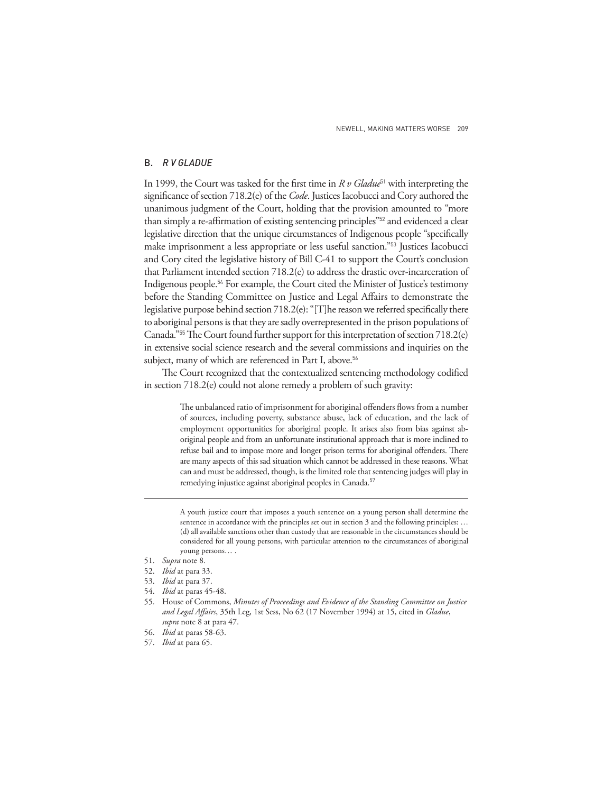### B. *R V GLADUE*

In 1999, the Court was tasked for the first time in *R v Gladue*<sup>51</sup> with interpreting the significance of section 718.2(e) of the *Code*. Justices Iacobucci and Cory authored the unanimous judgment of the Court, holding that the provision amounted to "more than simply a re-affirmation of existing sentencing principles"<sup>52</sup> and evidenced a clear legislative direction that the unique circumstances of Indigenous people "specifically make imprisonment a less appropriate or less useful sanction."53 Justices Iacobucci and Cory cited the legislative history of Bill C-41 to support the Court's conclusion that Parliament intended section 718.2(e) to address the drastic over-incarceration of Indigenous people.54 For example, the Court cited the Minister of Justice's testimony before the Standing Committee on Justice and Legal Affairs to demonstrate the legislative purpose behind section 718.2(e): "[T]he reason we referred specifically there to aboriginal persons is that they are sadly overrepresented in the prison populations of Canada." $55$  The Court found further support for this interpretation of section 718.2(e) in extensive social science research and the several commissions and inquiries on the subject, many of which are referenced in Part I, above.<sup>56</sup>

The Court recognized that the contextualized sentencing methodology codified in section 718.2(e) could not alone remedy a problem of such gravity:

> The unbalanced ratio of imprisonment for aboriginal offenders flows from a number of sources, including poverty, substance abuse, lack of education, and the lack of employment opportunities for aboriginal people. It arises also from bias against aboriginal people and from an unfortunate institutional approach that is more inclined to refuse bail and to impose more and longer prison terms for aboriginal offenders. There are many aspects of this sad situation which cannot be addressed in these reasons. What can and must be addressed, though, is the limited role that sentencing judges will play in remedying injustice against aboriginal peoples in Canada.<sup>57</sup>

> A youth justice court that imposes a youth sentence on a young person shall determine the sentence in accordance with the principles set out in section 3 and the following principles: ... (d) all available sanctions other than custody that are reasonable in the circumstances should be considered for all young persons, with particular attention to the circumstances of aboriginal young persons… .

- 53. *Ibid* at para 37.
- 54. *Ibid* at paras 45-48.
- 55. House of Commons, *Minutes of Proceedings and Evidence of the Standing Committee on Justice*  and Legal Affairs, 35th Leg, 1st Sess, No 62 (17 November 1994) at 15, cited in *Gladue*, *supra* note 8 at para 47.
- 56. *Ibid* at paras 58-63.
- 57. *Ibid* at para 65.

<sup>51.</sup> *Supra* note 8.

<sup>52.</sup> *Ibid* at para 33.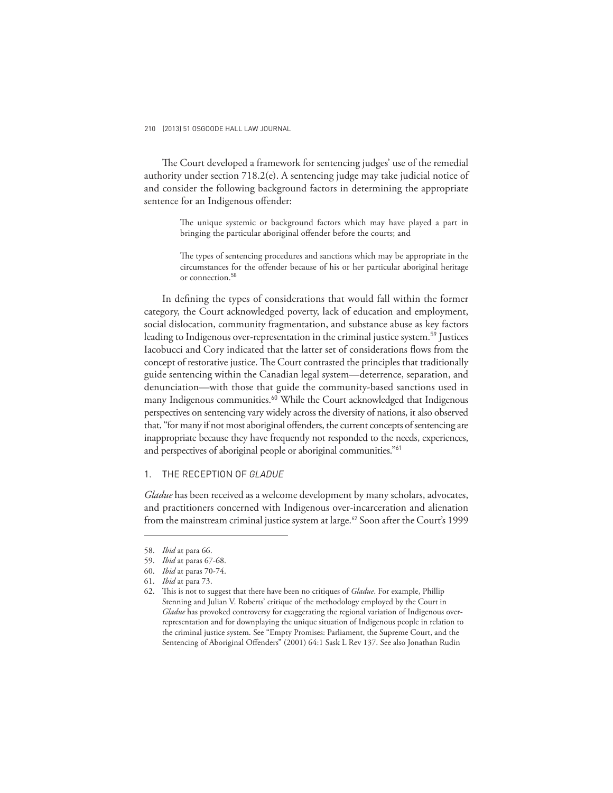The Court developed a framework for sentencing judges' use of the remedial authority under section 718.2(e). A sentencing judge may take judicial notice of and consider the following background factors in determining the appropriate sentence for an Indigenous offender:

> The unique systemic or background factors which may have played a part in bringing the particular aboriginal offender before the courts; and

> The types of sentencing procedures and sanctions which may be appropriate in the circumstances for the offender because of his or her particular aboriginal heritage or connection.<sup>58</sup>

In defining the types of considerations that would fall within the former category, the Court acknowledged poverty, lack of education and employment, social dislocation, community fragmentation, and substance abuse as key factors leading to Indigenous over-representation in the criminal justice system.<sup>59</sup> Justices Iacobucci and Cory indicated that the latter set of considerations flows from the concept of restorative justice. The Court contrasted the principles that traditionally guide sentencing within the Canadian legal system—deterrence, separation, and denunciation—with those that guide the community-based sanctions used in many Indigenous communities.<sup>60</sup> While the Court acknowledged that Indigenous perspectives on sentencing vary widely across the diversity of nations, it also observed that, "for many if not most aboriginal offenders, the current concepts of sentencing are inappropriate because they have frequently not responded to the needs, experiences, and perspectives of aboriginal people or aboriginal communities."<sup>61</sup>

# 1. THE RECEPTION OF *GLADUE*

*Gladue* has been received as a welcome development by many scholars, advocates, and practitioners concerned with Indigenous over-incarceration and alienation from the mainstream criminal justice system at large.<sup>62</sup> Soon after the Court's 1999

<sup>58.</sup> *Ibid* at para 66.

<sup>59.</sup> *Ibid* at paras 67-68.

<sup>60.</sup> *Ibid* at paras 70-74.

<sup>61.</sup> *Ibid* at para 73.

<sup>62.</sup> This is not to suggest that there have been no critiques of *Gladue*. For example, Phillip Stenning and Julian V. Roberts' critique of the methodology employed by the Court in *Gladue* has provoked controversy for exaggerating the regional variation of Indigenous overrepresentation and for downplaying the unique situation of Indigenous people in relation to the criminal justice system. See "Empty Promises: Parliament, the Supreme Court, and the Sentencing of Aboriginal Offenders" (2001) 64:1 Sask L Rev 137. See also Jonathan Rudin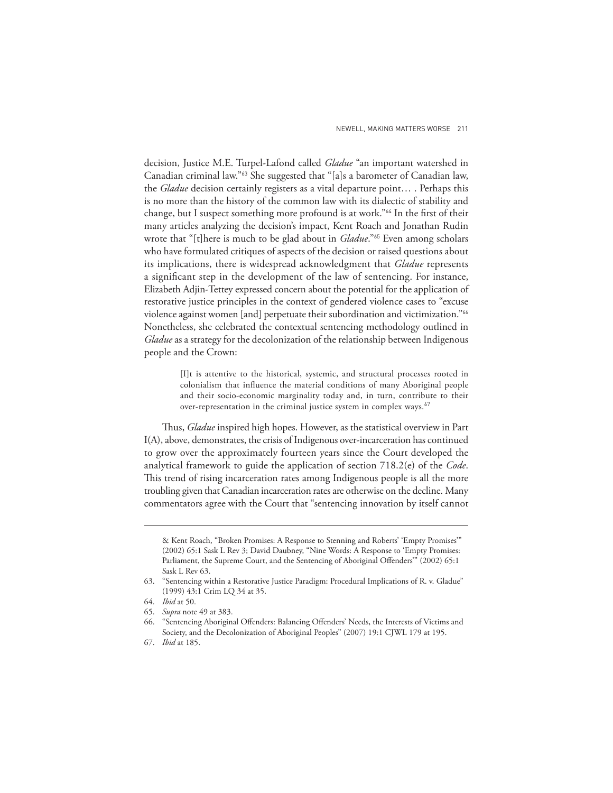decision, Justice M.E. Turpel-Lafond called *Gladue* "an important watershed in Canadian criminal law."63 She suggested that "[a]s a barometer of Canadian law, the *Gladue* decision certainly registers as a vital departure point… . Perhaps this is no more than the history of the common law with its dialectic of stability and change, but I suspect something more profound is at work."<sup>64</sup> In the first of their many articles analyzing the decision's impact, Kent Roach and Jonathan Rudin wrote that "[t]here is much to be glad about in *Gladue*."65 Even among scholars who have formulated critiques of aspects of the decision or raised questions about its implications, there is widespread acknowledgment that *Gladue* represents a significant step in the development of the law of sentencing. For instance, Elizabeth Adjin-Tettey expressed concern about the potential for the application of restorative justice principles in the context of gendered violence cases to "excuse violence against women [and] perpetuate their subordination and victimization."<sup>66</sup> Nonetheless, she celebrated the contextual sentencing methodology outlined in *Gladue* as a strategy for the decolonization of the relationship between Indigenous people and the Crown:

> [I]t is attentive to the historical, systemic, and structural processes rooted in colonialism that influence the material conditions of many Aboriginal people and their socio-economic marginality today and, in turn, contribute to their over-representation in the criminal justice system in complex ways. $67$

Thus, *Gladue* inspired high hopes. However, as the statistical overview in Part I(A), above, demonstrates, the crisis of Indigenous over-incarceration has continued to grow over the approximately fourteen years since the Court developed the analytical framework to guide the application of section 718.2(e) of the *Code*. This trend of rising incarceration rates among Indigenous people is all the more troubling given that Canadian incarceration rates are otherwise on the decline. Many commentators agree with the Court that "sentencing innovation by itself cannot

<sup>&</sup>amp; Kent Roach, "Broken Promises: A Response to Stenning and Roberts' 'Empty Promises'" (2002) 65:1 Sask L Rev 3; David Daubney, "Nine Words: A Response to 'Empty Promises: Parliament, the Supreme Court, and the Sentencing of Aboriginal Offenders" (2002) 65:1 Sask L Rev 63.

<sup>63. &</sup>quot;Sentencing within a Restorative Justice Paradigm: Procedural Implications of R. v. Gladue" (1999) 43:1 Crim LQ 34 at 35.

<sup>64.</sup> *Ibid* at 50.

<sup>65.</sup> *Supra* note 49 at 383.

<sup>66. &</sup>quot;Sentencing Aboriginal Offenders: Balancing Offenders' Needs, the Interests of Victims and Society, and the Decolonization of Aboriginal Peoples" (2007) 19:1 CJWL 179 at 195.

<sup>67.</sup> *Ibid* at 185.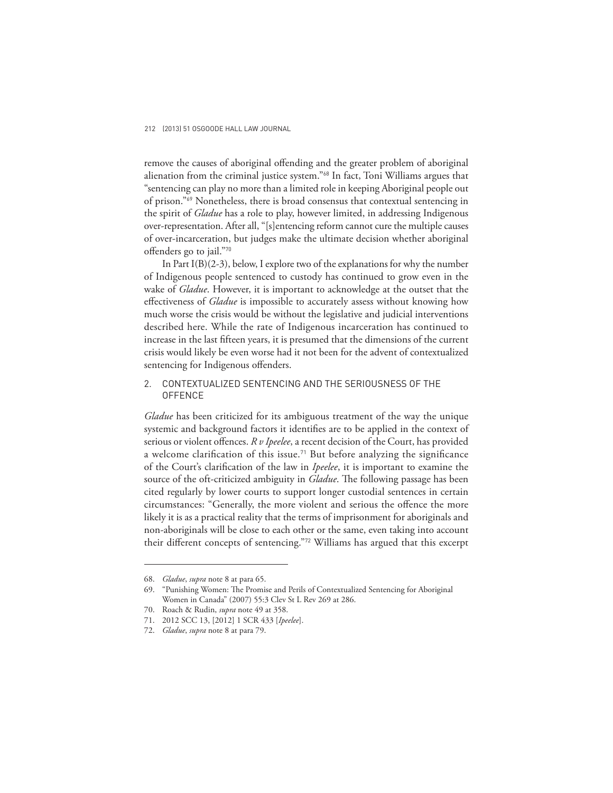remove the causes of aboriginal offending and the greater problem of aboriginal alienation from the criminal justice system."68 In fact, Toni Williams argues that "sentencing can play no more than a limited role in keeping Aboriginal people out of prison."69 Nonetheless, there is broad consensus that contextual sentencing in the spirit of *Gladue* has a role to play, however limited, in addressing Indigenous over-representation. After all, "[s]entencing reform cannot cure the multiple causes of over-incarceration, but judges make the ultimate decision whether aboriginal offenders go to jail."70

In Part I(B)(2-3), below, I explore two of the explanations for why the number of Indigenous people sentenced to custody has continued to grow even in the wake of *Gladue*. However, it is important to acknowledge at the outset that the effectiveness of *Gladue* is impossible to accurately assess without knowing how much worse the crisis would be without the legislative and judicial interventions described here. While the rate of Indigenous incarceration has continued to increase in the last fifteen years, it is presumed that the dimensions of the current crisis would likely be even worse had it not been for the advent of contextualized sentencing for Indigenous offenders.

# 2. CONTEXTUALIZED SENTENCING AND THE SERIOUSNESS OF THE **OFFENCE**

*Gladue* has been criticized for its ambiguous treatment of the way the unique systemic and background factors it identifies are to be applied in the context of serious or violent offences. *R v Ipeelee*, a recent decision of the Court, has provided a welcome clarification of this issue.<sup>71</sup> But before analyzing the significance of the Court's clarification of the law in *Ipeelee*, it is important to examine the source of the oft-criticized ambiguity in *Gladue*. The following passage has been cited regularly by lower courts to support longer custodial sentences in certain circumstances: "Generally, the more violent and serious the offence the more likely it is as a practical reality that the terms of imprisonment for aboriginals and non-aboriginals will be close to each other or the same, even taking into account their different concepts of sentencing."72 Williams has argued that this excerpt

<sup>68.</sup> *Gladue*, *supra* note 8 at para 65.

<sup>69. &</sup>quot;Punishing Women: The Promise and Perils of Contextualized Sentencing for Aboriginal Women in Canada" (2007) 55:3 Clev St L Rev 269 at 286.

<sup>70.</sup> Roach & Rudin, *supra* note 49 at 358.

<sup>71. 2012</sup> SCC 13, [2012] 1 SCR 433 [*Ipeelee*].

<sup>72.</sup> *Gladue*, *supra* note 8 at para 79.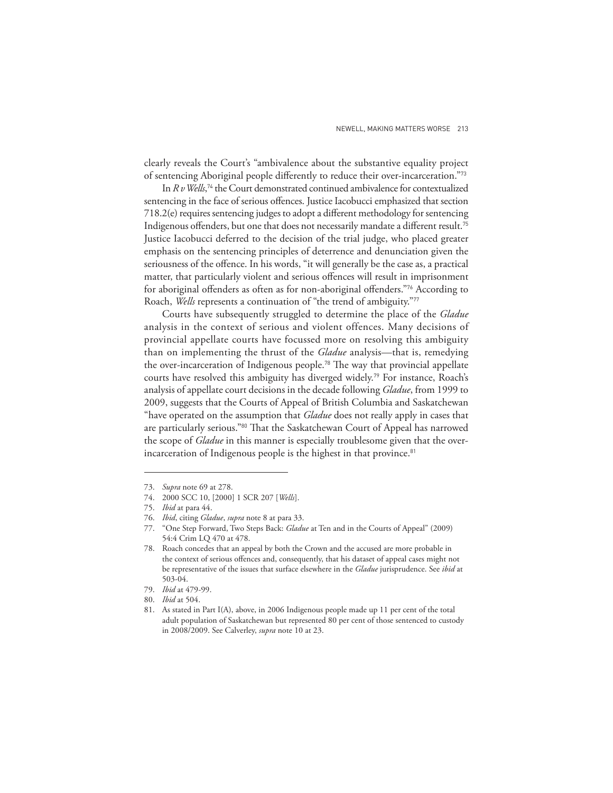clearly reveals the Court's "ambivalence about the substantive equality project of sentencing Aboriginal people differently to reduce their over-incarceration."73

In *R v Wells*, <sup>74</sup> the Court demonstrated continued ambivalence for contextualized sentencing in the face of serious offences. Justice Iacobucci emphasized that section 718.2(e) requires sentencing judges to adopt a different methodology for sentencing Indigenous offenders, but one that does not necessarily mandate a different result.<sup>75</sup> Justice Iacobucci deferred to the decision of the trial judge, who placed greater emphasis on the sentencing principles of deterrence and denunciation given the seriousness of the offence. In his words, "it will generally be the case as, a practical matter, that particularly violent and serious offences will result in imprisonment for aboriginal offenders as often as for non-aboriginal offenders."<sup>76</sup> According to Roach, *Wells* represents a continuation of "the trend of ambiguity."<sup>77</sup>

Courts have subsequently struggled to determine the place of the *Gladue* analysis in the context of serious and violent offences. Many decisions of provincial appellate courts have focussed more on resolving this ambiguity than on implementing the thrust of the *Gladue* analysis—that is, remedying the over-incarceration of Indigenous people.<sup>78</sup> The way that provincial appellate courts have resolved this ambiguity has diverged widely.79 For instance, Roach's analysis of appellate court decisions in the decade following *Gladue*, from 1999 to 2009, suggests that the Courts of Appeal of British Columbia and Saskatchewan "have operated on the assumption that *Gladue* does not really apply in cases that are particularly serious."80 That the Saskatchewan Court of Appeal has narrowed the scope of *Gladue* in this manner is especially troublesome given that the overincarceration of Indigenous people is the highest in that province.<sup>81</sup>

<sup>73.</sup> *Supra* note 69 at 278.

<sup>74. 2000</sup> SCC 10, [2000] 1 SCR 207 [*Wells*].

<sup>75.</sup> *Ibid* at para 44.

<sup>76.</sup> *Ibid*, citing *Gladue*, *supra* note 8 at para 33.

<sup>77. &</sup>quot;One Step Forward, Two Steps Back: *Gladue* at Ten and in the Courts of Appeal" (2009) 54:4 Crim LQ 470 at 478.

<sup>78.</sup> Roach concedes that an appeal by both the Crown and the accused are more probable in the context of serious offences and, consequently, that his dataset of appeal cases might not be representative of the issues that surface elsewhere in the *Gladue* jurisprudence. See *ibid* at 503-04.

<sup>79.</sup> *Ibid* at 479-99.

<sup>80.</sup> *Ibid* at 504.

<sup>81.</sup> As stated in Part I(A), above, in 2006 Indigenous people made up 11 per cent of the total adult population of Saskatchewan but represented 80 per cent of those sentenced to custody in 2008/2009. See Calverley, *supra* note 10 at 23.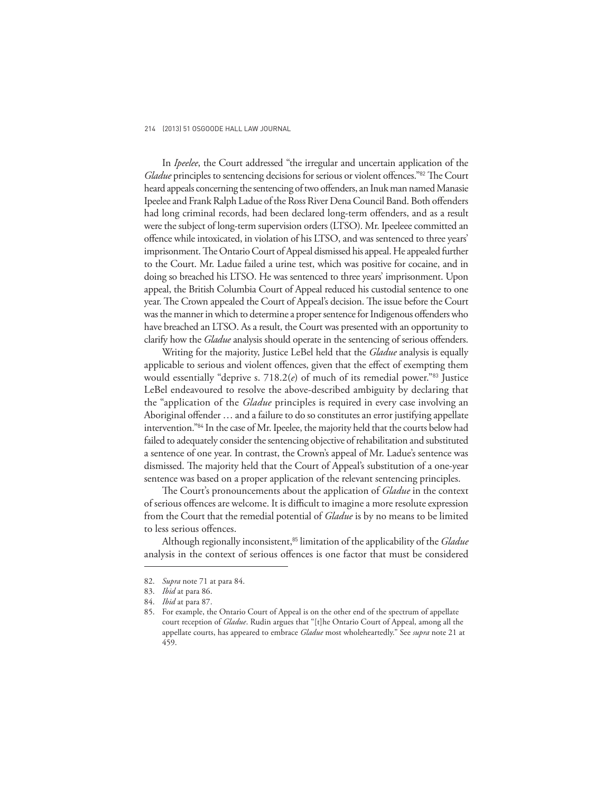In *Ipeelee*, the Court addressed "the irregular and uncertain application of the *Gladue* principles to sentencing decisions for serious or violent offences."<sup>82</sup> The Court heard appeals concerning the sentencing of two offenders, an Inuk man named Manasie Ipeelee and Frank Ralph Ladue of the Ross River Dena Council Band. Both offenders had long criminal records, had been declared long-term offenders, and as a result were the subject of long-term supervision orders (LTSO). Mr. Ipeeleee committed an offence while intoxicated, in violation of his LTSO, and was sentenced to three years' imprisonment. The Ontario Court of Appeal dismissed his appeal. He appealed further to the Court. Mr. Ladue failed a urine test, which was positive for cocaine, and in doing so breached his LTSO. He was sentenced to three years' imprisonment. Upon appeal, the British Columbia Court of Appeal reduced his custodial sentence to one year. The Crown appealed the Court of Appeal's decision. The issue before the Court was the manner in which to determine a proper sentence for Indigenous offenders who have breached an LTSO. As a result, the Court was presented with an opportunity to clarify how the *Gladue* analysis should operate in the sentencing of serious offenders.

Writing for the majority, Justice LeBel held that the *Gladue* analysis is equally applicable to serious and violent offences, given that the effect of exempting them would essentially "deprive s. 718.2(*e*) of much of its remedial power."83 Justice LeBel endeavoured to resolve the above-described ambiguity by declaring that the "application of the *Gladue* principles is required in every case involving an Aboriginal offender  $\dots$  and a failure to do so constitutes an error justifying appellate intervention."84 In the case of Mr. Ipeelee, the majority held that the courts below had failed to adequately consider the sentencing objective of rehabilitation and substituted a sentence of one year. In contrast, the Crown's appeal of Mr. Ladue's sentence was dismissed. The majority held that the Court of Appeal's substitution of a one-year sentence was based on a proper application of the relevant sentencing principles.

The Court's pronouncements about the application of *Gladue* in the context of serious offences are welcome. It is difficult to imagine a more resolute expression from the Court that the remedial potential of *Gladue* is by no means to be limited to less serious offences.

Although regionally inconsistent,85 limitation of the applicability of the *Gladue* analysis in the context of serious offences is one factor that must be considered

<sup>82.</sup> *Supra* note 71 at para 84.

<sup>83.</sup> *Ibid* at para 86.

<sup>84.</sup> *Ibid* at para 87.

<sup>85.</sup> For example, the Ontario Court of Appeal is on the other end of the spectrum of appellate court reception of *Gladue*. Rudin argues that "[t]he Ontario Court of Appeal, among all the appellate courts, has appeared to embrace *Gladue* most wholeheartedly." See *supra* note 21 at 459.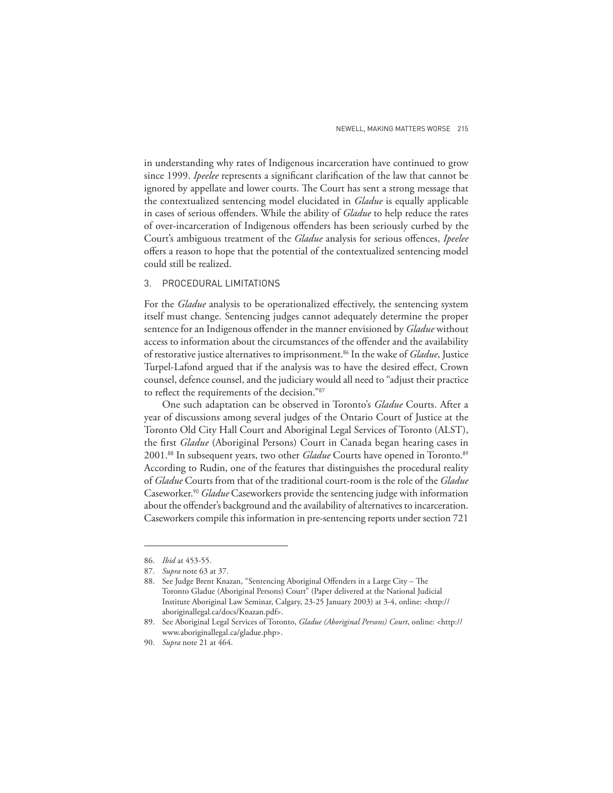in understanding why rates of Indigenous incarceration have continued to grow since 1999. *Ipeelee* represents a significant clarification of the law that cannot be ignored by appellate and lower courts. The Court has sent a strong message that the contextualized sentencing model elucidated in *Gladue* is equally applicable in cases of serious offenders. While the ability of *Gladue* to help reduce the rates of over-incarceration of Indigenous offenders has been seriously curbed by the Court's ambiguous treatment of the *Gladue* analysis for serious offences, *Ipeelee* offers a reason to hope that the potential of the contextualized sentencing model could still be realized.

### 3. PROCEDURAL LIMITATIONS

For the *Gladue* analysis to be operationalized effectively, the sentencing system itself must change. Sentencing judges cannot adequately determine the proper sentence for an Indigenous offender in the manner envisioned by *Gladue* without access to information about the circumstances of the offender and the availability of restorative justice alternatives to imprisonment.86 In the wake of *Gladue*, Justice Turpel-Lafond argued that if the analysis was to have the desired effect, Crown counsel, defence counsel, and the judiciary would all need to "adjust their practice to reflect the requirements of the decision."87

One such adaptation can be observed in Toronto's *Gladue* Courts. After a year of discussions among several judges of the Ontario Court of Justice at the Toronto Old City Hall Court and Aboriginal Legal Services of Toronto (ALST), the first *Gladue* (Aboriginal Persons) Court in Canada began hearing cases in 2001.<sup>88</sup> In subsequent years, two other *Gladue* Courts have opened in Toronto.<sup>89</sup> According to Rudin, one of the features that distinguishes the procedural reality of *Gladue* Courts from that of the traditional court-room is the role of the *Gladue*  Caseworker.<sup>90</sup> *Gladue* Caseworkers provide the sentencing judge with information about the offender's background and the availability of alternatives to incarceration. Caseworkers compile this information in pre-sentencing reports under section 721

<sup>86.</sup> *Ibid* at 453-55.

<sup>87.</sup> *Supra* note 63 at 37.

<sup>88.</sup> See Judge Brent Knazan, "Sentencing Aboriginal Offenders in a Large City - The Toronto Gladue (Aboriginal Persons) Court" (Paper delivered at the National Judicial Institute Aboriginal Law Seminar, Calgary, 23-25 January 2003) at 3-4, online: <http:// aboriginallegal.ca/docs/Knazan.pdf>.

<sup>89.</sup> See Aboriginal Legal Services of Toronto, *Gladue (Aboriginal Persons) Court*, online: <http:// www.aboriginallegal.ca/gladue.php>.

<sup>90.</sup> *Supra* note 21 at 464.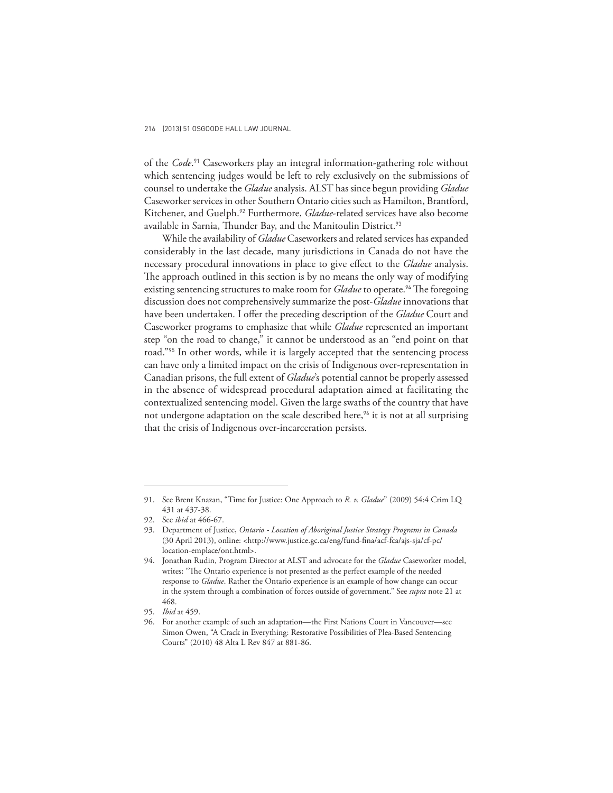of the *Code*. <sup>91</sup> Caseworkers play an integral information-gathering role without which sentencing judges would be left to rely exclusively on the submissions of counsel to undertake the *Gladue* analysis. ALST has since begun providing *Gladue* Caseworker services in other Southern Ontario cities such as Hamilton, Brantford, Kitchener, and Guelph.92 Furthermore, *Gladue*-related services have also become available in Sarnia, Thunder Bay, and the Manitoulin District.<sup>93</sup>

While the availability of *Gladue* Caseworkers and related services has expanded considerably in the last decade, many jurisdictions in Canada do not have the necessary procedural innovations in place to give effect to the *Gladue* analysis. The approach outlined in this section is by no means the only way of modifying existing sentencing structures to make room for *Gladue* to operate.<sup>94</sup> The foregoing discussion does not comprehensively summarize the post-*Gladue* innovations that have been undertaken. I offer the preceding description of the *Gladue* Court and Caseworker programs to emphasize that while *Gladue* represented an important step "on the road to change," it cannot be understood as an "end point on that road."95 In other words, while it is largely accepted that the sentencing process can have only a limited impact on the crisis of Indigenous over-representation in Canadian prisons, the full extent of *Gladue*'s potential cannot be properly assessed in the absence of widespread procedural adaptation aimed at facilitating the contextualized sentencing model. Given the large swaths of the country that have not undergone adaptation on the scale described here,<sup>96</sup> it is not at all surprising that the crisis of Indigenous over-incarceration persists.

<sup>91.</sup> See Brent Knazan, "Time for Justice: One Approach to *R. v. Gladue*" (2009) 54:4 Crim LQ 431 at 437-38.

<sup>92.</sup> See *ibid* at 466-67.

<sup>93.</sup> Department of Justice, *Ontario - Location of Aboriginal Justice Strategy Programs in Canada* (30 April 2013), online: <http://www.justice.gc.ca/eng/fund-fi na/acf-fca/ajs-sja/cf-pc/ location-emplace/ont.html>.

<sup>94.</sup> Jonathan Rudin, Program Director at ALST and advocate for the *Gladue* Caseworker model, writes: "The Ontario experience is not presented as the perfect example of the needed response to *Gladue*. Rather the Ontario experience is an example of how change can occur in the system through a combination of forces outside of government." See *supra* note 21 at 468.

<sup>95.</sup> *Ibid* at 459.

<sup>96.</sup> For another example of such an adaptation—the First Nations Court in Vancouver—see Simon Owen, "A Crack in Everything: Restorative Possibilities of Plea-Based Sentencing Courts" (2010) 48 Alta L Rev 847 at 881-86.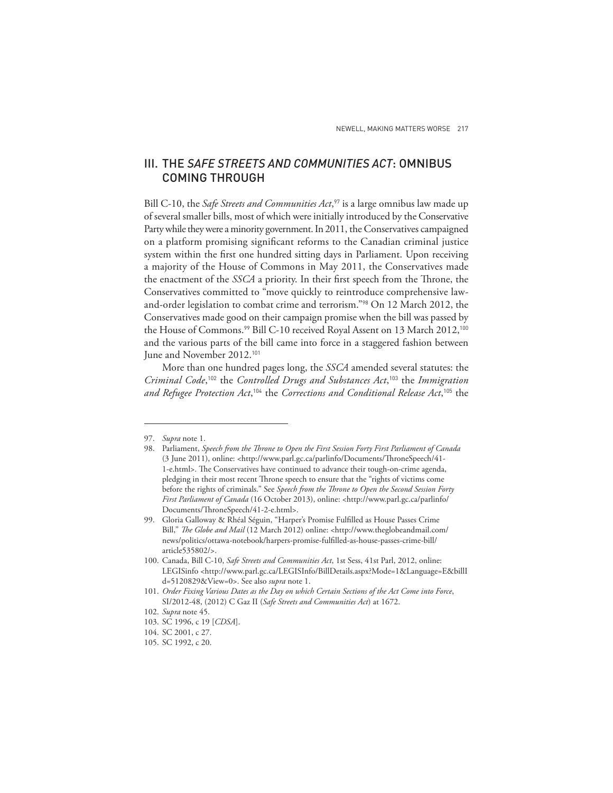# III. THE *SAFE STREETS AND COMMUNITIES ACT*: OMNIBUS COMING THROUGH

Bill C-10, the *Safe Streets and Communities Act*, <sup>97</sup> is a large omnibus law made up of several smaller bills, most of which were initially introduced by the Conservative Party while they were a minority government. In 2011, the Conservatives campaigned on a platform promising significant reforms to the Canadian criminal justice system within the first one hundred sitting days in Parliament. Upon receiving a majority of the House of Commons in May 2011, the Conservatives made the enactment of the *SSCA* a priority. In their first speech from the Throne, the Conservatives committed to "move quickly to reintroduce comprehensive lawand-order legislation to combat crime and terrorism."98 On 12 March 2012, the Conservatives made good on their campaign promise when the bill was passed by the House of Commons.<sup>99</sup> Bill C-10 received Royal Assent on 13 March 2012,<sup>100</sup> and the various parts of the bill came into force in a staggered fashion between June and November 2012.<sup>101</sup>

More than one hundred pages long, the *SSCA* amended several statutes: the *Criminal Code*, <sup>102</sup> the *Controlled Drugs and Substances Act*, <sup>103</sup> the *Immigration and Refugee Protection Act*, <sup>104</sup> the *Corrections and Conditional Release Act*, <sup>105</sup> the

<sup>97.</sup> *Supra* note 1.

<sup>98.</sup> Parliament, *Speech from the Throne to Open the First Session Forty First Parliament of Canada* (3 June 2011), online: <http://www.parl.gc.ca/parlinfo/Documents/ThroneSpeech/41-1-e.html>. The Conservatives have continued to advance their tough-on-crime agenda, pledging in their most recent Throne speech to ensure that the "rights of victims come before the rights of criminals." See Speech from the Throne to Open the Second Session Forty *First Parliament of Canada* (16 October 2013), online: <http://www.parl.gc.ca/parlinfo/ Documents/ThroneSpeech/41-2-e.html>.

<sup>99.</sup> Gloria Galloway & Rhéal Séguin, "Harper's Promise Fulfilled as House Passes Crime Bill," *The Globe and Mail* (12 March 2012) online: <http://www.theglobeandmail.com/ news/politics/ottawa-notebook/harpers-promise-fulfi lled-as-house-passes-crime-bill/ article535802/>.

<sup>100.</sup> Canada, Bill C-10, *Safe Streets and Communities Act*, 1st Sess, 41st Parl, 2012, online: LEGISinfo <http://www.parl.gc.ca/LEGISInfo/BillDetails.aspx?Mode=1&Language=E&billI d=5120829&View=0>. See also *supra* note 1.

<sup>101.</sup> *Order Fixing Various Dates as the Day on which Certain Sections of the Act Come into Force*, SI/2012-48, (2012) C Gaz II (*Safe Streets and Communities Act*) at 1672.

<sup>102.</sup> *Supra* note 45.

<sup>103.</sup> SC 1996, c 19 [*CDSA*].

<sup>104.</sup> SC 2001, c 27.

<sup>105.</sup> SC 1992, c 20.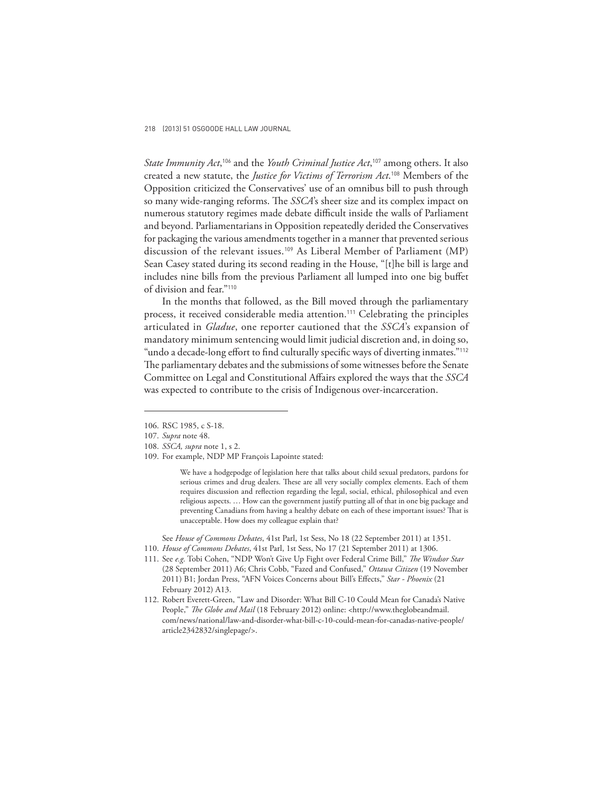*State Immunity Act*, <sup>106</sup> and the *Youth Criminal Justice Act*, <sup>107</sup> among others. It also created a new statute, the *Justice for Victims of Terrorism Act*. <sup>108</sup> Members of the Opposition criticized the Conservatives' use of an omnibus bill to push through so many wide-ranging reforms. The *SSCA*'s sheer size and its complex impact on numerous statutory regimes made debate difficult inside the walls of Parliament and beyond. Parliamentarians in Opposition repeatedly derided the Conservatives for packaging the various amendments together in a manner that prevented serious discussion of the relevant issues.<sup>109</sup> As Liberal Member of Parliament (MP) Sean Casey stated during its second reading in the House, "[t]he bill is large and includes nine bills from the previous Parliament all lumped into one big buffet of division and fear."<sup>110</sup>

In the months that followed, as the Bill moved through the parliamentary process, it received considerable media attention.<sup>111</sup> Celebrating the principles articulated in *Gladue*, one reporter cautioned that the *SSCA*'s expansion of mandatory minimum sentencing would limit judicial discretion and, in doing so, "undo a decade-long effort to find culturally specific ways of diverting inmates."<sup>112</sup> The parliamentary debates and the submissions of some witnesses before the Senate Committee on Legal and Constitutional Affairs explored the ways that the *SSCA* was expected to contribute to the crisis of Indigenous over-incarceration.

We have a hodgepodge of legislation here that talks about child sexual predators, pardons for serious crimes and drug dealers. These are all very socially complex elements. Each of them requires discussion and reflection regarding the legal, social, ethical, philosophical and even religious aspects. … How can the government justify putting all of that in one big package and preventing Canadians from having a healthy debate on each of these important issues? That is unacceptable. How does my colleague explain that?

 See *House of Commons Debates*, 41st Parl, 1st Sess, No 18 (22 September 2011) at 1351. 110. *House of Commons Debates*, 41st Parl, 1st Sess, No 17 (21 September 2011) at 1306.

111. See e.g. Tobi Cohen, "NDP Won't Give Up Fight over Federal Crime Bill," The Windsor Star (28 September 2011) A6; Chris Cobb, "Fazed and Confused," *Ottawa Citizen* (19 November 2011) B1; Jordan Press, "AFN Voices Concerns about Bill's Effects," Star - Phoenix (21 February 2012) A13.

<sup>106.</sup> RSC 1985, c S-18.

<sup>107.</sup> *Supra* note 48.

<sup>108.</sup> *SSCA, supra* note 1, s 2.

<sup>109.</sup> For example, NDP MP François Lapointe stated:

<sup>112.</sup> Robert Everett-Green, "Law and Disorder: What Bill C-10 Could Mean for Canada's Native People," *The Globe and Mail* (18 February 2012) online: <http://www.theglobeandmail. com/news/national/law-and-disorder-what-bill-c-10-could-mean-for-canadas-native-people/ article2342832/singlepage/>.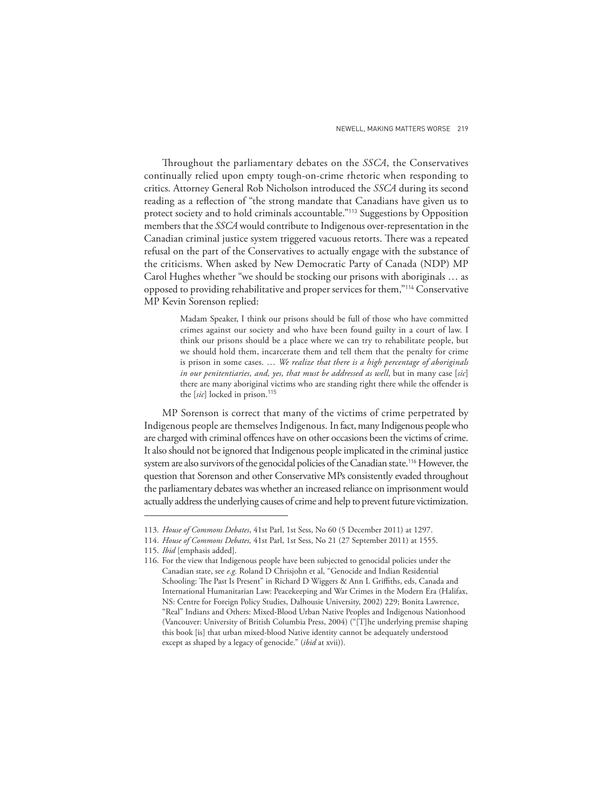Throughout the parliamentary debates on the *SSCA*, the Conservatives continually relied upon empty tough-on-crime rhetoric when responding to critics. Attorney General Rob Nicholson introduced the *SSCA* during its second reading as a reflection of "the strong mandate that Canadians have given us to protect society and to hold criminals accountable."113 Suggestions by Opposition members that the *SSCA* would contribute to Indigenous over-representation in the Canadian criminal justice system triggered vacuous retorts. There was a repeated refusal on the part of the Conservatives to actually engage with the substance of the criticisms. When asked by New Democratic Party of Canada (NDP) MP Carol Hughes whether "we should be stocking our prisons with aboriginals … as opposed to providing rehabilitative and proper services for them,"114 Conservative MP Kevin Sorenson replied:

> Madam Speaker, I think our prisons should be full of those who have committed crimes against our society and who have been found guilty in a court of law. I think our prisons should be a place where we can try to rehabilitate people, but we should hold them, incarcerate them and tell them that the penalty for crime is prison in some cases. … *We realize that there is a high percentage of aboriginals in our penitentiaries, and, yes, that must be addressed as well*, but in many case [*sic*] there are many aboriginal victims who are standing right there while the offender is the [sic] locked in prison.<sup>115</sup>

MP Sorenson is correct that many of the victims of crime perpetrated by Indigenous people are themselves Indigenous. In fact, many Indigenous people who are charged with criminal offences have on other occasions been the victims of crime. It also should not be ignored that Indigenous people implicated in the criminal justice system are also survivors of the genocidal policies of the Canadian state.<sup>116</sup> However, the question that Sorenson and other Conservative MPs consistently evaded throughout the parliamentary debates was whether an increased reliance on imprisonment would actually address the underlying causes of crime and help to prevent future victimization.

<sup>113.</sup> *House of Commons Debates*, 41st Parl, 1st Sess, No 60 (5 December 2011) at 1297.

<sup>114.</sup> *House of Commons Debates,* 41st Parl, 1st Sess, No 21 (27 September 2011) at 1555.

<sup>115.</sup> *Ibid* [emphasis added].

<sup>116.</sup> For the view that Indigenous people have been subjected to genocidal policies under the Canadian state, see *e.g.* Roland D Chrisjohn et al, "Genocide and Indian Residential Schooling: The Past Is Present" in Richard D Wiggers & Ann L Griffiths, eds, Canada and International Humanitarian Law: Peacekeeping and War Crimes in the Modern Era (Halifax, NS: Centre for Foreign Policy Studies, Dalhousie University, 2002) 229; Bonita Lawrence, "Real" Indians and Others: Mixed-Blood Urban Native Peoples and Indigenous Nationhood (Vancouver: University of British Columbia Press, 2004) ("[T]he underlying premise shaping this book [is] that urban mixed-blood Native identity cannot be adequately understood except as shaped by a legacy of genocide." (*ibid* at xvii)).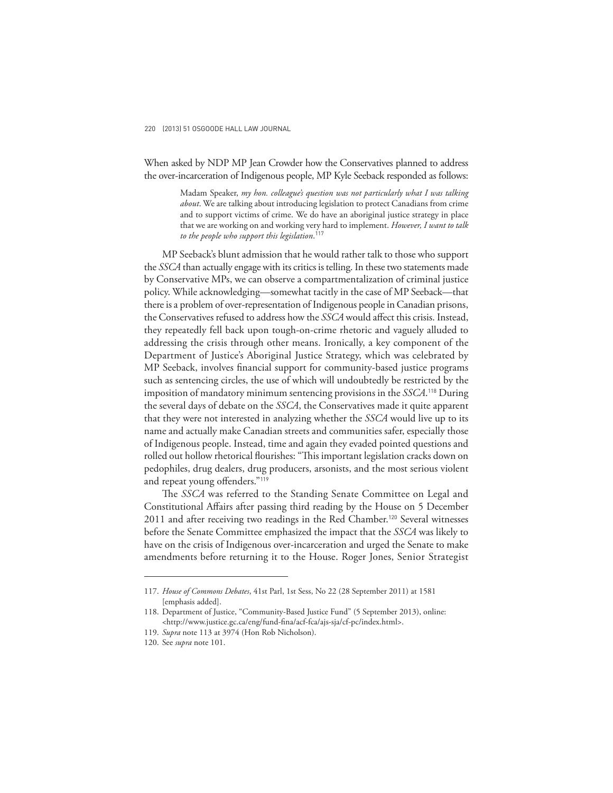When asked by NDP MP Jean Crowder how the Conservatives planned to address the over-incarceration of Indigenous people, MP Kyle Seeback responded as follows:

> Madam Speaker, *my hon. colleague's question was not particularly what I was talking about*. We are talking about introducing legislation to protect Canadians from crime and to support victims of crime. We do have an aboriginal justice strategy in place that we are working on and working very hard to implement. *However, I want to talk to the people who support this legislation*. 117

MP Seeback's blunt admission that he would rather talk to those who support the *SSCA* than actually engage with its critics is telling. In these two statements made by Conservative MPs, we can observe a compartmentalization of criminal justice policy. While acknowledging—somewhat tacitly in the case of MP Seeback—that there is a problem of over-representation of Indigenous people in Canadian prisons, the Conservatives refused to address how the *SSCA* would affect this crisis. Instead, they repeatedly fell back upon tough-on-crime rhetoric and vaguely alluded to addressing the crisis through other means. Ironically, a key component of the Department of Justice's Aboriginal Justice Strategy, which was celebrated by MP Seeback, involves financial support for community-based justice programs such as sentencing circles, the use of which will undoubtedly be restricted by the imposition of mandatory minimum sentencing provisions in the *SSCA*. <sup>118</sup> During the several days of debate on the *SSCA*, the Conservatives made it quite apparent that they were not interested in analyzing whether the *SSCA* would live up to its name and actually make Canadian streets and communities safer, especially those of Indigenous people. Instead, time and again they evaded pointed questions and rolled out hollow rhetorical flourishes: "This important legislation cracks down on pedophiles, drug dealers, drug producers, arsonists, and the most serious violent and repeat young offenders."<sup>119</sup>

The *SSCA* was referred to the Standing Senate Committee on Legal and Constitutional Affairs after passing third reading by the House on 5 December 2011 and after receiving two readings in the Red Chamber.120 Several witnesses before the Senate Committee emphasized the impact that the *SSCA* was likely to have on the crisis of Indigenous over-incarceration and urged the Senate to make amendments before returning it to the House. Roger Jones, Senior Strategist

<sup>117.</sup> *House of Commons Debates*, 41st Parl, 1st Sess, No 22 (28 September 2011) at 1581 [emphasis added].

<sup>118.</sup> Department of Justice, "Community-Based Justice Fund" (5 September 2013), online: <http://www.justice.gc.ca/eng/fund-fi na/acf-fca/ajs-sja/cf-pc/index.html>.

<sup>119.</sup> *Supra* note 113 at 3974 (Hon Rob Nicholson).

<sup>120.</sup> See *supra* note 101.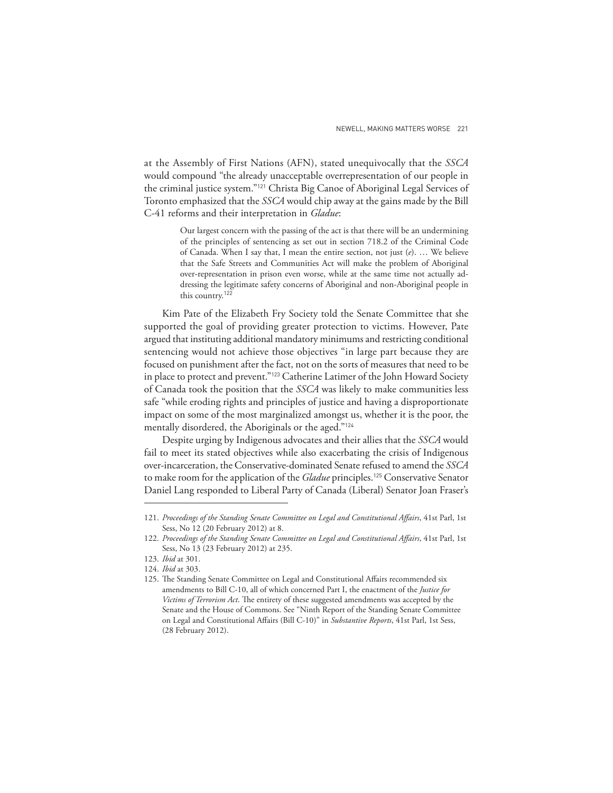at the Assembly of First Nations (AFN), stated unequivocally that the *SSCA* would compound "the already unacceptable overrepresentation of our people in the criminal justice system."121 Christa Big Canoe of Aboriginal Legal Services of Toronto emphasized that the *SSCA* would chip away at the gains made by the Bill C-41 reforms and their interpretation in *Gladue*:

> Our largest concern with the passing of the act is that there will be an undermining of the principles of sentencing as set out in section 718.2 of the Criminal Code of Canada. When I say that, I mean the entire section, not just (*e*). … We believe that the Safe Streets and Communities Act will make the problem of Aboriginal over-representation in prison even worse, while at the same time not actually addressing the legitimate safety concerns of Aboriginal and non-Aboriginal people in this country.<sup>122</sup>

Kim Pate of the Elizabeth Fry Society told the Senate Committee that she supported the goal of providing greater protection to victims. However, Pate argued that instituting additional mandatory minimums and restricting conditional sentencing would not achieve those objectives "in large part because they are focused on punishment after the fact, not on the sorts of measures that need to be in place to protect and prevent."123 Catherine Latimer of the John Howard Society of Canada took the position that the *SSCA* was likely to make communities less safe "while eroding rights and principles of justice and having a disproportionate impact on some of the most marginalized amongst us, whether it is the poor, the mentally disordered, the Aboriginals or the aged."<sup>124</sup>

Despite urging by Indigenous advocates and their allies that the *SSCA* would fail to meet its stated objectives while also exacerbating the crisis of Indigenous over-incarceration, the Conservative-dominated Senate refused to amend the *SSCA* to make room for the application of the *Gladue* principles.125 Conservative Senator Daniel Lang responded to Liberal Party of Canada (Liberal) Senator Joan Fraser's

<sup>121.</sup> Proceedings of the Standing Senate Committee on Legal and Constitutional Affairs, 41st Parl, 1st Sess, No 12 (20 February 2012) at 8.

<sup>122.</sup> Proceedings of the Standing Senate Committee on Legal and Constitutional Affairs, 41st Parl, 1st Sess, No 13 (23 February 2012) at 235.

<sup>123.</sup> *Ibid* at 301.

<sup>124.</sup> *Ibid* at 303.

<sup>125.</sup> The Standing Senate Committee on Legal and Constitutional Affairs recommended six amendments to Bill C-10, all of which concerned Part I, the enactment of the *Justice for*  Victims of Terrorism Act. The entirety of these suggested amendments was accepted by the Senate and the House of Commons. See "Ninth Report of the Standing Senate Committee on Legal and Constitutional Affairs (Bill C-10)" in *Substantive Reports*, 41st Parl, 1st Sess, (28 February 2012).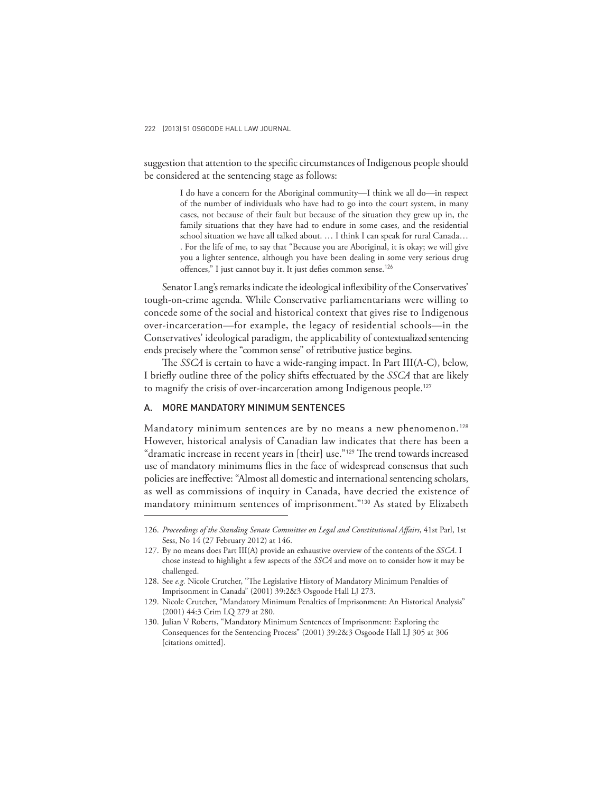suggestion that attention to the specific circumstances of Indigenous people should be considered at the sentencing stage as follows:

> I do have a concern for the Aboriginal community—I think we all do—in respect of the number of individuals who have had to go into the court system, in many cases, not because of their fault but because of the situation they grew up in, the family situations that they have had to endure in some cases, and the residential school situation we have all talked about. … I think I can speak for rural Canada… . For the life of me, to say that "Because you are Aboriginal, it is okay; we will give you a lighter sentence, although you have been dealing in some very serious drug offences," I just cannot buy it. It just defies common sense.<sup>126</sup>

Senator Lang's remarks indicate the ideological inflexibility of the Conservatives' tough-on-crime agenda. While Conservative parliamentarians were willing to concede some of the social and historical context that gives rise to Indigenous over-incarceration—for example, the legacy of residential schools—in the Conservatives' ideological paradigm, the applicability of contextualized sentencing ends precisely where the "common sense" of retributive justice begins.

The *SSCA* is certain to have a wide-ranging impact. In Part III(A-C), below, I briefly outline three of the policy shifts effectuated by the *SSCA* that are likely to magnify the crisis of over-incarceration among Indigenous people.<sup>127</sup>

## A. MORE MANDATORY MINIMUM SENTENCES

Mandatory minimum sentences are by no means a new phenomenon.<sup>128</sup> However, historical analysis of Canadian law indicates that there has been a "dramatic increase in recent years in [their] use."<sup>129</sup> The trend towards increased use of mandatory minimums flies in the face of widespread consensus that such policies are ineffective: "Almost all domestic and international sentencing scholars, as well as commissions of inquiry in Canada, have decried the existence of mandatory minimum sentences of imprisonment."130 As stated by Elizabeth

<sup>126.</sup> Proceedings of the Standing Senate Committee on Legal and Constitutional Affairs, 41st Parl, 1st Sess, No 14 (27 February 2012) at 146.

<sup>127.</sup> By no means does Part III(A) provide an exhaustive overview of the contents of the *SSCA*. I chose instead to highlight a few aspects of the *SSCA* and move on to consider how it may be challenged.

<sup>128.</sup> See e.g. Nicole Crutcher, "The Legislative History of Mandatory Minimum Penalties of Imprisonment in Canada" (2001) 39:2&3 Osgoode Hall LJ 273.

<sup>129.</sup> Nicole Crutcher, "Mandatory Minimum Penalties of Imprisonment: An Historical Analysis" (2001) 44:3 Crim LQ 279 at 280.

<sup>130.</sup> Julian V Roberts, "Mandatory Minimum Sentences of Imprisonment: Exploring the Consequences for the Sentencing Process" (2001) 39:2&3 Osgoode Hall LJ 305 at 306 [citations omitted].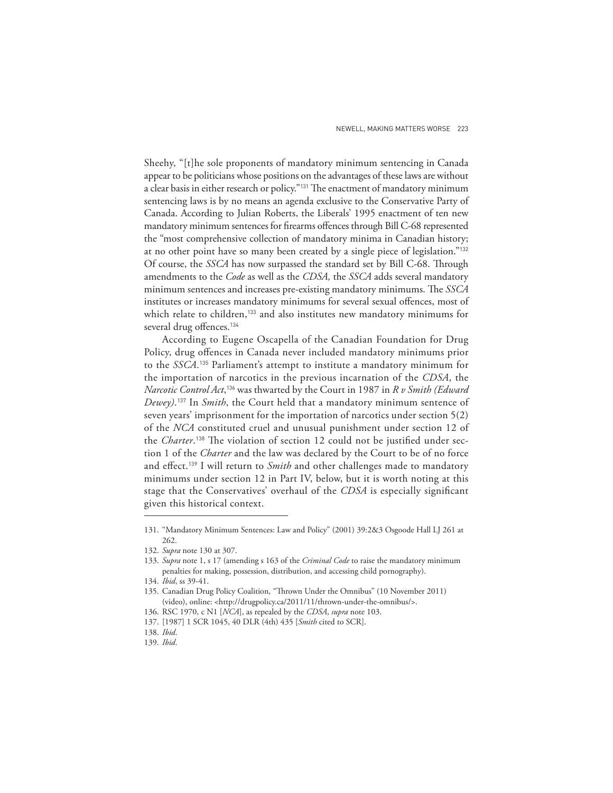Sheehy, "[t]he sole proponents of mandatory minimum sentencing in Canada appear to be politicians whose positions on the advantages of these laws are without a clear basis in either research or policy."<sup>131</sup> The enactment of mandatory minimum sentencing laws is by no means an agenda exclusive to the Conservative Party of Canada. According to Julian Roberts, the Liberals' 1995 enactment of ten new mandatory minimum sentences for firearms offences through Bill C-68 represented the "most comprehensive collection of mandatory minima in Canadian history; at no other point have so many been created by a single piece of legislation."<sup>132</sup> Of course, the *SSCA* has now surpassed the standard set by Bill C-68. Through amendments to the *Code* as well as the *CDSA,* the *SSCA* adds several mandatory minimum sentences and increases pre-existing mandatory minimums. The *SSCA* institutes or increases mandatory minimums for several sexual offences, most of which relate to children,<sup>133</sup> and also institutes new mandatory minimums for several drug offences.<sup>134</sup>

According to Eugene Oscapella of the Canadian Foundation for Drug Policy, drug offences in Canada never included mandatory minimums prior to the *SSCA*. <sup>135</sup> Parliament's attempt to institute a mandatory minimum for the importation of narcotics in the previous incarnation of the *CDSA*, the *Narcotic Control Act*, <sup>136</sup> was thwarted by the Court in 1987 in *R v Smith (Edward Dewey)*. <sup>137</sup> In *Smith*, the Court held that a mandatory minimum sentence of seven years' imprisonment for the importation of narcotics under section 5(2) of the *NCA* constituted cruel and unusual punishment under section 12 of the *Charter*.<sup>138</sup> The violation of section 12 could not be justified under section 1 of the *Charter* and the law was declared by the Court to be of no force and effect.<sup>139</sup> I will return to *Smith* and other challenges made to mandatory minimums under section 12 in Part IV, below, but it is worth noting at this stage that the Conservatives' overhaul of the CDSA is especially significant given this historical context.

<sup>131. &</sup>quot;Mandatory Minimum Sentences: Law and Policy" (2001) 39:2&3 Osgoode Hall LJ 261 at 262.

<sup>132.</sup> *Supra* note 130 at 307.

<sup>133.</sup> *Supra* note 1, s 17 (amending s 163 of the *Criminal Code* to raise the mandatory minimum penalties for making, possession, distribution, and accessing child pornography).

<sup>134.</sup> *Ibid*, ss 39-41.

<sup>135.</sup> Canadian Drug Policy Coalition, "Thrown Under the Omnibus" (10 November 2011) (video), online: <http://drugpolicy.ca/2011/11/thrown-under-the-omnibus/>.

<sup>136.</sup> RSC 1970, c N1 [*NCA*], as repealed by the *CDSA*, *supra* note 103.

<sup>137. [1987] 1</sup> SCR 1045, 40 DLR (4th) 435 [*Smith* cited to SCR].

<sup>138.</sup> *Ibid*.

<sup>139.</sup> *Ibid*.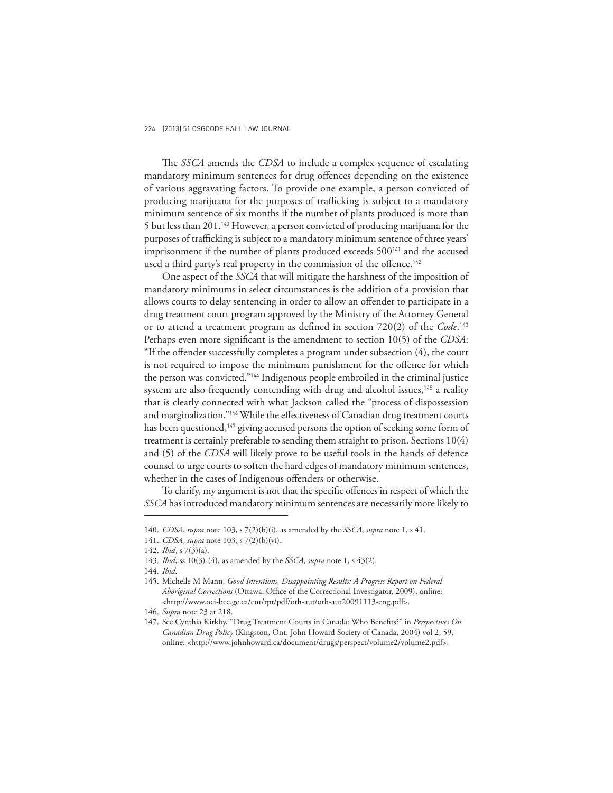The *SSCA* amends the *CDSA* to include a complex sequence of escalating mandatory minimum sentences for drug offences depending on the existence of various aggravating factors. To provide one example, a person convicted of producing marijuana for the purposes of trafficking is subject to a mandatory minimum sentence of six months if the number of plants produced is more than 5 but less than 201.140 However, a person convicted of producing marijuana for the purposes of trafficking is subject to a mandatory minimum sentence of three years' imprisonment if the number of plants produced exceeds 500<sup>141</sup> and the accused used a third party's real property in the commission of the offence.<sup>142</sup>

One aspect of the *SSCA* that will mitigate the harshness of the imposition of mandatory minimums in select circumstances is the addition of a provision that allows courts to delay sentencing in order to allow an offender to participate in a drug treatment court program approved by the Ministry of the Attorney General or to attend a treatment program as defined in section 720(2) of the *Code*.<sup>143</sup> Perhaps even more significant is the amendment to section 10(5) of the *CDSA*: "If the offender successfully completes a program under subsection (4), the court is not required to impose the minimum punishment for the offence for which the person was convicted."144 Indigenous people embroiled in the criminal justice system are also frequently contending with drug and alcohol issues,<sup>145</sup> a reality that is clearly connected with what Jackson called the "process of dispossession and marginalization."<sup>146</sup> While the effectiveness of Canadian drug treatment courts has been questioned,<sup>147</sup> giving accused persons the option of seeking some form of treatment is certainly preferable to sending them straight to prison. Sections 10(4) and (5) of the *CDSA* will likely prove to be useful tools in the hands of defence counsel to urge courts to soften the hard edges of mandatory minimum sentences, whether in the cases of Indigenous offenders or otherwise.

To clarify, my argument is not that the specific offences in respect of which the *SSCA* has introduced mandatory minimum sentences are necessarily more likely to

141. *CDSA*, *supra* note 103, s 7(2)(b)(vi).

<sup>140.</sup> *CDSA*, *supra* note 103, s 7(2)(b)(i), as amended by the *SSCA*, *supra* note 1, s 41.

<sup>142.</sup> *Ibid*, s 7(3)(a).

<sup>143.</sup> *Ibid*, ss 10(3)-(4), as amended by the *SSCA*, *supra* note 1, s 43(2).

<sup>144.</sup> *Ibid*.

<sup>145.</sup> Michelle M Mann, *Good Intentions, Disappointing Results: A Progress Report on Federal Aboriginal Corrections* (Ottawa: Office of the Correctional Investigator, 2009), online: <http://www.oci-bec.gc.ca/cnt/rpt/pdf/oth-aut/oth-aut20091113-eng.pdf>.

<sup>146.</sup> *Supra* note 23 at 218.

<sup>147.</sup> See Cynthia Kirkby, "Drug Treatment Courts in Canada: Who Benefits?" in *Perspectives On Canadian Drug Policy* (Kingston, Ont: John Howard Society of Canada, 2004) vol 2, 59, online: <http://www.johnhoward.ca/document/drugs/perspect/volume2/volume2.pdf>.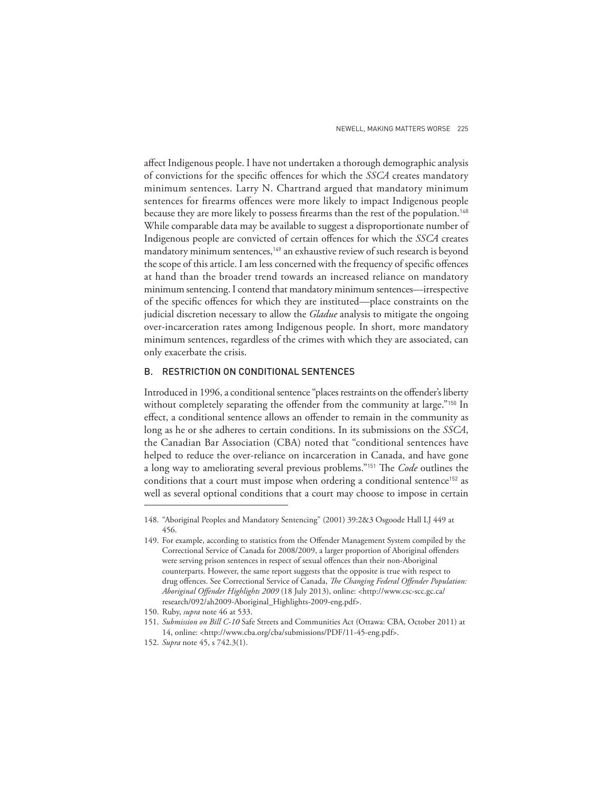affect Indigenous people. I have not undertaken a thorough demographic analysis of convictions for the specific offences for which the *SSCA* creates mandatory minimum sentences. Larry N. Chartrand argued that mandatory minimum sentences for firearms offences were more likely to impact Indigenous people because they are more likely to possess firearms than the rest of the population.<sup>148</sup> While comparable data may be available to suggest a disproportionate number of Indigenous people are convicted of certain offences for which the *SSCA* creates mandatory minimum sentences,<sup>149</sup> an exhaustive review of such research is beyond the scope of this article. I am less concerned with the frequency of specific offences at hand than the broader trend towards an increased reliance on mandatory minimum sentencing. I contend that mandatory minimum sentences—irrespective of the specific offences for which they are instituted—place constraints on the judicial discretion necessary to allow the *Gladue* analysis to mitigate the ongoing over-incarceration rates among Indigenous people. In short, more mandatory minimum sentences, regardless of the crimes with which they are associated, can only exacerbate the crisis.

## B. RESTRICTION ON CONDITIONAL SENTENCES

Introduced in 1996, a conditional sentence "places restraints on the offender's liberty without completely separating the offender from the community at large."<sup>150</sup> In effect, a conditional sentence allows an offender to remain in the community as long as he or she adheres to certain conditions. In its submissions on the *SSCA*, the Canadian Bar Association (CBA) noted that "conditional sentences have helped to reduce the over-reliance on incarceration in Canada, and have gone a long way to ameliorating several previous problems."<sup>151</sup> The *Code* outlines the conditions that a court must impose when ordering a conditional sentence<sup>152</sup> as well as several optional conditions that a court may choose to impose in certain

<sup>148. &</sup>quot;Aboriginal Peoples and Mandatory Sentencing" (2001) 39:2&3 Osgoode Hall LJ 449 at 456.

<sup>149.</sup> For example, according to statistics from the Offender Management System compiled by the Correctional Service of Canada for 2008/2009, a larger proportion of Aboriginal offenders were serving prison sentences in respect of sexual offences than their non-Aboriginal counterparts. However, the same report suggests that the opposite is true with respect to drug offences. See Correctional Service of Canada, *The Changing Federal Offender Population:* Aboriginal Offender Highlights 2009 (18 July 2013), online: <http://www.csc-scc.gc.ca/ research/092/ah2009-Aboriginal\_Highlights-2009-eng.pdf>.

<sup>150.</sup> Ruby, *supra* note 46 at 533.

<sup>151.</sup> *Submission on Bill C-10* Safe Streets and Communities Act (Ottawa: CBA, October 2011) at 14, online: <http://www.cba.org/cba/submissions/PDF/11-45-eng.pdf>.

<sup>152.</sup> *Supra* note 45, s 742.3(1).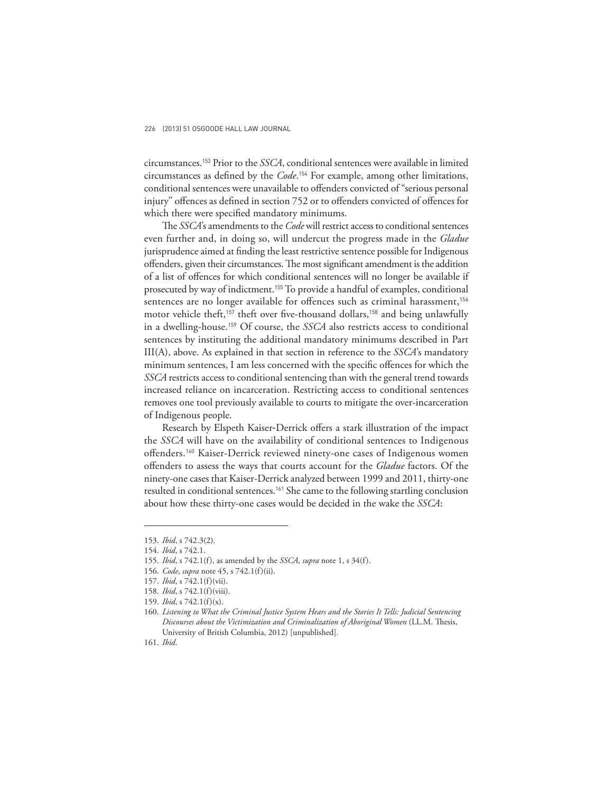circumstances.153 Prior to the *SSCA*, conditional sentences were available in limited circumstances as defined by the *Code*.<sup>154</sup> For example, among other limitations, conditional sentences were unavailable to offenders convicted of "serious personal injury" offences as defined in section 752 or to offenders convicted of offences for which there were specified mandatory minimums.

The *SSCA*'s amendments to the *Code* will restrict access to conditional sentences even further and, in doing so, will undercut the progress made in the *Gladue*  jurisprudence aimed at finding the least restrictive sentence possible for Indigenous offenders, given their circumstances. The most significant amendment is the addition of a list of offences for which conditional sentences will no longer be available if prosecuted by way of indictment.155 To provide a handful of examples, conditional sentences are no longer available for offences such as criminal harassment,<sup>156</sup> motor vehicle theft,<sup>157</sup> theft over five-thousand dollars,<sup>158</sup> and being unlawfully in a dwelling-house.159 Of course, the *SSCA* also restricts access to conditional sentences by instituting the additional mandatory minimums described in Part III(A), above. As explained in that section in reference to the *SSCA*'s mandatory minimum sentences, I am less concerned with the specific offences for which the *SSCA* restricts access to conditional sentencing than with the general trend towards increased reliance on incarceration. Restricting access to conditional sentences removes one tool previously available to courts to mitigate the over-incarceration of Indigenous people.

Research by Elspeth Kaiser-Derrick offers a stark illustration of the impact the *SSCA* will have on the availability of conditional sentences to Indigenous offenders.<sup>160</sup> Kaiser-Derrick reviewed ninety-one cases of Indigenous women offenders to assess the ways that courts account for the *Gladue* factors. Of the ninety-one cases that Kaiser-Derrick analyzed between 1999 and 2011, thirty-one resulted in conditional sentences.161 She came to the following startling conclusion about how these thirty-one cases would be decided in the wake the *SSCA*:

<sup>153.</sup> *Ibid*, s 742.3(2).

<sup>154.</sup> *Ibid*, s 742.1.

<sup>155.</sup> *Ibid*, s 742.1(f), as amended by the *SSCA*, *supra* note 1, s 34(f).

<sup>156.</sup> *Code*, *supra* note 45, s 742.1(f)(ii).

<sup>157.</sup> *Ibid*, s 742.1(f)(vii).

<sup>158.</sup> *Ibid*, s 742.1(f)(viii).

<sup>159.</sup> *Ibid*, s 742.1(f)(x).

<sup>160.</sup> *Listening to What the Criminal Justice System Hears and the Stories It Tells: Judicial Sentencing*  Discourses about the Victimization and Criminalization of Aboriginal Women (LL.M. Thesis, University of British Columbia, 2012) [unpublished].

<sup>161.</sup> *Ibid*.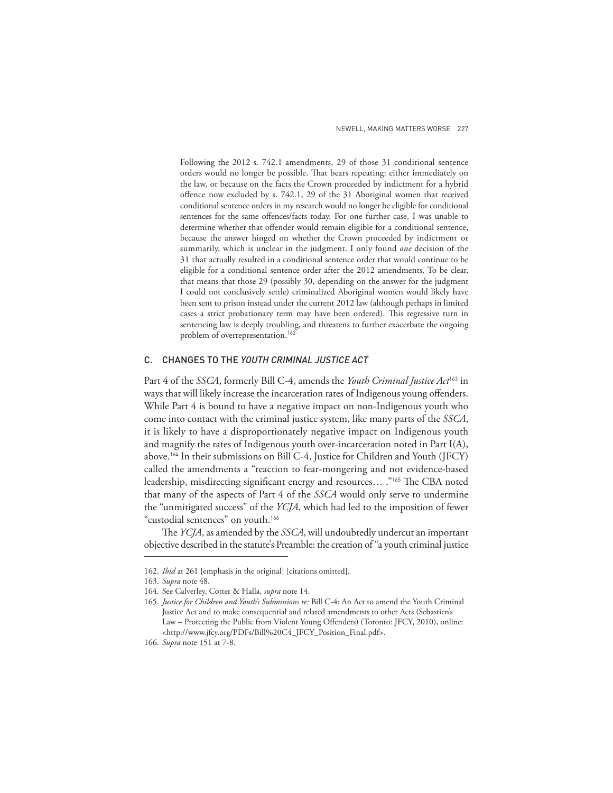Following the 2012 s. 742.1 amendments, 29 of those 31 conditional sentence orders would no longer be possible. That bears repeating: either immediately on the law, or because on the facts the Crown proceeded by indictment for a hybrid offence now excluded by s. 742.1, 29 of the 31 Aboriginal women that received conditional sentence orders in my research would no longer be eligible for conditional sentences for the same offences/facts today. For one further case, I was unable to determine whether that offender would remain eligible for a conditional sentence, because the answer hinged on whether the Crown proceeded by indictment or summarily, which is unclear in the judgment. I only found *one* decision of the 31 that actually resulted in a conditional sentence order that would continue to be eligible for a conditional sentence order after the 2012 amendments. To be clear, that means that those 29 (possibly 30, depending on the answer for the judgment I could not conclusively settle) criminalized Aboriginal women would likely have been sent to prison instead under the current 2012 law (although perhaps in limited cases a strict probationary term may have been ordered). This regressive turn in sentencing law is deeply troubling, and threatens to further exacerbate the ongoing problem of overrepresentation.<sup>162</sup>

## C. CHANGES TO THE *YOUTH CRIMINAL JUSTICE ACT*

Part 4 of the *SSCA*, formerly Bill C-4, amends the *Youth Criminal Justice Act*163 in ways that will likely increase the incarceration rates of Indigenous young offenders. While Part 4 is bound to have a negative impact on non-Indigenous youth who come into contact with the criminal justice system, like many parts of the *SSCA*, it is likely to have a disproportionately negative impact on Indigenous youth and magnify the rates of Indigenous youth over-incarceration noted in Part  $I(A)$ , above.164 In their submissions on Bill C-4, Justice for Children and Youth (JFCY) called the amendments a "reaction to fear-mongering and not evidence-based leadership, misdirecting significant energy and resources... ."<sup>165</sup> The CBA noted that many of the aspects of Part 4 of the *SSCA* would only serve to undermine the "unmitigated success" of the *YCJA*, which had led to the imposition of fewer "custodial sentences" on youth.<sup>166</sup>

The *YCJA*, as amended by the *SSCA*, will undoubtedly undercut an important objective described in the statute's Preamble: the creation of "a youth criminal justice

<sup>162.</sup> *Ibid* at 261 [emphasis in the original] [citations omitted].

<sup>163.</sup> *Supra* note 48.

<sup>164.</sup> See Calverley, Cotter & Halla, *supra* note 14.

<sup>165.</sup> *Justice for Children and Youth's Submissions re:* Bill C-4: An Act to amend the Youth Criminal Justice Act and to make consequential and related amendments to other Acts (Sebastien's Law - Protecting the Public from Violent Young Offenders) (Toronto: JFCY, 2010), online: <http://www.jfcy.org/PDFs/Bill%20C4\_JFCY\_Position\_Final.pdf>.

<sup>166.</sup> *Supra* note 151 at 7-8.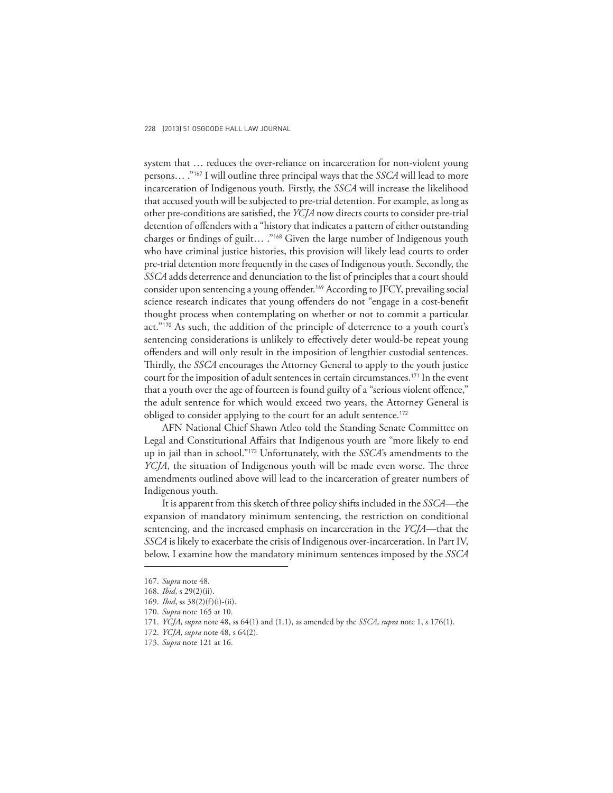system that … reduces the over-reliance on incarceration for non-violent young persons… ."167 I will outline three principal ways that the *SSCA* will lead to more incarceration of Indigenous youth. Firstly, the *SSCA* will increase the likelihood that accused youth will be subjected to pre-trial detention. For example, as long as other pre-conditions are satisfied, the *YCJA* now directs courts to consider pre-trial detention of offenders with a "history that indicates a pattern of either outstanding charges or findings of guilt... ."<sup>168</sup> Given the large number of Indigenous youth who have criminal justice histories, this provision will likely lead courts to order pre-trial detention more frequently in the cases of Indigenous youth. Secondly, the *SSCA* adds deterrence and denunciation to the list of principles that a court should consider upon sentencing a young offender.<sup>169</sup> According to JFCY, prevailing social science research indicates that young offenders do not "engage in a cost-benefit thought process when contemplating on whether or not to commit a particular act."170 As such, the addition of the principle of deterrence to a youth court's sentencing considerations is unlikely to effectively deter would-be repeat young offenders and will only result in the imposition of lengthier custodial sentences. Thirdly, the *SSCA* encourages the Attorney General to apply to the youth justice court for the imposition of adult sentences in certain circumstances.<sup>171</sup> In the event that a youth over the age of fourteen is found guilty of a "serious violent offence," the adult sentence for which would exceed two years, the Attorney General is obliged to consider applying to the court for an adult sentence.<sup>172</sup>

AFN National Chief Shawn Atleo told the Standing Senate Committee on Legal and Constitutional Affairs that Indigenous youth are "more likely to end up in jail than in school."173 Unfortunately, with the *SSCA*'s amendments to the *YCJA*, the situation of Indigenous youth will be made even worse. The three amendments outlined above will lead to the incarceration of greater numbers of Indigenous youth.

It is apparent from this sketch of three policy shifts included in the *SSCA*—the expansion of mandatory minimum sentencing, the restriction on conditional sentencing, and the increased emphasis on incarceration in the *YCJA*—that the *SSCA* is likely to exacerbate the crisis of Indigenous over-incarceration. In Part IV, below, I examine how the mandatory minimum sentences imposed by the *SSCA*

<sup>167.</sup> *Supra* note 48.

<sup>168.</sup> *Ibid*, s 29(2)(ii).

<sup>169.</sup> *Ibid*, ss 38(2)(f)(i)-(ii).

<sup>170.</sup> *Supra* note 165 at 10.

<sup>171.</sup> *YCJA*, *supra* note 48, ss 64(1) and (1.1), as amended by the *SSCA*, *supra* note 1, s 176(1).

<sup>172.</sup> *YCJA*, *supra* note 48, s 64(2).

<sup>173.</sup> *Supra* note 121 at 16.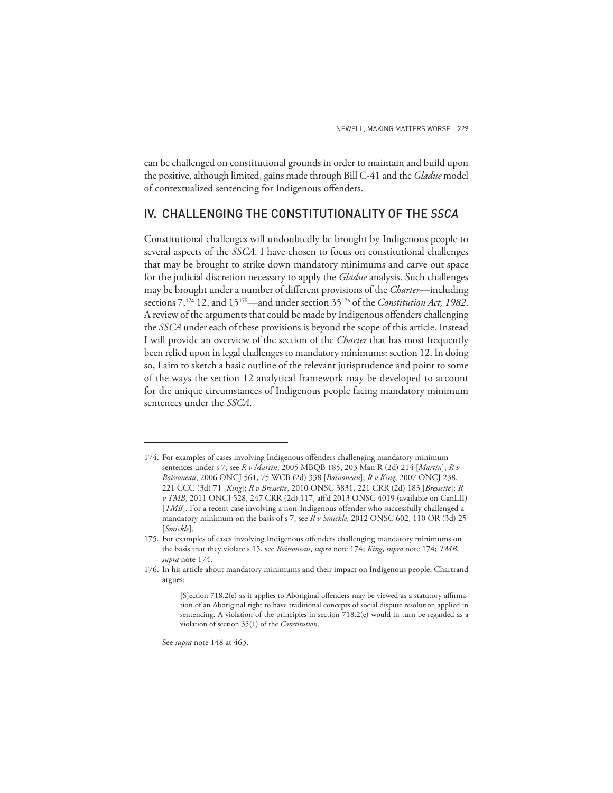can be challenged on constitutional grounds in order to maintain and build upon the positive, although limited, gains made through Bill C-41 and the *Gladue* model of contextualized sentencing for Indigenous offenders.

# IV. CHALLENGING THE CONSTITUTIONALITY OF THE *SSCA*

Constitutional challenges will undoubtedly be brought by Indigenous people to several aspects of the *SSCA*. I have chosen to focus on constitutional challenges that may be brought to strike down mandatory minimums and carve out space for the judicial discretion necessary to apply the *Gladue* analysis. Such challenges may be brought under a number of different provisions of the *Charter*—including sections 7,174 12, and 15175—and under section 35176 of the *Constitution Act, 1982* . A review of the arguments that could be made by Indigenous offenders challenging the *SSCA* under each of these provisions is beyond the scope of this article. Instead I will provide an overview of the section of the *Charter* that has most frequently been relied upon in legal challenges to mandatory minimums: section 12. In doing so, I aim to sketch a basic outline of the relevant jurisprudence and point to some of the ways the section 12 analytical framework may be developed to account for the unique circumstances of Indigenous people facing mandatory minimum sentences under the *SSCA*.

See *supra* note 148 at 463.

<sup>174.</sup> For examples of cases involving Indigenous offenders challenging mandatory minimum sentences under s 7, see *R v Martin*, 2005 MBQB 185, 203 Man R (2d) 214 [*Martin*]; *R v Boissoneau*, 2006 ONCJ 561, 75 WCB (2d) 338 [*Boissoneau*]; *R v King*, 2007 ONCJ 238, 221 CCC (3d) 71 [*King*]; *R v Bressette*, 2010 ONSC 3831, 221 CRR (2d) 183 [*Bressette*]; *R v TMB*, 2011 ONCJ 528, 247 CRR (2d) 117, aff'd 2013 ONSC 4019 (available on CanLII) [*TMB*]. For a recent case involving a non-Indigenous offender who successfully challenged a mandatory minimum on the basis of s 7, see *R v Smickle*, 2012 ONSC 602, 110 OR (3d) 25 [*Smickle*].

<sup>175.</sup> For examples of cases involving Indigenous offenders challenging mandatory minimums on the basis that they violate s 15, see *Boissoneau*, *supra* note 174; *King*, *supra* note 174; *TMB*, *supra* note 174.

<sup>176.</sup> In his article about mandatory minimums and their impact on Indigenous people, Chartrand argues:

<sup>[</sup>S]ection 718.2(e) as it applies to Aboriginal offenders may be viewed as a statutory affirmation of an Aboriginal right to have traditional concepts of social dispute resolution applied in sentencing. A violation of the principles in section 718.2(e) would in turn be regarded as a violation of section 35(1) of the *Constitution*.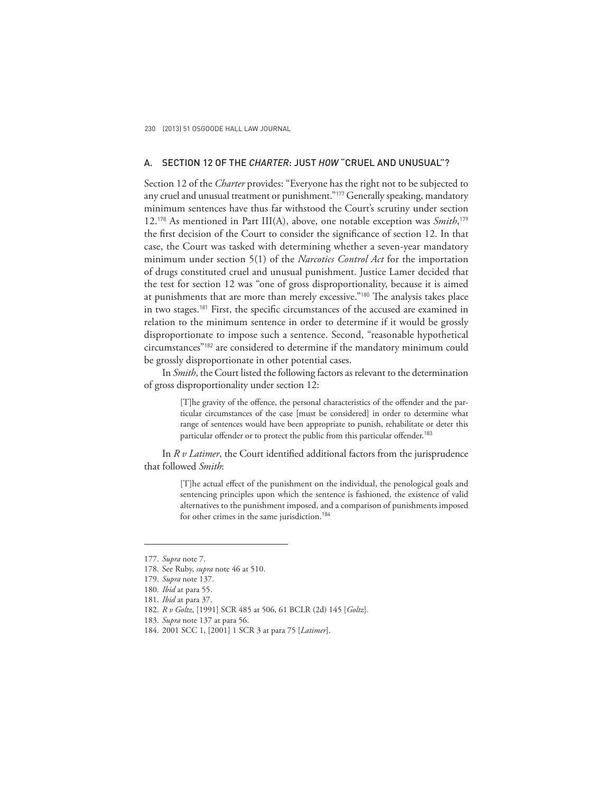# A. SECTION 12 OF THE *CHARTER*: JUST *HOW* "CRUEL AND UNUSUAL"?

Section 12 of the *Charter* provides: "Everyone has the right not to be subjected to any cruel and unusual treatment or punishment."<sup>177</sup> Generally speaking, mandatory minimum sentences have thus far withstood the Court's scrutiny under section 12.178 As mentioned in Part III(A), above, one notable exception was *Smith*, 179 the first decision of the Court to consider the significance of section 12. In that case, the Court was tasked with determining whether a seven-year mandatory minimum under section 5(1) of the *Narcotics Control Act* for the importation of drugs constituted cruel and unusual punishment. Justice Lamer decided that the test for section 12 was "one of gross disproportionality, because it is aimed at punishments that are more than merely excessive."<sup>180</sup> The analysis takes place in two stages.<sup>181</sup> First, the specific circumstances of the accused are examined in relation to the minimum sentence in order to determine if it would be grossly disproportionate to impose such a sentence. Second, "reasonable hypothetical circumstances"182 are considered to determine if the mandatory minimum could be grossly disproportionate in other potential cases.

In *Smith*, the Court listed the following factors as relevant to the determination of gross disproportionality under section 12:

> [T]he gravity of the offence, the personal characteristics of the offender and the particular circumstances of the case [must be considered] in order to determine what range of sentences would have been appropriate to punish, rehabilitate or deter this particular offender or to protect the public from this particular offender.<sup>183</sup>

In *R v Latimer*, the Court identified additional factors from the jurisprudence that followed *Smith*:

> [T]he actual effect of the punishment on the individual, the penological goals and sentencing principles upon which the sentence is fashioned, the existence of valid alternatives to the punishment imposed, and a comparison of punishments imposed for other crimes in the same jurisdiction.<sup>184</sup>

<sup>177.</sup> *Supra* note 7.

<sup>178.</sup> See Ruby, *supra* note 46 at 510.

<sup>179.</sup> *Supra* note 137.

<sup>180.</sup> *Ibid* at para 55.

<sup>181.</sup> *Ibid* at para 37.

<sup>182.</sup> *R v Goltz*, [1991] SCR 485 at 506, 61 BCLR (2d) 145 [*Goltz*].

<sup>183.</sup> *Supra* note 137 at para 56.

<sup>184. 2001</sup> SCC 1, [2001] 1 SCR 3 at para 75 [*Latimer*].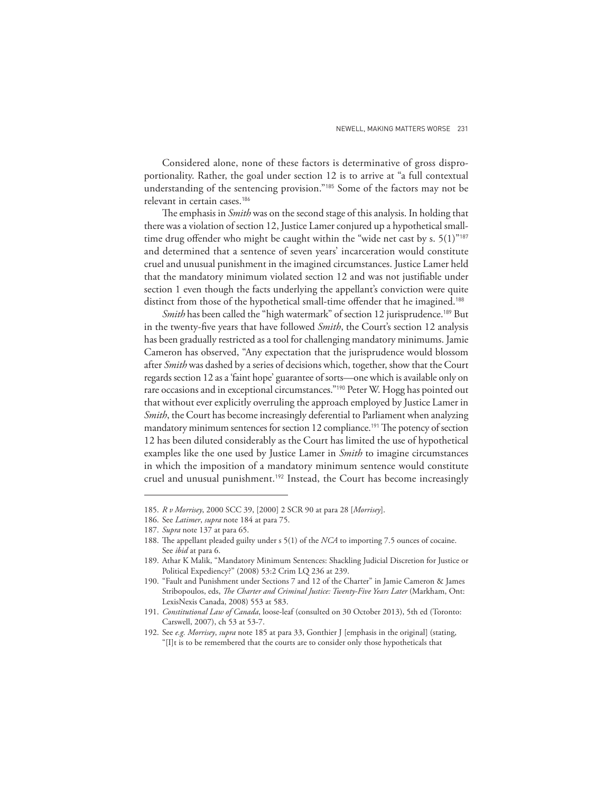Considered alone, none of these factors is determinative of gross disproportionality. Rather, the goal under section 12 is to arrive at "a full contextual understanding of the sentencing provision."185 Some of the factors may not be relevant in certain cases.<sup>186</sup>

The emphasis in *Smith* was on the second stage of this analysis. In holding that there was a violation of section 12, Justice Lamer conjured up a hypothetical smalltime drug offender who might be caught within the "wide net cast by s.  $5(1)^{9187}$ and determined that a sentence of seven years' incarceration would constitute cruel and unusual punishment in the imagined circumstances. Justice Lamer held that the mandatory minimum violated section 12 and was not justifiable under section 1 even though the facts underlying the appellant's conviction were quite distinct from those of the hypothetical small-time offender that he imagined.<sup>188</sup>

*Smith* has been called the "high watermark" of section 12 jurisprudence.<sup>189</sup> But in the twenty-five years that have followed *Smith*, the Court's section 12 analysis has been gradually restricted as a tool for challenging mandatory minimums. Jamie Cameron has observed, "Any expectation that the jurisprudence would blossom after *Smith* was dashed by a series of decisions which, together, show that the Court regards section 12 as a 'faint hope' guarantee of sorts—one which is available only on rare occasions and in exceptional circumstances."<sup>190</sup> Peter W. Hogg has pointed out that without ever explicitly overruling the approach employed by Justice Lamer in *Smith*, the Court has become increasingly deferential to Parliament when analyzing mandatory minimum sentences for section 12 compliance.<sup>191</sup> The potency of section 12 has been diluted considerably as the Court has limited the use of hypothetical examples like the one used by Justice Lamer in *Smith* to imagine circumstances in which the imposition of a mandatory minimum sentence would constitute cruel and unusual punishment.192 Instead, the Court has become increasingly

<sup>185.</sup> *R v Morrisey*, 2000 SCC 39, [2000] 2 SCR 90 at para 28 [*Morrisey*].

<sup>186.</sup> See *Latimer*, *supra* note 184 at para 75.

<sup>187.</sup> *Supra* note 137 at para 65.

<sup>188.</sup> The appellant pleaded guilty under s 5(1) of the *NCA* to importing 7.5 ounces of cocaine. See *ibid* at para 6.

<sup>189.</sup> Athar K Malik, "Mandatory Minimum Sentences: Shackling Judicial Discretion for Justice or Political Expediency?" (2008) 53:2 Crim LQ 236 at 239.

<sup>190. &</sup>quot;Fault and Punishment under Sections 7 and 12 of the Charter" in Jamie Cameron & James Stribopoulos, eds, *The Charter and Criminal Justice: Twenty-Five Years Later* (Markham, Ont: LexisNexis Canada, 2008) 553 at 583.

<sup>191.</sup> *Constitutional Law of Canada*, loose-leaf (consulted on 30 October 2013), 5th ed (Toronto: Carswell, 2007), ch 53 at 53-7.

<sup>192.</sup> See *e.g. Morrisey*, *supra* note 185 at para 33, Gonthier J [emphasis in the original] (stating, "[I]t is to be remembered that the courts are to consider only those hypotheticals that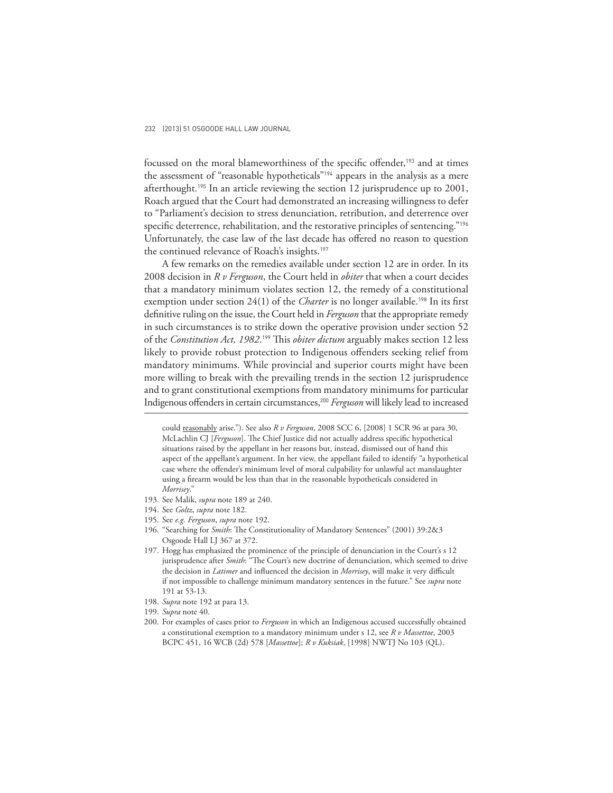focussed on the moral blameworthiness of the specific offender,<sup>193</sup> and at times the assessment of "reasonable hypotheticals"194 appears in the analysis as a mere afterthought.195 In an article reviewing the section 12 jurisprudence up to 2001, Roach argued that the Court had demonstrated an increasing willingness to defer to "Parliament's decision to stress denunciation, retribution, and deterrence over specific deterrence, rehabilitation, and the restorative principles of sentencing."<sup>196</sup> Unfortunately, the case law of the last decade has offered no reason to question the continued relevance of Roach's insights.<sup>197</sup>

A few remarks on the remedies available under section 12 are in order. In its 2008 decision in *R v Ferguson*, the Court held in *obiter* that when a court decides that a mandatory minimum violates section 12, the remedy of a constitutional exemption under section 24(1) of the *Charter* is no longer available.<sup>198</sup> In its first definitive ruling on the issue, the Court held in *Ferguson* that the appropriate remedy in such circumstances is to strike down the operative provision under section 52 of the *Constitution Act, 1982*.<sup>199</sup> This *obiter dictum* arguably makes section 12 less likely to provide robust protection to Indigenous offenders seeking relief from mandatory minimums. While provincial and superior courts might have been more willing to break with the prevailing trends in the section 12 jurisprudence and to grant constitutional exemptions from mandatory minimums for particular Indigenous offenders in certain circumstances,<sup>200</sup> *Ferguson* will likely lead to increased

- 195. See *e.g. Ferguson*, *supra* note 192.
- 196. "Searching for *Smith*: The Constitutionality of Mandatory Sentences" (2001) 39:2&3 Osgoode Hall LJ 367 at 372.

- 198. *Supra* note 192 at para 13.
- 199. *Supra* note 40.

could reasonably arise."). See also *R v Ferguson*, 2008 SCC 6, [2008] 1 SCR 96 at para 30, McLachlin CJ [*Ferguson*]. The Chief Justice did not actually address specific hypothetical situations raised by the appellant in her reasons but, instead, dismissed out of hand this aspect of the appellant's argument. In her view, the appellant failed to identify "a hypothetical case where the offender's minimum level of moral culpability for unlawful act manslaughter using a firearm would be less than that in the reasonable hypotheticals considered in *Morrisey*."

<sup>193.</sup> See Malik, *supra* note 189 at 240.

<sup>194.</sup> See *Goltz*, *supra* note 182.

<sup>197.</sup> Hogg has emphasized the prominence of the principle of denunciation in the Court's s 12 jurisprudence after *Smith*: "The Court's new doctrine of denunciation, which seemed to drive the decision in *Latimer* and influenced the decision in *Morrisey*, will make it very difficult if not impossible to challenge minimum mandatory sentences in the future." See *supra* note 191 at 53-13.

<sup>200.</sup> For examples of cases prior to *Ferguson* in which an Indigenous accused successfully obtained a constitutional exemption to a mandatory minimum under s 12, see *R v Massettoe*, 2003 BCPC 451, 16 WCB (2d) 578 [*Massettoe*]; *R v Kuksiak*, [1998] NWTJ No 103 (QL).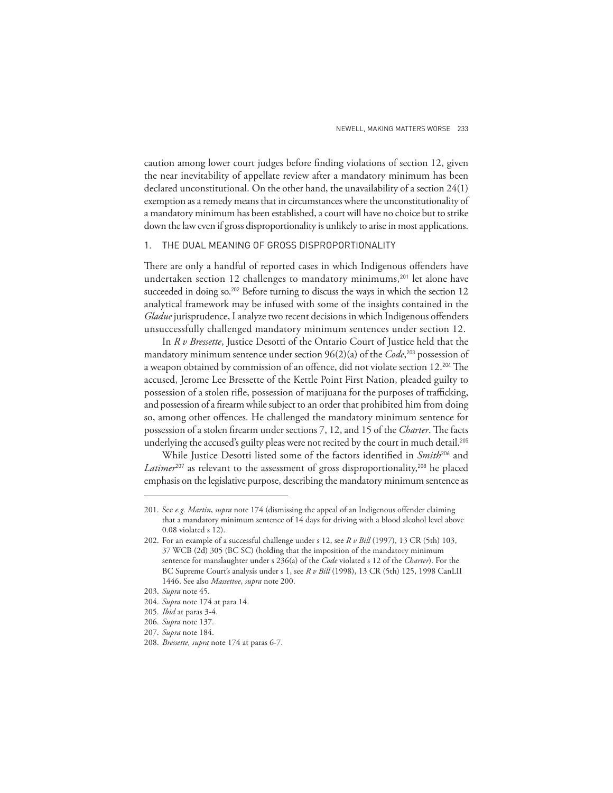caution among lower court judges before finding violations of section 12, given the near inevitability of appellate review after a mandatory minimum has been declared unconstitutional. On the other hand, the unavailability of a section 24(1) exemption as a remedy means that in circumstances where the unconstitutionality of a mandatory minimum has been established, a court will have no choice but to strike down the law even if gross disproportionality is unlikely to arise in most applications.

## 1. THE DUAL MEANING OF GROSS DISPROPORTIONALITY

There are only a handful of reported cases in which Indigenous offenders have undertaken section 12 challenges to mandatory minimums,<sup>201</sup> let alone have succeeded in doing so.<sup>202</sup> Before turning to discuss the ways in which the section 12 analytical framework may be infused with some of the insights contained in the *Gladue* jurisprudence, I analyze two recent decisions in which Indigenous offenders unsuccessfully challenged mandatory minimum sentences under section 12.

In *R v Bressette*, Justice Desotti of the Ontario Court of Justice held that the mandatory minimum sentence under section 96(2)(a) of the *Code*, <sup>203</sup> possession of a weapon obtained by commission of an offence, did not violate section 12.<sup>204</sup> The accused, Jerome Lee Bressette of the Kettle Point First Nation, pleaded guilty to possession of a stolen rifle, possession of marijuana for the purposes of trafficking, and possession of a firearm while subject to an order that prohibited him from doing so, among other offences. He challenged the mandatory minimum sentence for possession of a stolen firearm under sections 7, 12, and 15 of the *Charter*. The facts underlying the accused's guilty pleas were not recited by the court in much detail.<sup>205</sup>

While Justice Desotti listed some of the factors identified in *Smith*<sup>206</sup> and Latimer<sup>207</sup> as relevant to the assessment of gross disproportionality,<sup>208</sup> he placed emphasis on the legislative purpose, describing the mandatory minimum sentence as

<sup>201.</sup> See *e.g. Martin, supra* note 174 (dismissing the appeal of an Indigenous offender claiming that a mandatory minimum sentence of 14 days for driving with a blood alcohol level above 0.08 violated s 12).

<sup>202.</sup> For an example of a successful challenge under s 12, see *R v Bill* (1997), 13 CR (5th) 103, 37 WCB (2d) 305 (BC SC) (holding that the imposition of the mandatory minimum sentence for manslaughter under s 236(a) of the *Code* violated s 12 of the *Charter*). For the BC Supreme Court's analysis under s 1, see *R v Bill* (1998), 13 CR (5th) 125, 1998 CanLII 1446. See also *Massettoe*, *supra* note 200.

<sup>203.</sup> *Supra* note 45.

<sup>204.</sup> *Supra* note 174 at para 14.

<sup>205.</sup> *Ibid* at paras 3-4.

<sup>206.</sup> *Supra* note 137.

<sup>207.</sup> *Supra* note 184.

<sup>208.</sup> *Bressette, supra* note 174 at paras 6-7.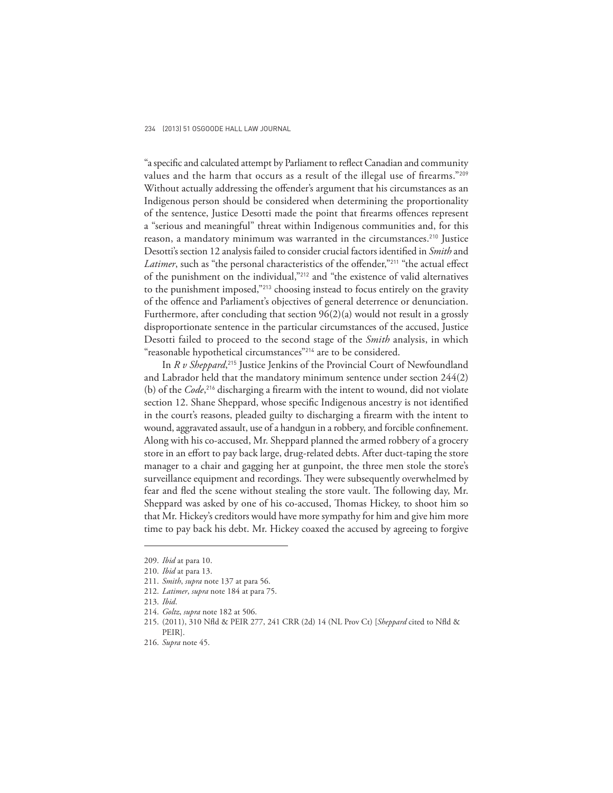"a specific and calculated attempt by Parliament to reflect Canadian and community values and the harm that occurs as a result of the illegal use of firearms."209 Without actually addressing the offender's argument that his circumstances as an Indigenous person should be considered when determining the proportionality of the sentence, Justice Desotti made the point that firearms offences represent a "serious and meaningful" threat within Indigenous communities and, for this reason, a mandatory minimum was warranted in the circumstances.<sup>210</sup> Justice Desotti's section 12 analysis failed to consider crucial factors identified in *Smith* and Latimer, such as "the personal characteristics of the offender,"<sup>211</sup> "the actual effect of the punishment on the individual,"212 and "the existence of valid alternatives to the punishment imposed,"<sup>213</sup> choosing instead to focus entirely on the gravity of the offence and Parliament's objectives of general deterrence or denunciation. Furthermore, after concluding that section 96(2)(a) would not result in a grossly disproportionate sentence in the particular circumstances of the accused, Justice Desotti failed to proceed to the second stage of the *Smith* analysis, in which "reasonable hypothetical circumstances"<sup>214</sup> are to be considered.

In *R v Sheppard*, <sup>215</sup> Justice Jenkins of the Provincial Court of Newfoundland and Labrador held that the mandatory minimum sentence under section 244(2) (b) of the *Code*,<sup>216</sup> discharging a firearm with the intent to wound, did not violate section 12. Shane Sheppard, whose specific Indigenous ancestry is not identified in the court's reasons, pleaded guilty to discharging a firearm with the intent to wound, aggravated assault, use of a handgun in a robbery, and forcible confinement. Along with his co-accused, Mr. Sheppard planned the armed robbery of a grocery store in an effort to pay back large, drug-related debts. After duct-taping the store manager to a chair and gagging her at gunpoint, the three men stole the store's surveillance equipment and recordings. They were subsequently overwhelmed by fear and fled the scene without stealing the store vault. The following day, Mr. Sheppard was asked by one of his co-accused, Thomas Hickey, to shoot him so that Mr. Hickey's creditors would have more sympathy for him and give him more time to pay back his debt. Mr. Hickey coaxed the accused by agreeing to forgive

214. *Goltz*, *supra* note 182 at 506.

<sup>209.</sup> *Ibid* at para 10.

<sup>210.</sup> *Ibid* at para 13.

<sup>211.</sup> *Smith*, *supra* note 137 at para 56.

<sup>212.</sup> *Latimer*, *supra* note 184 at para 75.

<sup>213.</sup> *Ibid*.

<sup>215. (2011), 310</sup> Nfld & PEIR 277, 241 CRR (2d) 14 (NL Prov Ct) [Sheppard cited to Nfld & PEIR].

<sup>216.</sup> *Supra* note 45.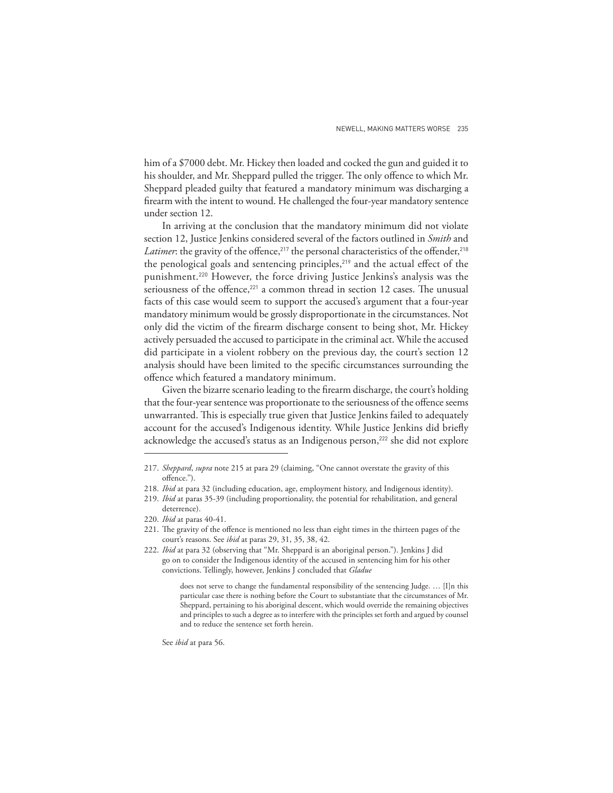him of a \$7000 debt. Mr. Hickey then loaded and cocked the gun and guided it to his shoulder, and Mr. Sheppard pulled the trigger. The only offence to which Mr. Sheppard pleaded guilty that featured a mandatory minimum was discharging a firearm with the intent to wound. He challenged the four-year mandatory sentence under section 12.

In arriving at the conclusion that the mandatory minimum did not violate section 12, Justice Jenkins considered several of the factors outlined in *Smith* and Latimer: the gravity of the offence,<sup>217</sup> the personal characteristics of the offender,<sup>218</sup> the penological goals and sentencing principles,<sup>219</sup> and the actual effect of the punishment.220 However, the force driving Justice Jenkins's analysis was the seriousness of the offence,<sup>221</sup> a common thread in section 12 cases. The unusual facts of this case would seem to support the accused's argument that a four-year mandatory minimum would be grossly disproportionate in the circumstances. Not only did the victim of the firearm discharge consent to being shot, Mr. Hickey actively persuaded the accused to participate in the criminal act. While the accused did participate in a violent robbery on the previous day, the court's section 12 analysis should have been limited to the specific circumstances surrounding the offence which featured a mandatory minimum.

Given the bizarre scenario leading to the firearm discharge, the court's holding that the four-year sentence was proportionate to the seriousness of the offence seems unwarranted. This is especially true given that Justice Jenkins failed to adequately account for the accused's Indigenous identity. While Justice Jenkins did briefly acknowledge the accused's status as an Indigenous person,<sup>222</sup> she did not explore

See *ibid* at para 56.

<sup>217.</sup> *Sheppard*, *supra* note 215 at para 29 (claiming, "One cannot overstate the gravity of this offence.").

<sup>218.</sup> *Ibid* at para 32 (including education, age, employment history, and Indigenous identity).

<sup>219.</sup> *Ibid* at paras 35-39 (including proportionality, the potential for rehabilitation, and general deterrence).

<sup>220.</sup> *Ibid* at paras 40-41.

<sup>221.</sup> The gravity of the offence is mentioned no less than eight times in the thirteen pages of the court's reasons. See *ibid* at paras 29, 31, 35, 38, 42.

<sup>222.</sup> *Ibid* at para 32 (observing that "Mr. Sheppard is an aboriginal person."). Jenkins J did go on to consider the Indigenous identity of the accused in sentencing him for his other convictions. Tellingly, however, Jenkins J concluded that *Gladue*

does not serve to change the fundamental responsibility of the sentencing Judge. … [I]n this particular case there is nothing before the Court to substantiate that the circumstances of Mr. Sheppard, pertaining to his aboriginal descent, which would override the remaining objectives and principles to such a degree as to interfere with the principles set forth and argued by counsel and to reduce the sentence set forth herein.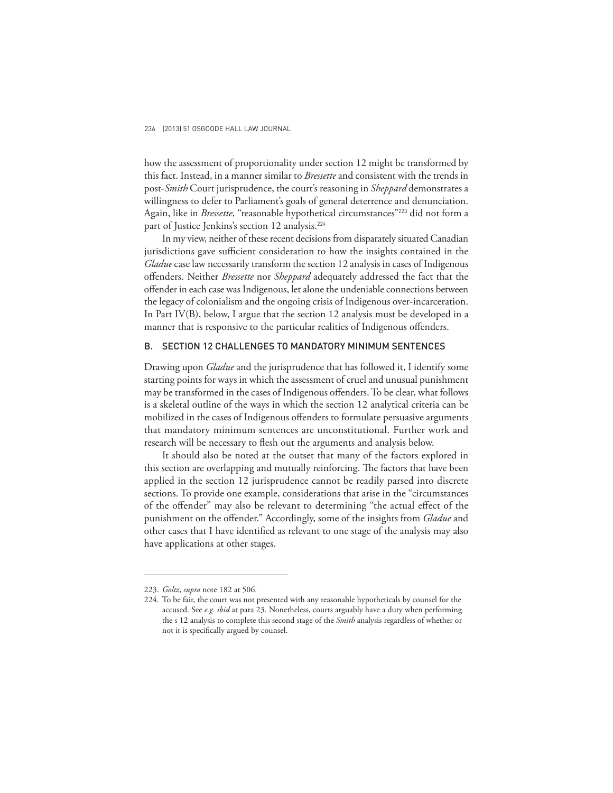how the assessment of proportionality under section 12 might be transformed by this fact. Instead, in a manner similar to *Bressette* and consistent with the trends in post-*Smith* Court jurisprudence, the court's reasoning in *Sheppard* demonstrates a willingness to defer to Parliament's goals of general deterrence and denunciation. Again, like in *Bressette*, "reasonable hypothetical circumstances"223 did not form a part of Justice Jenkins's section 12 analysis.<sup>224</sup>

In my view, neither of these recent decisions from disparately situated Canadian jurisdictions gave sufficient consideration to how the insights contained in the *Gladue* case law necessarily transform the section 12 analysis in cases of Indigenous off enders. Neither *Bressette* nor *Sheppard* adequately addressed the fact that the offender in each case was Indigenous, let alone the undeniable connections between the legacy of colonialism and the ongoing crisis of Indigenous over-incarceration. In Part IV(B), below, I argue that the section 12 analysis must be developed in a manner that is responsive to the particular realities of Indigenous offenders.

# B. SECTION 12 CHALLENGES TO MANDATORY MINIMUM SENTENCES

Drawing upon *Gladue* and the jurisprudence that has followed it, I identify some starting points for ways in which the assessment of cruel and unusual punishment may be transformed in the cases of Indigenous offenders. To be clear, what follows is a skeletal outline of the ways in which the section 12 analytical criteria can be mobilized in the cases of Indigenous offenders to formulate persuasive arguments that mandatory minimum sentences are unconstitutional. Further work and research will be necessary to flesh out the arguments and analysis below.

It should also be noted at the outset that many of the factors explored in this section are overlapping and mutually reinforcing. The factors that have been applied in the section 12 jurisprudence cannot be readily parsed into discrete sections. To provide one example, considerations that arise in the "circumstances of the offender" may also be relevant to determining "the actual effect of the punishment on the offender." Accordingly, some of the insights from *Gladue* and other cases that I have identified as relevant to one stage of the analysis may also have applications at other stages.

<sup>223.</sup> *Goltz*, *supra* note 182 at 506.

<sup>224.</sup> To be fair, the court was not presented with any reasonable hypotheticals by counsel for the accused. See *e.g. ibid* at para 23. Nonetheless, courts arguably have a duty when performing the s 12 analysis to complete this second stage of the *Smith* analysis regardless of whether or not it is specifically argued by counsel.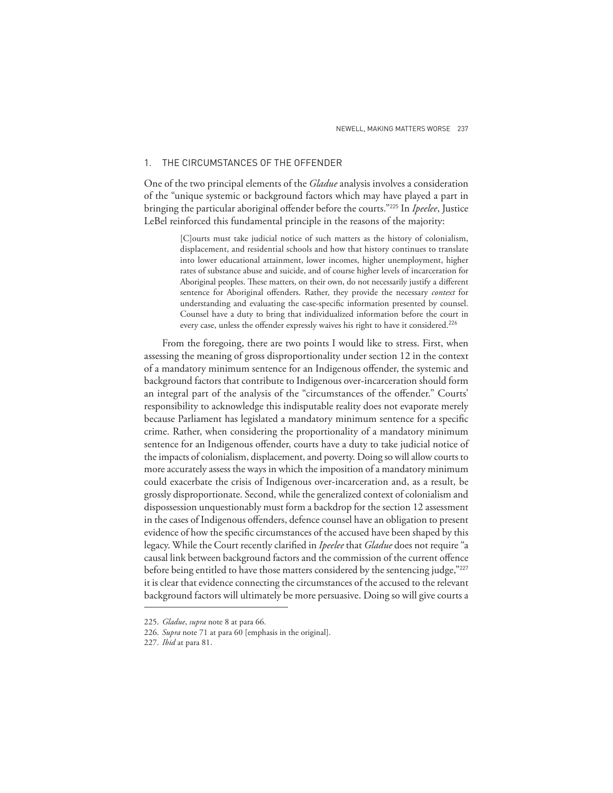## 1. THE CIRCUMSTANCES OF THE OFFENDER

One of the two principal elements of the *Gladue* analysis involves a consideration of the "unique systemic or background factors which may have played a part in bringing the particular aboriginal offender before the courts."<sup>225</sup> In *Ipeelee*, Justice LeBel reinforced this fundamental principle in the reasons of the majority:

> [C]ourts must take judicial notice of such matters as the history of colonialism, displacement, and residential schools and how that history continues to translate into lower educational attainment, lower incomes, higher unemployment, higher rates of substance abuse and suicide, and of course higher levels of incarceration for Aboriginal peoples. These matters, on their own, do not necessarily justify a different sentence for Aboriginal offenders. Rather, they provide the necessary *context* for understanding and evaluating the case-specific information presented by counsel. Counsel have a duty to bring that individualized information before the court in every case, unless the offender expressly waives his right to have it considered.<sup>226</sup>

From the foregoing, there are two points I would like to stress. First, when assessing the meaning of gross disproportionality under section 12 in the context of a mandatory minimum sentence for an Indigenous offender, the systemic and background factors that contribute to Indigenous over-incarceration should form an integral part of the analysis of the "circumstances of the offender." Courts' responsibility to acknowledge this indisputable reality does not evaporate merely because Parliament has legislated a mandatory minimum sentence for a specific crime. Rather, when considering the proportionality of a mandatory minimum sentence for an Indigenous offender, courts have a duty to take judicial notice of the impacts of colonialism, displacement, and poverty. Doing so will allow courts to more accurately assess the ways in which the imposition of a mandatory minimum could exacerbate the crisis of Indigenous over-incarceration and, as a result, be grossly disproportionate. Second, while the generalized context of colonialism and dispossession unquestionably must form a backdrop for the section 12 assessment in the cases of Indigenous offenders, defence counsel have an obligation to present evidence of how the specific circumstances of the accused have been shaped by this legacy. While the Court recently clarified in *Ipeelee* that *Gladue* does not require "a causal link between background factors and the commission of the current offence before being entitled to have those matters considered by the sentencing judge,"227 it is clear that evidence connecting the circumstances of the accused to the relevant background factors will ultimately be more persuasive. Doing so will give courts a

<sup>225.</sup> *Gladue*, *supra* note 8 at para 66.

<sup>226.</sup> *Supra* note 71 at para 60 [emphasis in the original].

<sup>227.</sup> *Ibid* at para 81.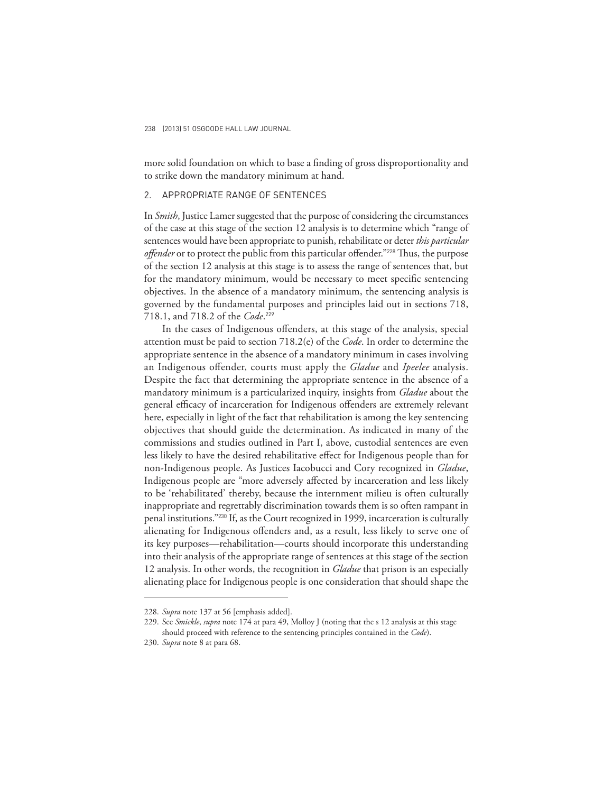more solid foundation on which to base a finding of gross disproportionality and to strike down the mandatory minimum at hand.

## 2. APPROPRIATE RANGE OF SENTENCES

In *Smith*, Justice Lamer suggested that the purpose of considering the circumstances of the case at this stage of the section 12 analysis is to determine which "range of sentences would have been appropriate to punish, rehabilitate or deter *this particular*  offender or to protect the public from this particular offender."<sup>228</sup> Thus, the purpose of the section 12 analysis at this stage is to assess the range of sentences that, but for the mandatory minimum, would be necessary to meet specific sentencing objectives. In the absence of a mandatory minimum, the sentencing analysis is governed by the fundamental purposes and principles laid out in sections 718, 718.1, and 718.2 of the *Code*. 229

In the cases of Indigenous offenders, at this stage of the analysis, special attention must be paid to section 718.2(e) of the *Code*. In order to determine the appropriate sentence in the absence of a mandatory minimum in cases involving an Indigenous offender, courts must apply the *Gladue* and *Ipeelee* analysis. Despite the fact that determining the appropriate sentence in the absence of a mandatory minimum is a particularized inquiry, insights from *Gladue* about the general efficacy of incarceration for Indigenous offenders are extremely relevant here, especially in light of the fact that rehabilitation is among the key sentencing objectives that should guide the determination. As indicated in many of the commissions and studies outlined in Part I, above, custodial sentences are even less likely to have the desired rehabilitative effect for Indigenous people than for non-Indigenous people. As Justices Iacobucci and Cory recognized in *Gladue*, Indigenous people are "more adversely affected by incarceration and less likely to be 'rehabilitated' thereby, because the internment milieu is often culturally inappropriate and regrettably discrimination towards them is so often rampant in penal institutions."230 If, as the Court recognized in 1999, incarceration is culturally alienating for Indigenous offenders and, as a result, less likely to serve one of its key purposes—rehabilitation—courts should incorporate this understanding into their analysis of the appropriate range of sentences at this stage of the section 12 analysis. In other words, the recognition in *Gladue* that prison is an especially alienating place for Indigenous people is one consideration that should shape the

<sup>228.</sup> *Supra* note 137 at 56 [emphasis added].

<sup>229.</sup> See *Smickle*, *supra* note 174 at para 49, Molloy J (noting that the s 12 analysis at this stage should proceed with reference to the sentencing principles contained in the *Code*).

<sup>230.</sup> *Supra* note 8 at para 68.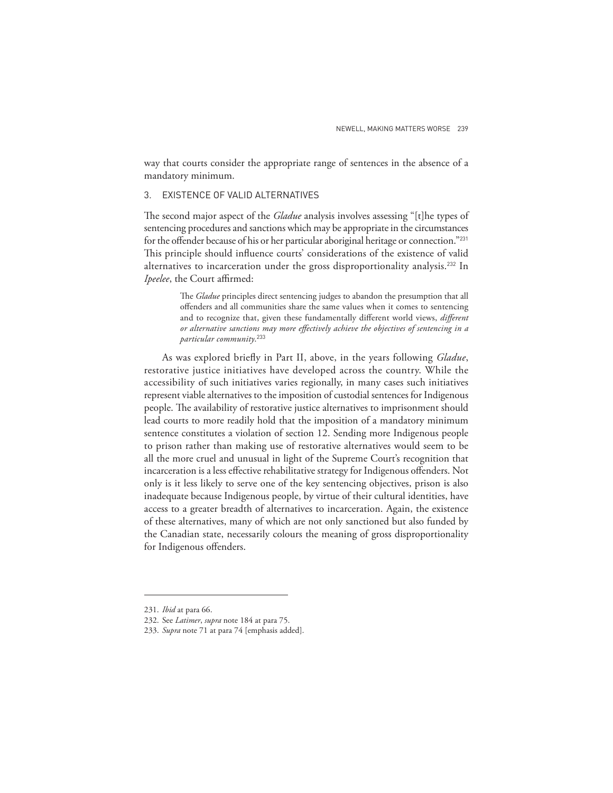way that courts consider the appropriate range of sentences in the absence of a mandatory minimum.

# 3. EXISTENCE OF VALID ALTERNATIVES

The second major aspect of the *Gladue* analysis involves assessing "[t]he types of sentencing procedures and sanctions which may be appropriate in the circumstances for the offender because of his or her particular aboriginal heritage or connection."<sup>231</sup> This principle should influence courts' considerations of the existence of valid alternatives to incarceration under the gross disproportionality analysis.<sup>232</sup> In *Ipeelee*, the Court affirmed:

> The *Gladue* principles direct sentencing judges to abandon the presumption that all offenders and all communities share the same values when it comes to sentencing and to recognize that, given these fundamentally different world views, different *or alternative sanctions may more effectively achieve the objectives of sentencing in a particular community*. 233

As was explored briefly in Part II, above, in the years following *Gladue*, restorative justice initiatives have developed across the country. While the accessibility of such initiatives varies regionally, in many cases such initiatives represent viable alternatives to the imposition of custodial sentences for Indigenous people. The availability of restorative justice alternatives to imprisonment should lead courts to more readily hold that the imposition of a mandatory minimum sentence constitutes a violation of section 12. Sending more Indigenous people to prison rather than making use of restorative alternatives would seem to be all the more cruel and unusual in light of the Supreme Court's recognition that incarceration is a less effective rehabilitative strategy for Indigenous offenders. Not only is it less likely to serve one of the key sentencing objectives, prison is also inadequate because Indigenous people, by virtue of their cultural identities, have access to a greater breadth of alternatives to incarceration. Again, the existence of these alternatives, many of which are not only sanctioned but also funded by the Canadian state, necessarily colours the meaning of gross disproportionality for Indigenous offenders.

<sup>231.</sup> *Ibid* at para 66.

<sup>232.</sup> See *Latimer*, *supra* note 184 at para 75.

<sup>233.</sup> *Supra* note 71 at para 74 [emphasis added].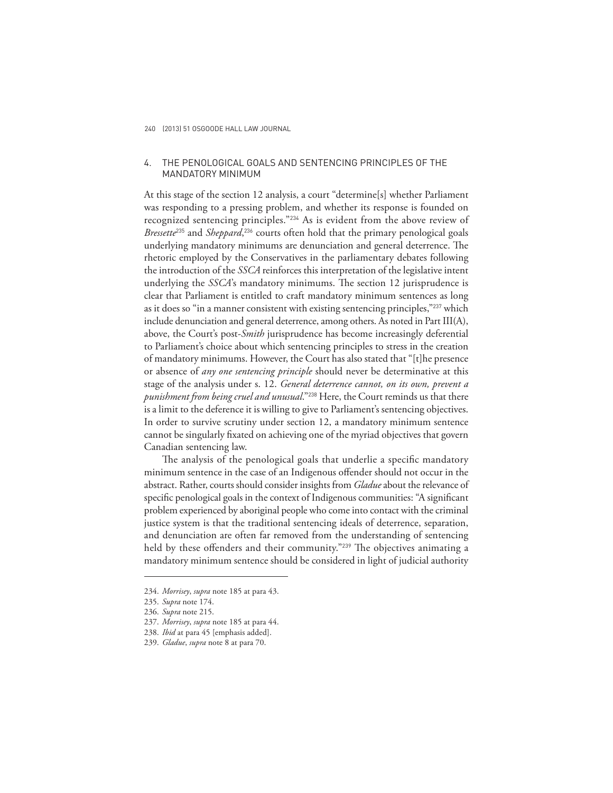## 4. THE PENOLOGICAL GOALS AND SENTENCING PRINCIPLES OF THE MANDATORY MINIMUM

At this stage of the section 12 analysis, a court "determine[s] whether Parliament was responding to a pressing problem, and whether its response is founded on recognized sentencing principles."234 As is evident from the above review of *Bressette*235 and *Sheppard*, <sup>236</sup> courts often hold that the primary penological goals underlying mandatory minimums are denunciation and general deterrence. The rhetoric employed by the Conservatives in the parliamentary debates following the introduction of the *SSCA* reinforces this interpretation of the legislative intent underlying the *SSCA*'s mandatory minimums. The section 12 jurisprudence is clear that Parliament is entitled to craft mandatory minimum sentences as long as it does so "in a manner consistent with existing sentencing principles,"<sup>237</sup> which include denunciation and general deterrence, among others. As noted in Part III(A), above, the Court's post-*Smith* jurisprudence has become increasingly deferential to Parliament's choice about which sentencing principles to stress in the creation of mandatory minimums. However, the Court has also stated that "[t]he presence or absence of *any one sentencing principle* should never be determinative at this stage of the analysis under s. 12. *General deterrence cannot, on its own, prevent a punishment from being cruel and unusual*."238 Here, the Court reminds us that there is a limit to the deference it is willing to give to Parliament's sentencing objectives. In order to survive scrutiny under section 12, a mandatory minimum sentence cannot be singularly fixated on achieving one of the myriad objectives that govern Canadian sentencing law.

The analysis of the penological goals that underlie a specific mandatory minimum sentence in the case of an Indigenous offender should not occur in the abstract. Rather, courts should consider insights from *Gladue* about the relevance of specific penological goals in the context of Indigenous communities: "A significant problem experienced by aboriginal people who come into contact with the criminal justice system is that the traditional sentencing ideals of deterrence, separation, and denunciation are often far removed from the understanding of sentencing held by these offenders and their community."<sup>239</sup> The objectives animating a mandatory minimum sentence should be considered in light of judicial authority

<sup>234.</sup> *Morrisey*, *supra* note 185 at para 43.

<sup>235.</sup> *Supra* note 174.

<sup>236.</sup> *Supra* note 215.

<sup>237.</sup> *Morrisey*, *supra* note 185 at para 44.

<sup>238.</sup> *Ibid* at para 45 [emphasis added].

<sup>239.</sup> *Gladue*, *supra* note 8 at para 70.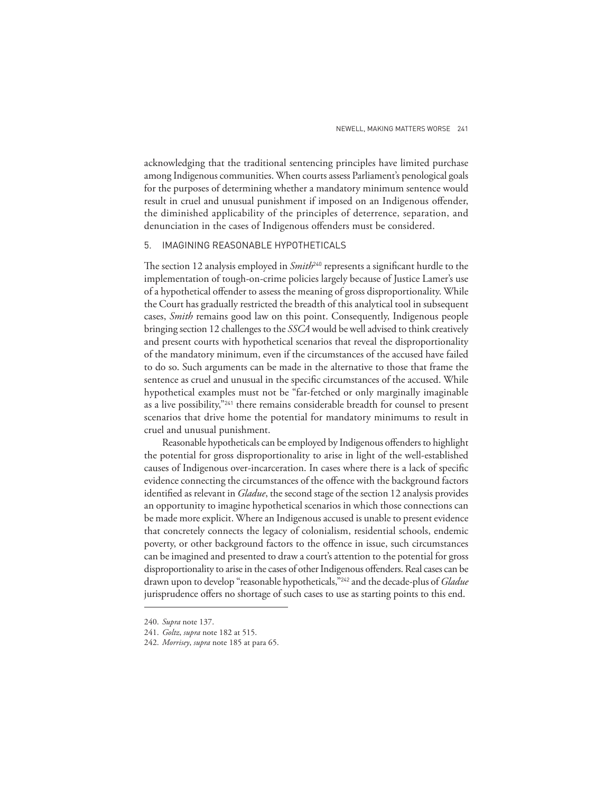acknowledging that the traditional sentencing principles have limited purchase among Indigenous communities. When courts assess Parliament's penological goals for the purposes of determining whether a mandatory minimum sentence would result in cruel and unusual punishment if imposed on an Indigenous offender, the diminished applicability of the principles of deterrence, separation, and denunciation in the cases of Indigenous offenders must be considered.

### 5. IMAGINING REASONABLE HYPOTHETICALS

The section 12 analysis employed in *Smith*<sup>240</sup> represents a significant hurdle to the implementation of tough-on-crime policies largely because of Justice Lamer's use of a hypothetical offender to assess the meaning of gross disproportionality. While the Court has gradually restricted the breadth of this analytical tool in subsequent cases, *Smith* remains good law on this point. Consequently, Indigenous people bringing section 12 challenges to the *SSCA* would be well advised to think creatively and present courts with hypothetical scenarios that reveal the disproportionality of the mandatory minimum, even if the circumstances of the accused have failed to do so. Such arguments can be made in the alternative to those that frame the sentence as cruel and unusual in the specific circumstances of the accused. While hypothetical examples must not be "far-fetched or only marginally imaginable as a live possibility,"241 there remains considerable breadth for counsel to present scenarios that drive home the potential for mandatory minimums to result in cruel and unusual punishment.

Reasonable hypotheticals can be employed by Indigenous offenders to highlight the potential for gross disproportionality to arise in light of the well-established causes of Indigenous over-incarceration. In cases where there is a lack of specific evidence connecting the circumstances of the offence with the background factors identified as relevant in *Gladue*, the second stage of the section 12 analysis provides an opportunity to imagine hypothetical scenarios in which those connections can be made more explicit. Where an Indigenous accused is unable to present evidence that concretely connects the legacy of colonialism, residential schools, endemic poverty, or other background factors to the offence in issue, such circumstances can be imagined and presented to draw a court's attention to the potential for gross disproportionality to arise in the cases of other Indigenous offenders. Real cases can be drawn upon to develop "reasonable hypotheticals,"242 and the decade-plus of *Gladue*  jurisprudence offers no shortage of such cases to use as starting points to this end.

<sup>240.</sup> *Supra* note 137.

<sup>241.</sup> *Goltz*, *supra* note 182 at 515.

<sup>242.</sup> *Morrisey*, *supra* note 185 at para 65.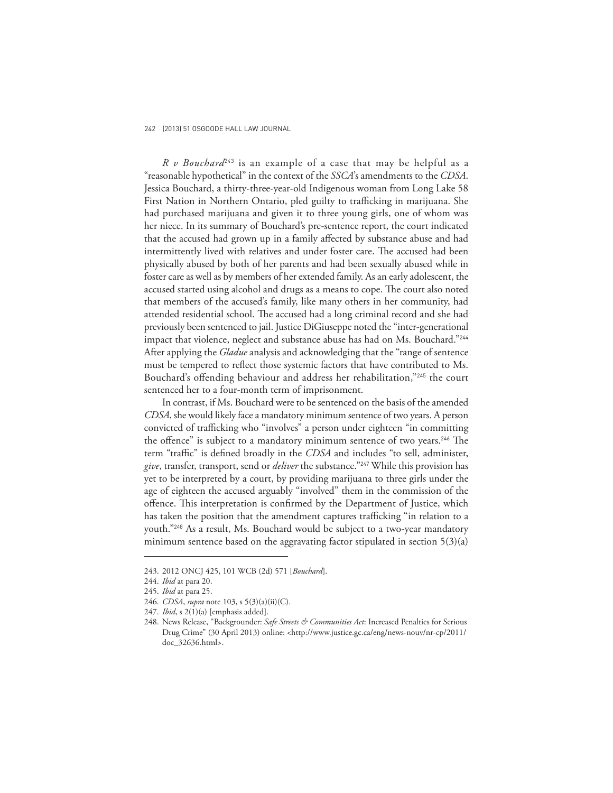*R v Bouchard*243 is an example of a case that may be helpful as a "reasonable hypothetical" in the context of the *SSCA*'s amendments to the *CDSA*. Jessica Bouchard, a thirty-three-year-old Indigenous woman from Long Lake 58 First Nation in Northern Ontario, pled guilty to trafficking in marijuana. She had purchased marijuana and given it to three young girls, one of whom was her niece. In its summary of Bouchard's pre-sentence report, the court indicated that the accused had grown up in a family affected by substance abuse and had intermittently lived with relatives and under foster care. The accused had been physically abused by both of her parents and had been sexually abused while in foster care as well as by members of her extended family. As an early adolescent, the accused started using alcohol and drugs as a means to cope. The court also noted that members of the accused's family, like many others in her community, had attended residential school. The accused had a long criminal record and she had previously been sentenced to jail. Justice DiGiuseppe noted the "inter-generational impact that violence, neglect and substance abuse has had on Ms. Bouchard."<sup>244</sup> After applying the *Gladue* analysis and acknowledging that the "range of sentence must be tempered to reflect those systemic factors that have contributed to Ms. Bouchard's offending behaviour and address her rehabilitation,"<sup>245</sup> the court sentenced her to a four-month term of imprisonment.

In contrast, if Ms. Bouchard were to be sentenced on the basis of the amended *CDSA*, she would likely face a mandatory minimum sentence of two years. A person convicted of trafficking who "involves" a person under eighteen "in committing the offence" is subject to a mandatory minimum sentence of two years.<sup>246</sup> The term "traffic" is defined broadly in the *CDSA* and includes "to sell, administer, *give*, transfer, transport, send or *deliver* the substance."247 While this provision has yet to be interpreted by a court, by providing marijuana to three girls under the age of eighteen the accused arguably "involved" them in the commission of the offence. This interpretation is confirmed by the Department of Justice, which has taken the position that the amendment captures trafficking "in relation to a youth."248 As a result, Ms. Bouchard would be subject to a two-year mandatory minimum sentence based on the aggravating factor stipulated in section  $5(3)(a)$ 

<sup>243. 2012</sup> ONCJ 425, 101 WCB (2d) 571 [*Bouchard*].

<sup>244.</sup> *Ibid* at para 20.

<sup>245.</sup> *Ibid* at para 25.

<sup>246.</sup> *CDSA*, *supra* note 103, s 5(3)(a)(ii)(C).

<sup>247.</sup> *Ibid*, s 2(1)(a) [emphasis added].

<sup>248.</sup> News Release, "Backgrounder: *Safe Streets & Communities Act*: Increased Penalties for Serious Drug Crime" (30 April 2013) online: <http://www.justice.gc.ca/eng/news-nouv/nr-cp/2011/ doc\_32636.html>.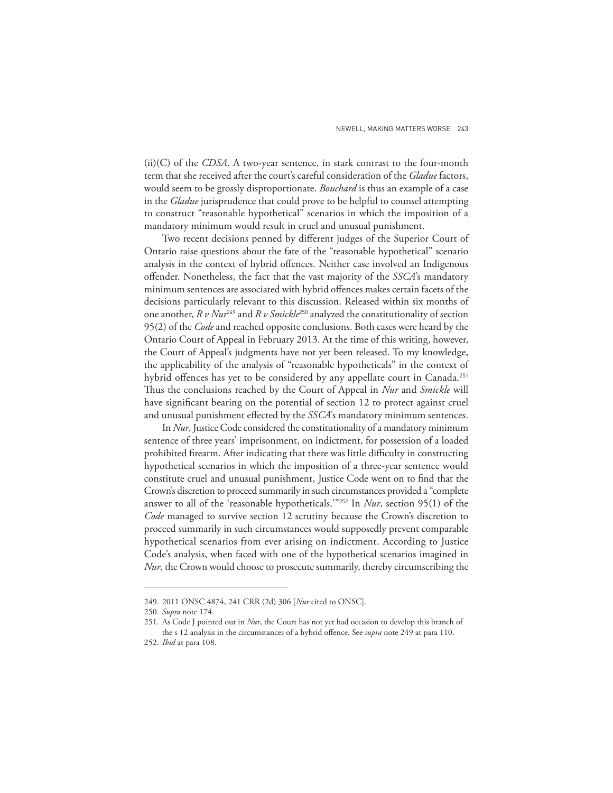(ii)(C) of the *CDSA*. A two-year sentence, in stark contrast to the four-month term that she received after the court's careful consideration of the *Gladue* factors, would seem to be grossly disproportionate. *Bouchard* is thus an example of a case in the *Gladue* jurisprudence that could prove to be helpful to counsel attempting to construct "reasonable hypothetical" scenarios in which the imposition of a mandatory minimum would result in cruel and unusual punishment.

Two recent decisions penned by different judges of the Superior Court of Ontario raise questions about the fate of the "reasonable hypothetical" scenario analysis in the context of hybrid offences. Neither case involved an Indigenous off ender. Nonetheless, the fact that the vast majority of the *SSCA*'s mandatory minimum sentences are associated with hybrid offences makes certain facets of the decisions particularly relevant to this discussion. Released within six months of one another, *R v Nur*<sup>249</sup> and *R v Smickle*250 analyzed the constitutionality of section 95(2) of the *Code* and reached opposite conclusions. Both cases were heard by the Ontario Court of Appeal in February 2013. At the time of this writing, however, the Court of Appeal's judgments have not yet been released. To my knowledge, the applicability of the analysis of "reasonable hypotheticals" in the context of hybrid offences has yet to be considered by any appellate court in Canada.<sup>251</sup> Thus the conclusions reached by the Court of Appeal in *Nur* and *Smickle* will have significant bearing on the potential of section 12 to protect against cruel and unusual punishment effected by the *SSCA*'s mandatory minimum sentences.

In *Nur*, Justice Code considered the constitutionality of a mandatory minimum sentence of three years' imprisonment, on indictment, for possession of a loaded prohibited firearm. After indicating that there was little difficulty in constructing hypothetical scenarios in which the imposition of a three-year sentence would constitute cruel and unusual punishment, Justice Code went on to find that the Crown's discretion to proceed summarily in such circumstances provided a "complete answer to all of the 'reasonable hypotheticals.'"252 In *Nur*, section 95(1) of the *Code* managed to survive section 12 scrutiny because the Crown's discretion to proceed summarily in such circumstances would supposedly prevent comparable hypothetical scenarios from ever arising on indictment. According to Justice Code's analysis, when faced with one of the hypothetical scenarios imagined in *Nur*, the Crown would choose to prosecute summarily, thereby circumscribing the

<sup>249. 2011</sup> ONSC 4874, 241 CRR (2d) 306 [*Nur* cited to ONSC].

<sup>250.</sup> *Supra* note 174.

<sup>251.</sup> As Code J pointed out in *Nur*, the Court has not yet had occasion to develop this branch of the s 12 analysis in the circumstances of a hybrid offence. See *supra* note 249 at para 110.

<sup>252.</sup> *Ibid* at para 108.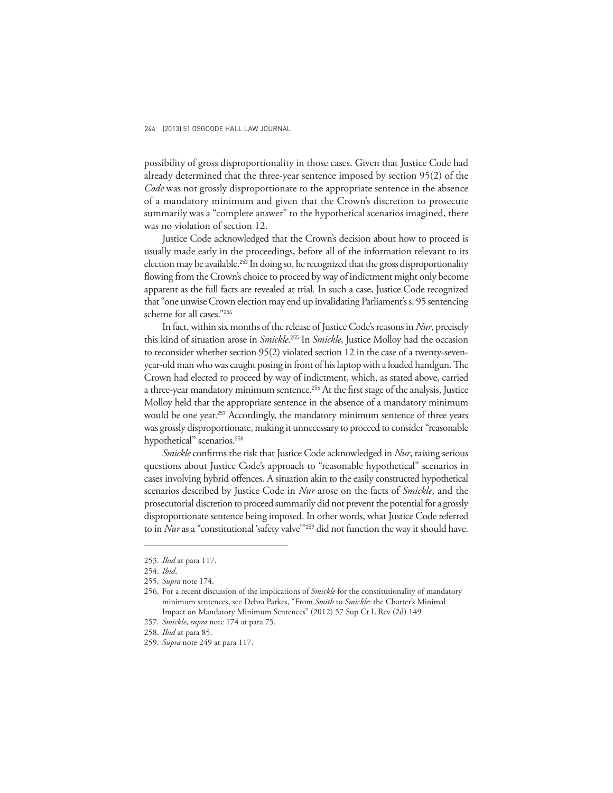possibility of gross disproportionality in those cases. Given that Justice Code had already determined that the three-year sentence imposed by section 95(2) of the *Code* was not grossly disproportionate to the appropriate sentence in the absence of a mandatory minimum and given that the Crown's discretion to prosecute summarily was a "complete answer" to the hypothetical scenarios imagined, there was no violation of section 12.

Justice Code acknowledged that the Crown's decision about how to proceed is usually made early in the proceedings, before all of the information relevant to its election may be available.<sup>253</sup> In doing so, he recognized that the gross disproportionality flowing from the Crown's choice to proceed by way of indictment might only become apparent as the full facts are revealed at trial. In such a case, Justice Code recognized that "one unwise Crown election may end up invalidating Parliament's s. 95 sentencing scheme for all cases."<sup>254</sup>

In fact, within six months of the release of Justice Code's reasons in *Nur*, precisely this kind of situation arose in *Smickle*. <sup>255</sup> In *Smickle*, Justice Molloy had the occasion to reconsider whether section 95(2) violated section 12 in the case of a twenty-sevenyear-old man who was caught posing in front of his laptop with a loaded handgun. The Crown had elected to proceed by way of indictment, which, as stated above, carried a three-year mandatory minimum sentence.<sup>256</sup> At the first stage of the analysis, Justice Molloy held that the appropriate sentence in the absence of a mandatory minimum would be one year.<sup>257</sup> Accordingly, the mandatory minimum sentence of three years was grossly disproportionate, making it unnecessary to proceed to consider "reasonable hypothetical" scenarios.<sup>258</sup>

*Smickle* confirms the risk that Justice Code acknowledged in *Nur*, raising serious questions about Justice Code's approach to "reasonable hypothetical" scenarios in cases involving hybrid offences. A situation akin to the easily constructed hypothetical scenarios described by Justice Code in *Nur* arose on the facts of *Smickle*, and the prosecutorial discretion to proceed summarily did not prevent the potential for a grossly disproportionate sentence being imposed. In other words, what Justice Code referred to in *Nur* as a "constitutional 'safety valve<sup>"259</sup> did not function the way it should have.

<sup>253.</sup> *Ibid* at para 117.

<sup>254.</sup> *Ibid*.

<sup>255.</sup> *Supra* note 174.

<sup>256.</sup> For a recent discussion of the implications of *Smickle* for the constitutionality of mandatory minimum sentences, see Debra Parkes, "From *Smith* to *Smickle*: the Charter's Minimal Impact on Mandatory Minimum Sentences" (2012) 57 Sup Ct L Rev (2d) 149

<sup>257.</sup> *Smickle*, *supra* note 174 at para 75.

<sup>258.</sup> *Ibid* at para 85.

<sup>259.</sup> *Supra* note 249 at para 117.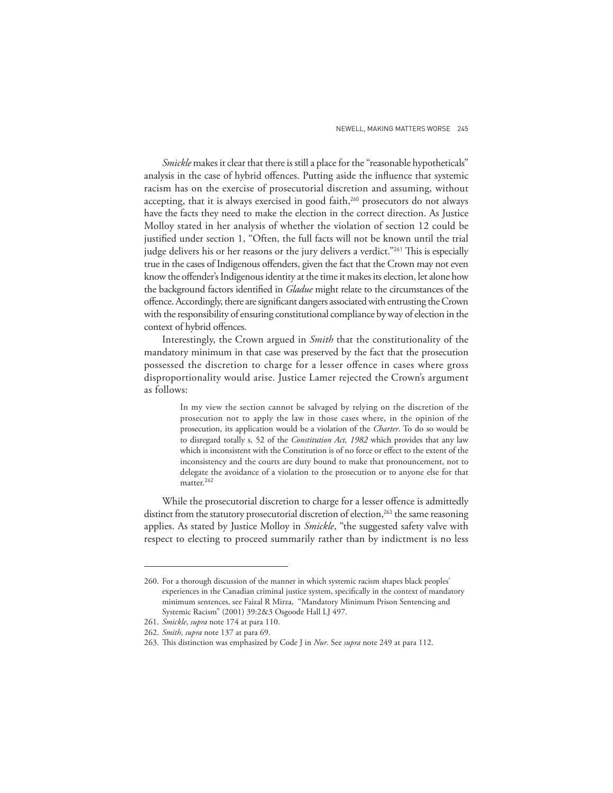*Smickle* makes it clear that there is still a place for the "reasonable hypotheticals" analysis in the case of hybrid offences. Putting aside the influence that systemic racism has on the exercise of prosecutorial discretion and assuming, without accepting, that it is always exercised in good faith,<sup>260</sup> prosecutors do not always have the facts they need to make the election in the correct direction. As Justice Molloy stated in her analysis of whether the violation of section 12 could be justified under section 1, "Often, the full facts will not be known until the trial judge delivers his or her reasons or the jury delivers a verdict."<sup>261</sup> This is especially true in the cases of Indigenous offenders, given the fact that the Crown may not even know the offender's Indigenous identity at the time it makes its election, let alone how the background factors identified in *Gladue* might relate to the circumstances of the offence. Accordingly, there are significant dangers associated with entrusting the Crown with the responsibility of ensuring constitutional compliance by way of election in the context of hybrid offences.

Interestingly, the Crown argued in *Smith* that the constitutionality of the mandatory minimum in that case was preserved by the fact that the prosecution possessed the discretion to charge for a lesser offence in cases where gross disproportionality would arise. Justice Lamer rejected the Crown's argument as follows:

> In my view the section cannot be salvaged by relying on the discretion of the prosecution not to apply the law in those cases where, in the opinion of the prosecution, its application would be a violation of the *Charter*. To do so would be to disregard totally s. 52 of the *Constitution Act, 1982* which provides that any law which is inconsistent with the Constitution is of no force or effect to the extent of the inconsistency and the courts are duty bound to make that pronouncement, not to delegate the avoidance of a violation to the prosecution or to anyone else for that matter.<sup>262</sup>

While the prosecutorial discretion to charge for a lesser offence is admittedly distinct from the statutory prosecutorial discretion of election,<sup>263</sup> the same reasoning applies. As stated by Justice Molloy in *Smickle*, "the suggested safety valve with respect to electing to proceed summarily rather than by indictment is no less

<sup>260.</sup> For a thorough discussion of the manner in which systemic racism shapes black peoples' experiences in the Canadian criminal justice system, specifically in the context of mandatory minimum sentences, see Faizal R Mirza, "Mandatory Minimum Prison Sentencing and Systemic Racism" (2001) 39:2&3 Osgoode Hall LJ 497.

<sup>261.</sup> *Smickle*, *supra* note 174 at para 110.

<sup>262.</sup> *Smith*, *supra* note 137 at para 69.

<sup>263.</sup> This distinction was emphasized by Code J in *Nur*. See *supra* note 249 at para 112.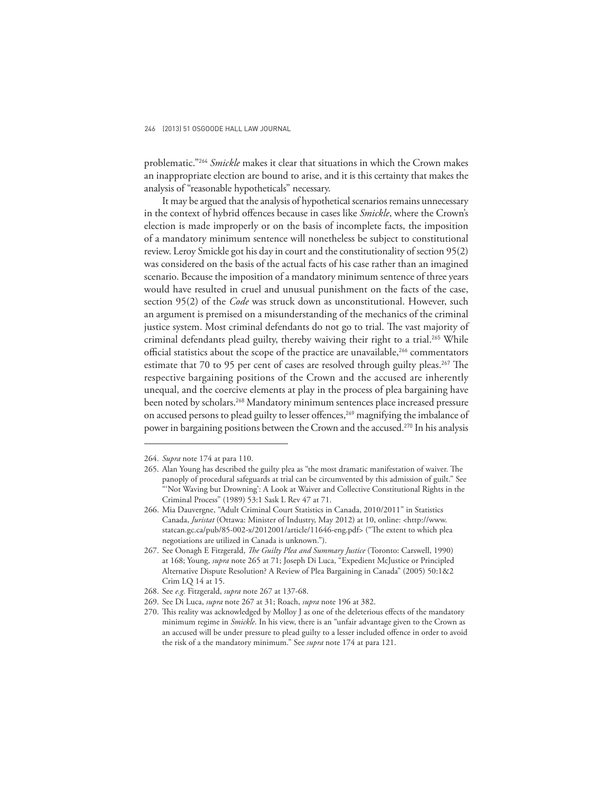problematic."<sup>264</sup> *Smickle* makes it clear that situations in which the Crown makes an inappropriate election are bound to arise, and it is this certainty that makes the analysis of "reasonable hypotheticals" necessary.

It may be argued that the analysis of hypothetical scenarios remains unnecessary in the context of hybrid offences because in cases like *Smickle*, where the Crown's election is made improperly or on the basis of incomplete facts, the imposition of a mandatory minimum sentence will nonetheless be subject to constitutional review. Leroy Smickle got his day in court and the constitutionality of section 95(2) was considered on the basis of the actual facts of his case rather than an imagined scenario. Because the imposition of a mandatory minimum sentence of three years would have resulted in cruel and unusual punishment on the facts of the case, section 95(2) of the *Code* was struck down as unconstitutional. However, such an argument is premised on a misunderstanding of the mechanics of the criminal justice system. Most criminal defendants do not go to trial. The vast majority of criminal defendants plead guilty, thereby waiving their right to a trial.<sup>265</sup> While official statistics about the scope of the practice are unavailable,<sup>266</sup> commentators estimate that 70 to 95 per cent of cases are resolved through guilty pleas.<sup>267</sup> The respective bargaining positions of the Crown and the accused are inherently unequal, and the coercive elements at play in the process of plea bargaining have been noted by scholars.<sup>268</sup> Mandatory minimum sentences place increased pressure on accused persons to plead guilty to lesser offences,<sup>269</sup> magnifying the imbalance of power in bargaining positions between the Crown and the accused.270 In his analysis

<sup>264.</sup> *Supra* note 174 at para 110.

<sup>265.</sup> Alan Young has described the guilty plea as "the most dramatic manifestation of waiver. The panoply of procedural safeguards at trial can be circumvented by this admission of guilt." See "'Not Waving but Drowning': A Look at Waiver and Collective Constitutional Rights in the Criminal Process" (1989) 53:1 Sask L Rev 47 at 71.

<sup>266.</sup> Mia Dauvergne, "Adult Criminal Court Statistics in Canada, 2010/2011" in Statistics Canada, *Juristat* (Ottawa: Minister of Industry, May 2012) at 10, online: <http://www. statcan.gc.ca/pub/85-002-x/2012001/article/11646-eng.pdf> ("The extent to which plea negotiations are utilized in Canada is unknown.").

<sup>267.</sup> See Oonagh E Fitzgerald, *The Guilty Plea and Summary Justice* (Toronto: Carswell, 1990) at 168; Young, *supra* note 265 at 71; Joseph Di Luca, "Expedient McJustice or Principled Alternative Dispute Resolution? A Review of Plea Bargaining in Canada" (2005) 50:1&2 Crim LQ 14 at 15.

<sup>268.</sup> See *e.g.* Fitzgerald, *supra* note 267 at 137-68.

<sup>269.</sup> See Di Luca, *supra* note 267 at 31; Roach, *supra* note 196 at 382.

<sup>270.</sup> This reality was acknowledged by Molloy J as one of the deleterious effects of the mandatory minimum regime in *Smickle*. In his view, there is an "unfair advantage given to the Crown as an accused will be under pressure to plead guilty to a lesser included offence in order to avoid the risk of a the mandatory minimum." See *supra* note 174 at para 121.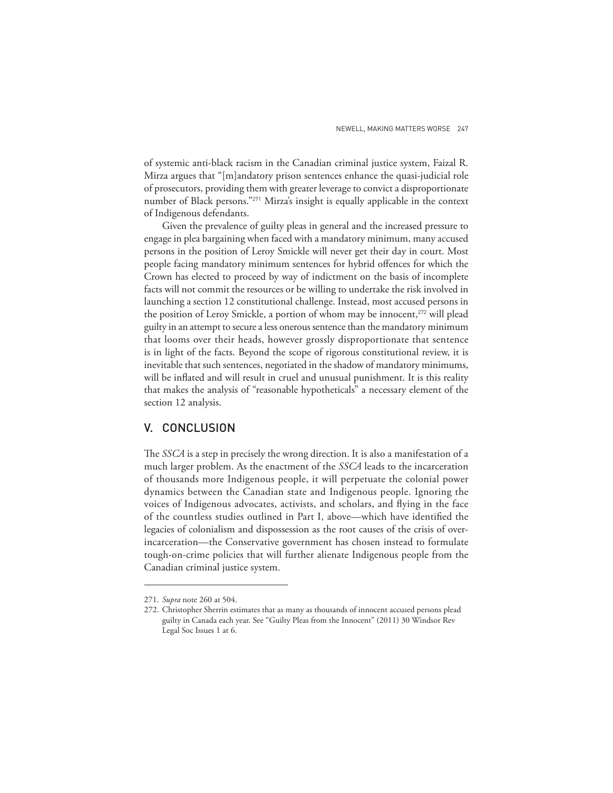of systemic anti-black racism in the Canadian criminal justice system, Faizal R. Mirza argues that "[m]andatory prison sentences enhance the quasi-judicial role of prosecutors, providing them with greater leverage to convict a disproportionate number of Black persons."271 Mirza's insight is equally applicable in the context of Indigenous defendants.

Given the prevalence of guilty pleas in general and the increased pressure to engage in plea bargaining when faced with a mandatory minimum, many accused persons in the position of Leroy Smickle will never get their day in court. Most people facing mandatory minimum sentences for hybrid offences for which the Crown has elected to proceed by way of indictment on the basis of incomplete facts will not commit the resources or be willing to undertake the risk involved in launching a section 12 constitutional challenge. Instead, most accused persons in the position of Leroy Smickle, a portion of whom may be innocent,<sup>272</sup> will plead guilty in an attempt to secure a less onerous sentence than the mandatory minimum that looms over their heads, however grossly disproportionate that sentence is in light of the facts. Beyond the scope of rigorous constitutional review, it is inevitable that such sentences, negotiated in the shadow of mandatory minimums, will be inflated and will result in cruel and unusual punishment. It is this reality that makes the analysis of "reasonable hypotheticals" a necessary element of the section 12 analysis.

# V. CONCLUSION

The *SSCA* is a step in precisely the wrong direction. It is also a manifestation of a much larger problem. As the enactment of the *SSCA* leads to the incarceration of thousands more Indigenous people, it will perpetuate the colonial power dynamics between the Canadian state and Indigenous people. Ignoring the voices of Indigenous advocates, activists, and scholars, and flying in the face of the countless studies outlined in Part I, above—which have identified the legacies of colonialism and dispossession as the root causes of the crisis of overincarceration—the Conservative government has chosen instead to formulate tough-on-crime policies that will further alienate Indigenous people from the Canadian criminal justice system.

<sup>271.</sup> *Supra* note 260 at 504.

<sup>272.</sup> Christopher Sherrin estimates that as many as thousands of innocent accused persons plead guilty in Canada each year. See "Guilty Pleas from the Innocent" (2011) 30 Windsor Rev Legal Soc Issues 1 at 6.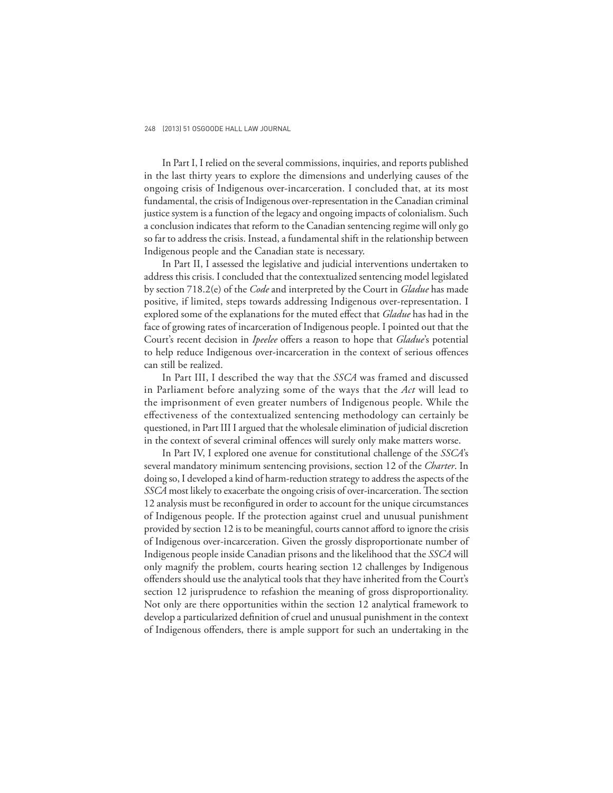In Part I, I relied on the several commissions, inquiries, and reports published in the last thirty years to explore the dimensions and underlying causes of the ongoing crisis of Indigenous over-incarceration. I concluded that, at its most fundamental, the crisis of Indigenous over-representation in the Canadian criminal justice system is a function of the legacy and ongoing impacts of colonialism. Such a conclusion indicates that reform to the Canadian sentencing regime will only go so far to address the crisis. Instead, a fundamental shift in the relationship between Indigenous people and the Canadian state is necessary.

In Part II, I assessed the legislative and judicial interventions undertaken to address this crisis. I concluded that the contextualized sentencing model legislated by section 718.2(e) of the *Code* and interpreted by the Court in *Gladue* has made positive, if limited, steps towards addressing Indigenous over-representation. I explored some of the explanations for the muted effect that *Gladue* has had in the face of growing rates of incarceration of Indigenous people. I pointed out that the Court's recent decision in *Ipeelee* offers a reason to hope that *Gladue's* potential to help reduce Indigenous over-incarceration in the context of serious offences can still be realized.

In Part III, I described the way that the *SSCA* was framed and discussed in Parliament before analyzing some of the ways that the *Act* will lead to the imprisonment of even greater numbers of Indigenous people. While the effectiveness of the contextualized sentencing methodology can certainly be questioned, in Part III I argued that the wholesale elimination of judicial discretion in the context of several criminal offences will surely only make matters worse.

In Part IV, I explored one avenue for constitutional challenge of the *SSCA*'s several mandatory minimum sentencing provisions, section 12 of the *Charter*. In doing so, I developed a kind of harm-reduction strategy to address the aspects of the *SSCA* most likely to exacerbate the ongoing crisis of over-incarceration. The section 12 analysis must be reconfigured in order to account for the unique circumstances of Indigenous people. If the protection against cruel and unusual punishment provided by section 12 is to be meaningful, courts cannot afford to ignore the crisis of Indigenous over-incarceration. Given the grossly disproportionate number of Indigenous people inside Canadian prisons and the likelihood that the *SSCA* will only magnify the problem, courts hearing section 12 challenges by Indigenous offenders should use the analytical tools that they have inherited from the Court's section 12 jurisprudence to refashion the meaning of gross disproportionality. Not only are there opportunities within the section 12 analytical framework to develop a particularized definition of cruel and unusual punishment in the context of Indigenous offenders, there is ample support for such an undertaking in the